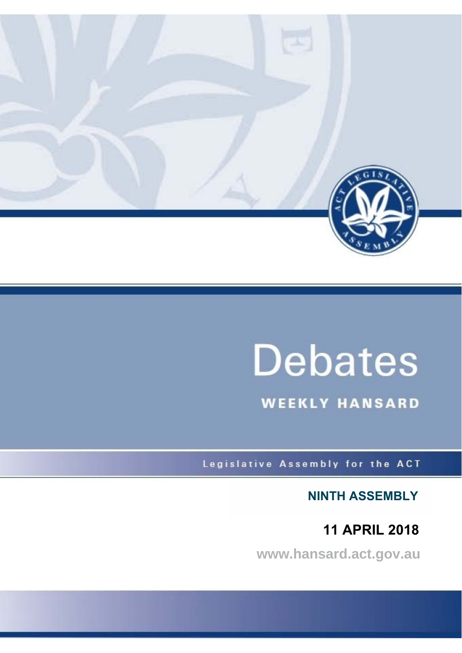

# **Debates**

**WEEKLY HANSARD** 

Legislative Assembly for the ACT

**NINTH ASSEMBLY**

**11 APRIL 2018**

**www.hansard.act.gov.au**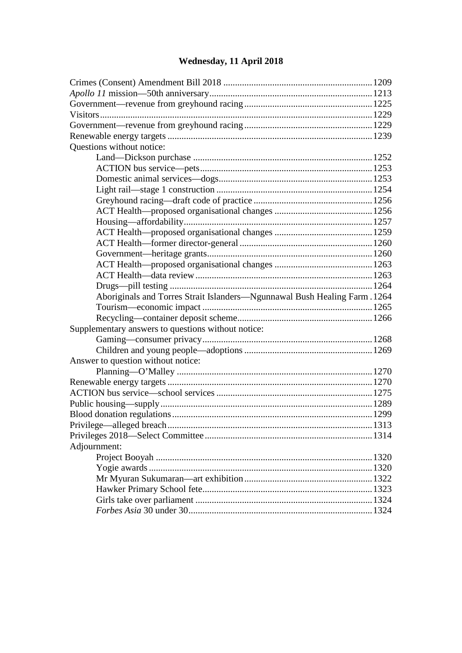# **[Wednesday, 11 April 2018](#page-2-0)**

| Questions without notice:                                                 |  |  |  |
|---------------------------------------------------------------------------|--|--|--|
|                                                                           |  |  |  |
|                                                                           |  |  |  |
|                                                                           |  |  |  |
|                                                                           |  |  |  |
|                                                                           |  |  |  |
|                                                                           |  |  |  |
|                                                                           |  |  |  |
|                                                                           |  |  |  |
|                                                                           |  |  |  |
|                                                                           |  |  |  |
|                                                                           |  |  |  |
|                                                                           |  |  |  |
|                                                                           |  |  |  |
| Aboriginals and Torres Strait Islanders-Ngunnawal Bush Healing Farm. 1264 |  |  |  |
|                                                                           |  |  |  |
|                                                                           |  |  |  |
| Supplementary answers to questions without notice:                        |  |  |  |
|                                                                           |  |  |  |
|                                                                           |  |  |  |
| Answer to question without notice:                                        |  |  |  |
|                                                                           |  |  |  |
|                                                                           |  |  |  |
|                                                                           |  |  |  |
|                                                                           |  |  |  |
|                                                                           |  |  |  |
|                                                                           |  |  |  |
|                                                                           |  |  |  |
| Adjournment:                                                              |  |  |  |
|                                                                           |  |  |  |
|                                                                           |  |  |  |
|                                                                           |  |  |  |
|                                                                           |  |  |  |
|                                                                           |  |  |  |
|                                                                           |  |  |  |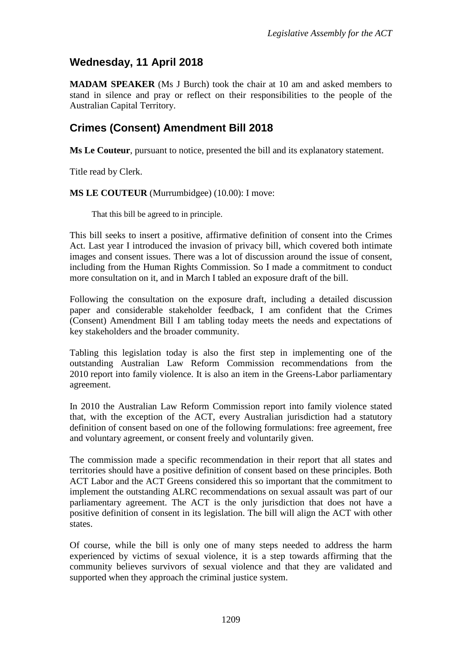# <span id="page-2-0"></span>**Wednesday, 11 April 2018**

**MADAM SPEAKER** (Ms J Burch) took the chair at 10 am and asked members to stand in silence and pray or reflect on their responsibilities to the people of the Australian Capital Territory.

## <span id="page-2-1"></span>**Crimes (Consent) Amendment Bill 2018**

**Ms Le Couteur**, pursuant to notice, presented the bill and its explanatory statement.

Title read by Clerk.

**MS LE COUTEUR** (Murrumbidgee) (10.00): I move:

That this bill be agreed to in principle.

This bill seeks to insert a positive, affirmative definition of consent into the Crimes Act. Last year I introduced the invasion of privacy bill, which covered both intimate images and consent issues. There was a lot of discussion around the issue of consent, including from the Human Rights Commission. So I made a commitment to conduct more consultation on it, and in March I tabled an exposure draft of the bill.

Following the consultation on the exposure draft, including a detailed discussion paper and considerable stakeholder feedback, I am confident that the Crimes (Consent) Amendment Bill I am tabling today meets the needs and expectations of key stakeholders and the broader community.

Tabling this legislation today is also the first step in implementing one of the outstanding Australian Law Reform Commission recommendations from the 2010 report into family violence. It is also an item in the Greens-Labor parliamentary agreement.

In 2010 the Australian Law Reform Commission report into family violence stated that, with the exception of the ACT, every Australian jurisdiction had a statutory definition of consent based on one of the following formulations: free agreement, free and voluntary agreement, or consent freely and voluntarily given.

The commission made a specific recommendation in their report that all states and territories should have a positive definition of consent based on these principles. Both ACT Labor and the ACT Greens considered this so important that the commitment to implement the outstanding ALRC recommendations on sexual assault was part of our parliamentary agreement. The ACT is the only jurisdiction that does not have a positive definition of consent in its legislation. The bill will align the ACT with other states.

Of course, while the bill is only one of many steps needed to address the harm experienced by victims of sexual violence, it is a step towards affirming that the community believes survivors of sexual violence and that they are validated and supported when they approach the criminal justice system.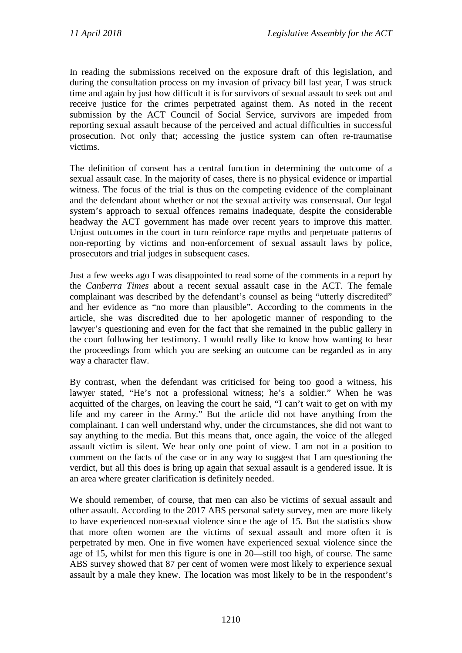In reading the submissions received on the exposure draft of this legislation, and during the consultation process on my invasion of privacy bill last year, I was struck time and again by just how difficult it is for survivors of sexual assault to seek out and receive justice for the crimes perpetrated against them. As noted in the recent submission by the ACT Council of Social Service, survivors are impeded from reporting sexual assault because of the perceived and actual difficulties in successful prosecution. Not only that; accessing the justice system can often re-traumatise victims.

The definition of consent has a central function in determining the outcome of a sexual assault case. In the majority of cases, there is no physical evidence or impartial witness. The focus of the trial is thus on the competing evidence of the complainant and the defendant about whether or not the sexual activity was consensual. Our legal system's approach to sexual offences remains inadequate, despite the considerable headway the ACT government has made over recent years to improve this matter. Unjust outcomes in the court in turn reinforce rape myths and perpetuate patterns of non-reporting by victims and non-enforcement of sexual assault laws by police, prosecutors and trial judges in subsequent cases.

Just a few weeks ago I was disappointed to read some of the comments in a report by the *Canberra Times* about a recent sexual assault case in the ACT. The female complainant was described by the defendant's counsel as being "utterly discredited" and her evidence as "no more than plausible". According to the comments in the article, she was discredited due to her apologetic manner of responding to the lawyer's questioning and even for the fact that she remained in the public gallery in the court following her testimony. I would really like to know how wanting to hear the proceedings from which you are seeking an outcome can be regarded as in any way a character flaw.

By contrast, when the defendant was criticised for being too good a witness, his lawyer stated, "He's not a professional witness; he's a soldier." When he was acquitted of the charges, on leaving the court he said, "I can't wait to get on with my life and my career in the Army." But the article did not have anything from the complainant. I can well understand why, under the circumstances, she did not want to say anything to the media. But this means that, once again, the voice of the alleged assault victim is silent. We hear only one point of view. I am not in a position to comment on the facts of the case or in any way to suggest that I am questioning the verdict, but all this does is bring up again that sexual assault is a gendered issue. It is an area where greater clarification is definitely needed.

We should remember, of course, that men can also be victims of sexual assault and other assault. According to the 2017 ABS personal safety survey, men are more likely to have experienced non-sexual violence since the age of 15. But the statistics show that more often women are the victims of sexual assault and more often it is perpetrated by men. One in five women have experienced sexual violence since the age of 15, whilst for men this figure is one in 20—still too high, of course. The same ABS survey showed that 87 per cent of women were most likely to experience sexual assault by a male they knew. The location was most likely to be in the respondent's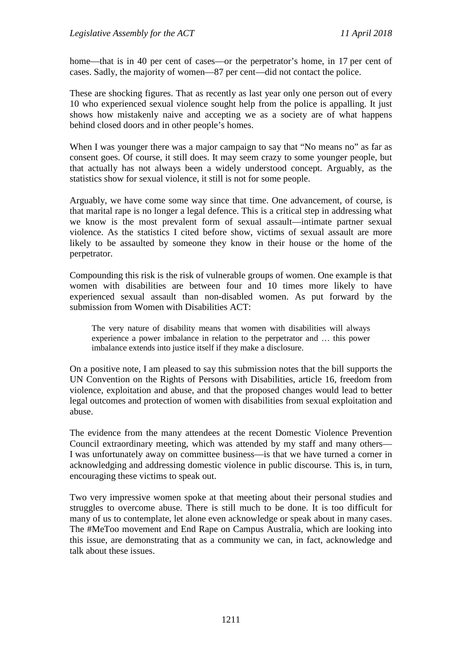home—that is in 40 per cent of cases—or the perpetrator's home, in 17 per cent of cases. Sadly, the majority of women—87 per cent—did not contact the police.

These are shocking figures. That as recently as last year only one person out of every 10 who experienced sexual violence sought help from the police is appalling. It just shows how mistakenly naive and accepting we as a society are of what happens behind closed doors and in other people's homes.

When I was younger there was a major campaign to say that "No means no" as far as consent goes. Of course, it still does. It may seem crazy to some younger people, but that actually has not always been a widely understood concept. Arguably, as the statistics show for sexual violence, it still is not for some people.

Arguably, we have come some way since that time. One advancement, of course, is that marital rape is no longer a legal defence. This is a critical step in addressing what we know is the most prevalent form of sexual assault—intimate partner sexual violence. As the statistics I cited before show, victims of sexual assault are more likely to be assaulted by someone they know in their house or the home of the perpetrator.

Compounding this risk is the risk of vulnerable groups of women. One example is that women with disabilities are between four and 10 times more likely to have experienced sexual assault than non-disabled women. As put forward by the submission from Women with Disabilities ACT:

The very nature of disability means that women with disabilities will always experience a power imbalance in relation to the perpetrator and … this power imbalance extends into justice itself if they make a disclosure.

On a positive note, I am pleased to say this submission notes that the bill supports the UN Convention on the Rights of Persons with Disabilities, article 16, freedom from violence, exploitation and abuse, and that the proposed changes would lead to better legal outcomes and protection of women with disabilities from sexual exploitation and abuse.

The evidence from the many attendees at the recent Domestic Violence Prevention Council extraordinary meeting, which was attended by my staff and many others— I was unfortunately away on committee business—is that we have turned a corner in acknowledging and addressing domestic violence in public discourse. This is, in turn, encouraging these victims to speak out.

Two very impressive women spoke at that meeting about their personal studies and struggles to overcome abuse. There is still much to be done. It is too difficult for many of us to contemplate, let alone even acknowledge or speak about in many cases. The #MeToo movement and End Rape on Campus Australia, which are looking into this issue, are demonstrating that as a community we can, in fact, acknowledge and talk about these issues.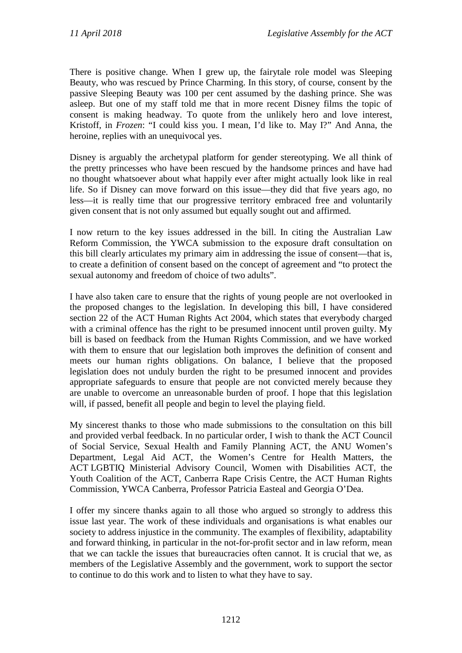There is positive change. When I grew up, the fairytale role model was Sleeping Beauty, who was rescued by Prince Charming. In this story, of course, consent by the passive Sleeping Beauty was 100 per cent assumed by the dashing prince. She was asleep. But one of my staff told me that in more recent Disney films the topic of consent is making headway. To quote from the unlikely hero and love interest, Kristoff, in *Frozen*: "I could kiss you. I mean, I'd like to. May I?" And Anna, the heroine, replies with an unequivocal yes.

Disney is arguably the archetypal platform for gender stereotyping. We all think of the pretty princesses who have been rescued by the handsome princes and have had no thought whatsoever about what happily ever after might actually look like in real life. So if Disney can move forward on this issue—they did that five years ago, no less—it is really time that our progressive territory embraced free and voluntarily given consent that is not only assumed but equally sought out and affirmed.

I now return to the key issues addressed in the bill. In citing the Australian Law Reform Commission, the YWCA submission to the exposure draft consultation on this bill clearly articulates my primary aim in addressing the issue of consent—that is, to create a definition of consent based on the concept of agreement and "to protect the sexual autonomy and freedom of choice of two adults".

I have also taken care to ensure that the rights of young people are not overlooked in the proposed changes to the legislation. In developing this bill, I have considered section 22 of the ACT Human Rights Act 2004, which states that everybody charged with a criminal offence has the right to be presumed innocent until proven guilty. My bill is based on feedback from the Human Rights Commission, and we have worked with them to ensure that our legislation both improves the definition of consent and meets our human rights obligations. On balance, I believe that the proposed legislation does not unduly burden the right to be presumed innocent and provides appropriate safeguards to ensure that people are not convicted merely because they are unable to overcome an unreasonable burden of proof. I hope that this legislation will, if passed, benefit all people and begin to level the playing field.

My sincerest thanks to those who made submissions to the consultation on this bill and provided verbal feedback. In no particular order, I wish to thank the ACT Council of Social Service, Sexual Health and Family Planning ACT, the ANU Women's Department, Legal Aid ACT, the Women's Centre for Health Matters, the ACT LGBTIQ Ministerial Advisory Council, Women with Disabilities ACT, the Youth Coalition of the ACT, Canberra Rape Crisis Centre, the ACT Human Rights Commission, YWCA Canberra, Professor Patricia Easteal and Georgia O'Dea.

I offer my sincere thanks again to all those who argued so strongly to address this issue last year. The work of these individuals and organisations is what enables our society to address injustice in the community. The examples of flexibility, adaptability and forward thinking, in particular in the not-for-profit sector and in law reform, mean that we can tackle the issues that bureaucracies often cannot. It is crucial that we, as members of the Legislative Assembly and the government, work to support the sector to continue to do this work and to listen to what they have to say.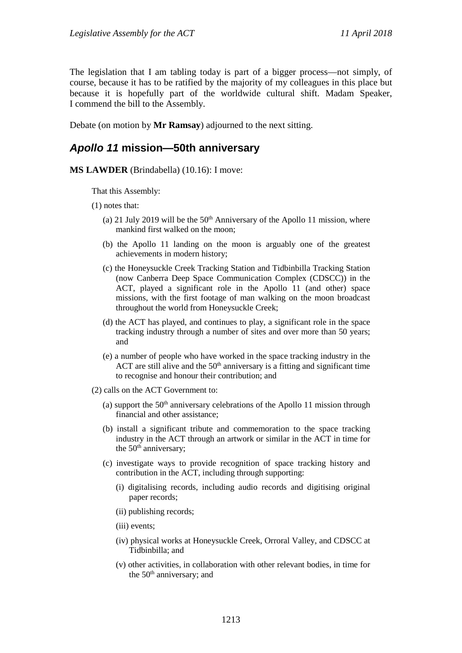The legislation that I am tabling today is part of a bigger process—not simply, of course, because it has to be ratified by the majority of my colleagues in this place but because it is hopefully part of the worldwide cultural shift. Madam Speaker, I commend the bill to the Assembly.

Debate (on motion by **Mr Ramsay**) adjourned to the next sitting.

#### <span id="page-6-0"></span>*Apollo 11* **mission—50th anniversary**

**MS LAWDER** (Brindabella) (10.16): I move:

That this Assembly:

- (1) notes that:
	- (a) 21 July 2019 will be the  $50<sup>th</sup>$  Anniversary of the Apollo 11 mission, where mankind first walked on the moon;
	- (b) the Apollo 11 landing on the moon is arguably one of the greatest achievements in modern history;
	- (c) the Honeysuckle Creek Tracking Station and Tidbinbilla Tracking Station (now Canberra Deep Space Communication Complex (CDSCC)) in the ACT, played a significant role in the Apollo 11 (and other) space missions, with the first footage of man walking on the moon broadcast throughout the world from Honeysuckle Creek;
	- (d) the ACT has played, and continues to play, a significant role in the space tracking industry through a number of sites and over more than 50 years; and
	- (e) a number of people who have worked in the space tracking industry in the ACT are still alive and the  $50<sup>th</sup>$  anniversary is a fitting and significant time to recognise and honour their contribution; and
- (2) calls on the ACT Government to:
	- (a) support the  $50<sup>th</sup>$  anniversary celebrations of the Apollo 11 mission through financial and other assistance;
	- (b) install a significant tribute and commemoration to the space tracking industry in the ACT through an artwork or similar in the ACT in time for the  $50<sup>th</sup>$  anniversary;
	- (c) investigate ways to provide recognition of space tracking history and contribution in the ACT, including through supporting:
		- (i) digitalising records, including audio records and digitising original paper records;
		- (ii) publishing records;
		- (iii) events;
		- (iv) physical works at Honeysuckle Creek, Orroral Valley, and CDSCC at Tidbinbilla; and
		- (v) other activities, in collaboration with other relevant bodies, in time for the  $50<sup>th</sup>$  anniversary; and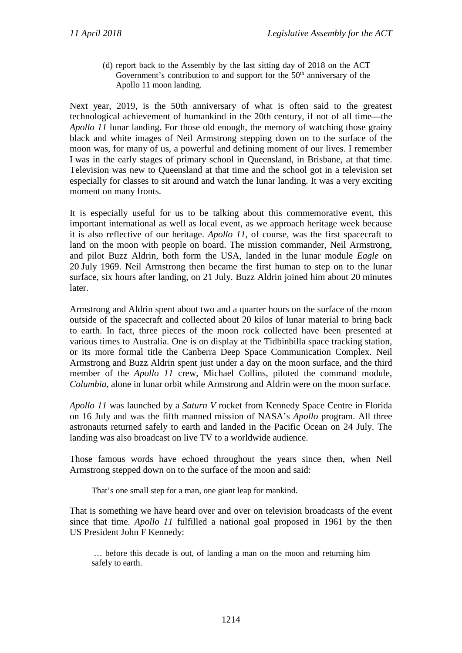(d) report back to the Assembly by the last sitting day of 2018 on the ACT Government's contribution to and support for the  $50<sup>th</sup>$  anniversary of the Apollo 11 moon landing.

Next year, 2019, is the 50th anniversary of what is often said to the greatest technological achievement of humankind in the 20th century, if not of all time—the *Apollo 11* lunar landing. For those old enough, the memory of watching those grainy black and white images of Neil Armstrong stepping down on to the surface of the moon was, for many of us, a powerful and defining moment of our lives. I remember I was in the early stages of primary school in Queensland, in Brisbane, at that time. Television was new to Queensland at that time and the school got in a television set especially for classes to sit around and watch the lunar landing. It was a very exciting moment on many fronts.

It is especially useful for us to be talking about this commemorative event, this important international as well as local event, as we approach heritage week because it is also reflective of our heritage. *Apollo 11*, of course, was the first spacecraft to land on the moon with people on board. The mission commander, Neil Armstrong, and pilot Buzz Aldrin, both form the USA, landed in the lunar module *Eagle* on 20 July 1969. Neil Armstrong then became the first human to step on to the lunar surface, six hours after landing, on 21 July. Buzz Aldrin joined him about 20 minutes later.

Armstrong and Aldrin spent about two and a quarter hours on the surface of the moon outside of the spacecraft and collected about 20 kilos of lunar material to bring back to earth. In fact, three pieces of the moon rock collected have been presented at various times to Australia. One is on display at the Tidbinbilla space tracking station, or its more formal title the Canberra Deep Space Communication Complex. Neil Armstrong and Buzz Aldrin spent just under a day on the moon surface, and the third member of the *Apollo 11* crew, Michael Collins, piloted the command module, *Columbia*, alone in lunar orbit while Armstrong and Aldrin were on the moon surface.

*Apollo 11* was launched by a *Saturn V* rocket from Kennedy Space Centre in Florida on 16 July and was the fifth manned mission of NASA's *Apollo* program. All three astronauts returned safely to earth and landed in the Pacific Ocean on 24 July. The landing was also broadcast on live TV to a worldwide audience.

Those famous words have echoed throughout the years since then, when Neil Armstrong stepped down on to the surface of the moon and said:

That's one small step for a man, one giant leap for mankind.

That is something we have heard over and over on television broadcasts of the event since that time. *Apollo 11* fulfilled a national goal proposed in 1961 by the then US President John F Kennedy:

… before this decade is out, of landing a man on the moon and returning him safely to earth.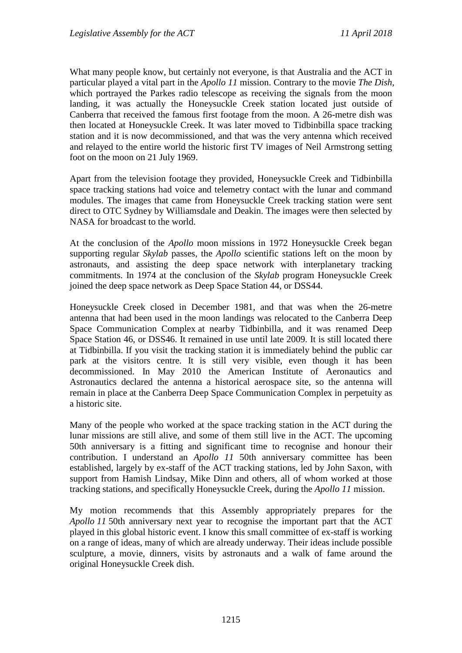What many people know, but certainly not everyone, is that Australia and the ACT in particular played a vital part in the *Apollo 11* mission. Contrary to the movie *The Dish*, which portrayed the Parkes radio telescope as receiving the signals from the moon landing, it was actually the Honeysuckle Creek station located just outside of Canberra that received the famous first footage from the moon. A 26-metre dish was then located at Honeysuckle Creek. It was later moved to Tidbinbilla space tracking station and it is now decommissioned, and that was the very antenna which received and relayed to the entire world the historic first TV images of Neil Armstrong setting foot on the moon on 21 July 1969.

Apart from the television footage they provided, Honeysuckle Creek and Tidbinbilla space tracking stations had voice and telemetry contact with the lunar and command modules. The images that came from Honeysuckle Creek tracking station were sent direct to OTC Sydney by Williamsdale and Deakin. The images were then selected by NASA for broadcast to the world.

At the conclusion of the *Apollo* moon missions in 1972 Honeysuckle Creek began supporting regular *Skylab* passes, the *Apollo* scientific stations left on the moon by astronauts, and assisting the deep space network with interplanetary tracking commitments. In 1974 at the conclusion of the *Skylab* program Honeysuckle Creek joined the deep space network as Deep Space Station 44, or DSS44.

Honeysuckle Creek closed in December 1981, and that was when the 26-metre antenna that had been used in the moon landings was relocated to the Canberra Deep Space Communication Complex at nearby Tidbinbilla, and it was renamed Deep Space Station 46, or DSS46. It remained in use until late 2009. It is still located there at Tidbinbilla. If you visit the tracking station it is immediately behind the public car park at the visitors centre. It is still very visible, even though it has been decommissioned. In May 2010 the American Institute of Aeronautics and Astronautics declared the antenna a historical aerospace site, so the antenna will remain in place at the Canberra Deep Space Communication Complex in perpetuity as a historic site.

Many of the people who worked at the space tracking station in the ACT during the lunar missions are still alive, and some of them still live in the ACT. The upcoming 50th anniversary is a fitting and significant time to recognise and honour their contribution. I understand an *Apollo 11* 50th anniversary committee has been established, largely by ex-staff of the ACT tracking stations, led by John Saxon, with support from Hamish Lindsay, Mike Dinn and others, all of whom worked at those tracking stations, and specifically Honeysuckle Creek, during the *Apollo 11* mission.

My motion recommends that this Assembly appropriately prepares for the *Apollo 11* 50th anniversary next year to recognise the important part that the ACT played in this global historic event. I know this small committee of ex-staff is working on a range of ideas, many of which are already underway. Their ideas include possible sculpture, a movie, dinners, visits by astronauts and a walk of fame around the original Honeysuckle Creek dish.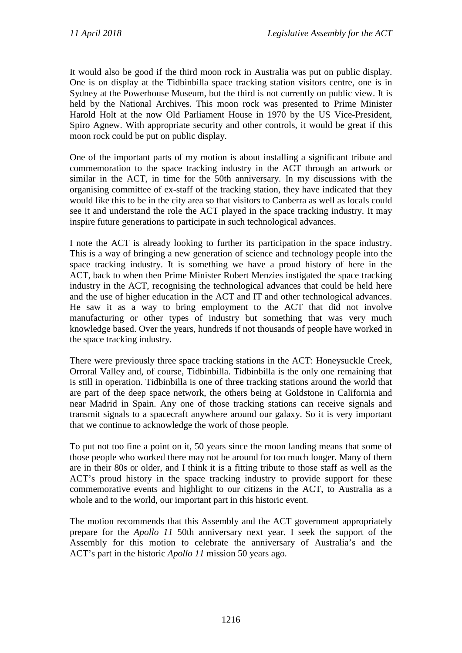It would also be good if the third moon rock in Australia was put on public display. One is on display at the Tidbinbilla space tracking station visitors centre, one is in Sydney at the Powerhouse Museum, but the third is not currently on public view. It is held by the National Archives. This moon rock was presented to Prime Minister Harold Holt at the now Old Parliament House in 1970 by the US Vice-President, Spiro Agnew. With appropriate security and other controls, it would be great if this moon rock could be put on public display.

One of the important parts of my motion is about installing a significant tribute and commemoration to the space tracking industry in the ACT through an artwork or similar in the ACT, in time for the 50th anniversary. In my discussions with the organising committee of ex-staff of the tracking station, they have indicated that they would like this to be in the city area so that visitors to Canberra as well as locals could see it and understand the role the ACT played in the space tracking industry. It may inspire future generations to participate in such technological advances.

I note the ACT is already looking to further its participation in the space industry. This is a way of bringing a new generation of science and technology people into the space tracking industry. It is something we have a proud history of here in the ACT, back to when then Prime Minister Robert Menzies instigated the space tracking industry in the ACT, recognising the technological advances that could be held here and the use of higher education in the ACT and IT and other technological advances. He saw it as a way to bring employment to the ACT that did not involve manufacturing or other types of industry but something that was very much knowledge based. Over the years, hundreds if not thousands of people have worked in the space tracking industry.

There were previously three space tracking stations in the ACT: Honeysuckle Creek, Orroral Valley and, of course, Tidbinbilla. Tidbinbilla is the only one remaining that is still in operation. Tidbinbilla is one of three tracking stations around the world that are part of the deep space network, the others being at Goldstone in California and near Madrid in Spain. Any one of those tracking stations can receive signals and transmit signals to a spacecraft anywhere around our galaxy. So it is very important that we continue to acknowledge the work of those people.

To put not too fine a point on it, 50 years since the moon landing means that some of those people who worked there may not be around for too much longer. Many of them are in their 80s or older, and I think it is a fitting tribute to those staff as well as the ACT's proud history in the space tracking industry to provide support for these commemorative events and highlight to our citizens in the ACT, to Australia as a whole and to the world, our important part in this historic event.

The motion recommends that this Assembly and the ACT government appropriately prepare for the *Apollo 11* 50th anniversary next year. I seek the support of the Assembly for this motion to celebrate the anniversary of Australia's and the ACT's part in the historic *Apollo 11* mission 50 years ago.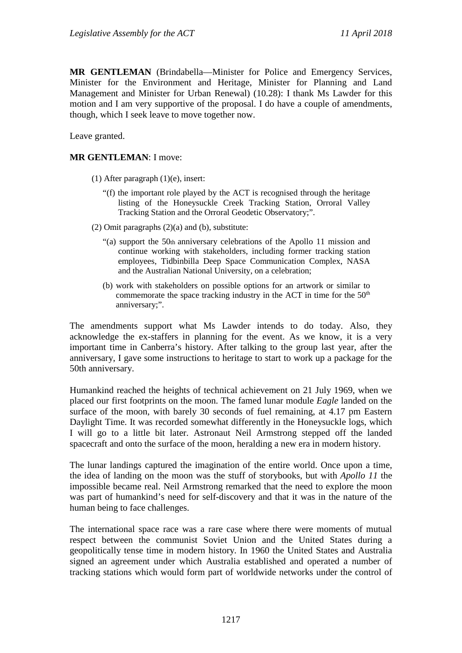**MR GENTLEMAN** (Brindabella—Minister for Police and Emergency Services, Minister for the Environment and Heritage, Minister for Planning and Land Management and Minister for Urban Renewal) (10.28): I thank Ms Lawder for this motion and I am very supportive of the proposal. I do have a couple of amendments, though, which I seek leave to move together now.

Leave granted.

#### **MR GENTLEMAN**: I move:

- (1) After paragraph (1)(e), insert:
	- "(f) the important role played by the ACT is recognised through the heritage listing of the Honeysuckle Creek Tracking Station, Orroral Valley Tracking Station and the Orroral Geodetic Observatory;".
- (2) Omit paragraphs (2)(a) and (b), substitute:
	- "(a) support the 50th anniversary celebrations of the Apollo 11 mission and continue working with stakeholders, including former tracking station employees, Tidbinbilla Deep Space Communication Complex, NASA and the Australian National University, on a celebration;
	- (b) work with stakeholders on possible options for an artwork or similar to commemorate the space tracking industry in the ACT in time for the  $50<sup>th</sup>$ anniversary;".

The amendments support what Ms Lawder intends to do today. Also, they acknowledge the ex-staffers in planning for the event. As we know, it is a very important time in Canberra's history. After talking to the group last year, after the anniversary, I gave some instructions to heritage to start to work up a package for the 50th anniversary.

Humankind reached the heights of technical achievement on 21 July 1969, when we placed our first footprints on the moon. The famed lunar module *Eagle* landed on the surface of the moon, with barely 30 seconds of fuel remaining, at 4.17 pm Eastern Daylight Time. It was recorded somewhat differently in the Honeysuckle logs, which I will go to a little bit later. Astronaut Neil Armstrong stepped off the landed spacecraft and onto the surface of the moon, heralding a new era in modern history.

The lunar landings captured the imagination of the entire world. Once upon a time, the idea of landing on the moon was the stuff of storybooks, but with *Apollo 11* the impossible became real. Neil Armstrong remarked that the need to explore the moon was part of humankind's need for self-discovery and that it was in the nature of the human being to face challenges.

The international space race was a rare case where there were moments of mutual respect between the communist Soviet Union and the United States during a geopolitically tense time in modern history. In 1960 the United States and Australia signed an agreement under which Australia established and operated a number of tracking stations which would form part of worldwide networks under the control of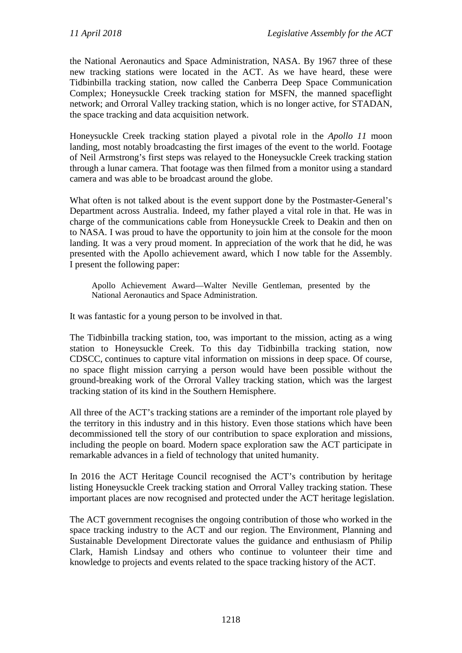the National Aeronautics and Space Administration, NASA. By 1967 three of these new tracking stations were located in the ACT. As we have heard, these were Tidbinbilla tracking station, now called the Canberra Deep Space Communication Complex; Honeysuckle Creek tracking station for MSFN, the manned spaceflight network; and Orroral Valley tracking station, which is no longer active, for STADAN, the space tracking and data acquisition network.

Honeysuckle Creek tracking station played a pivotal role in the *Apollo 11* moon landing, most notably broadcasting the first images of the event to the world. Footage of Neil Armstrong's first steps was relayed to the Honeysuckle Creek tracking station through a lunar camera. That footage was then filmed from a monitor using a standard camera and was able to be broadcast around the globe.

What often is not talked about is the event support done by the Postmaster-General's Department across Australia. Indeed, my father played a vital role in that. He was in charge of the communications cable from Honeysuckle Creek to Deakin and then on to NASA. I was proud to have the opportunity to join him at the console for the moon landing. It was a very proud moment. In appreciation of the work that he did, he was presented with the Apollo achievement award, which I now table for the Assembly. I present the following paper:

Apollo Achievement Award—Walter Neville Gentleman, presented by the National Aeronautics and Space Administration.

It was fantastic for a young person to be involved in that.

The Tidbinbilla tracking station, too, was important to the mission, acting as a wing station to Honeysuckle Creek. To this day Tidbinbilla tracking station, now CDSCC, continues to capture vital information on missions in deep space. Of course, no space flight mission carrying a person would have been possible without the ground-breaking work of the Orroral Valley tracking station, which was the largest tracking station of its kind in the Southern Hemisphere.

All three of the ACT's tracking stations are a reminder of the important role played by the territory in this industry and in this history. Even those stations which have been decommissioned tell the story of our contribution to space exploration and missions, including the people on board. Modern space exploration saw the ACT participate in remarkable advances in a field of technology that united humanity.

In 2016 the ACT Heritage Council recognised the ACT's contribution by heritage listing Honeysuckle Creek tracking station and Orroral Valley tracking station. These important places are now recognised and protected under the ACT heritage legislation.

The ACT government recognises the ongoing contribution of those who worked in the space tracking industry to the ACT and our region. The Environment, Planning and Sustainable Development Directorate values the guidance and enthusiasm of Philip Clark, Hamish Lindsay and others who continue to volunteer their time and knowledge to projects and events related to the space tracking history of the ACT.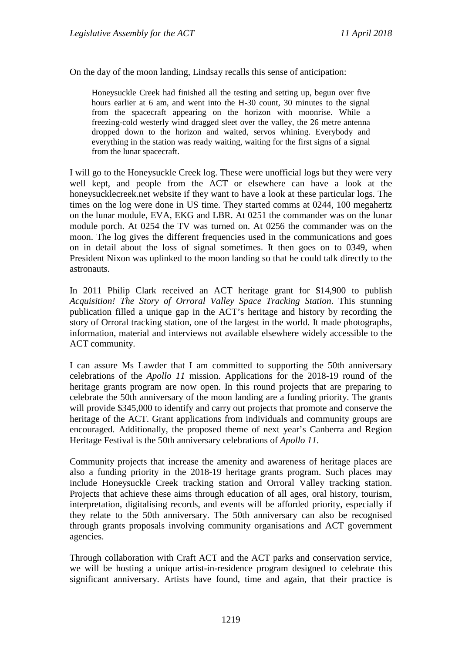On the day of the moon landing, Lindsay recalls this sense of anticipation:

Honeysuckle Creek had finished all the testing and setting up, begun over five hours earlier at 6 am, and went into the H-30 count, 30 minutes to the signal from the spacecraft appearing on the horizon with moonrise. While a freezing-cold westerly wind dragged sleet over the valley, the 26 metre antenna dropped down to the horizon and waited, servos whining. Everybody and everything in the station was ready waiting, waiting for the first signs of a signal from the lunar spacecraft.

I will go to the Honeysuckle Creek log. These were unofficial logs but they were very well kept, and people from the ACT or elsewhere can have a look at the honeysucklecreek.net website if they want to have a look at these particular logs. The times on the log were done in US time. They started comms at 0244, 100 megahertz on the lunar module, EVA, EKG and LBR. At 0251 the commander was on the lunar module porch. At 0254 the TV was turned on. At 0256 the commander was on the moon. The log gives the different frequencies used in the communications and goes on in detail about the loss of signal sometimes. It then goes on to 0349, when President Nixon was uplinked to the moon landing so that he could talk directly to the astronauts.

In 2011 Philip Clark received an ACT heritage grant for \$14,900 to publish *Acquisition! The Story of Orroral Valley Space Tracking Station*. This stunning publication filled a unique gap in the ACT's heritage and history by recording the story of Orroral tracking station, one of the largest in the world. It made photographs, information, material and interviews not available elsewhere widely accessible to the ACT community.

I can assure Ms Lawder that I am committed to supporting the 50th anniversary celebrations of the *Apollo 11* mission. Applications for the 2018-19 round of the heritage grants program are now open. In this round projects that are preparing to celebrate the 50th anniversary of the moon landing are a funding priority. The grants will provide \$345,000 to identify and carry out projects that promote and conserve the heritage of the ACT. Grant applications from individuals and community groups are encouraged. Additionally, the proposed theme of next year's Canberra and Region Heritage Festival is the 50th anniversary celebrations of *Apollo 11*.

Community projects that increase the amenity and awareness of heritage places are also a funding priority in the 2018-19 heritage grants program. Such places may include Honeysuckle Creek tracking station and Orroral Valley tracking station. Projects that achieve these aims through education of all ages, oral history, tourism, interpretation, digitalising records, and events will be afforded priority, especially if they relate to the 50th anniversary. The 50th anniversary can also be recognised through grants proposals involving community organisations and ACT government agencies.

Through collaboration with Craft ACT and the ACT parks and conservation service, we will be hosting a unique artist-in-residence program designed to celebrate this significant anniversary. Artists have found, time and again, that their practice is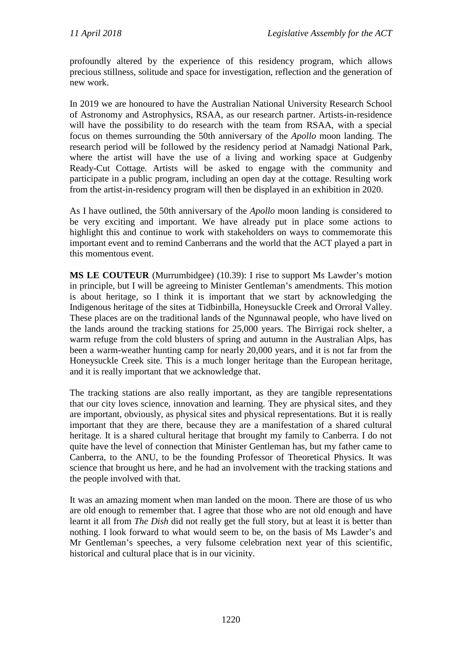profoundly altered by the experience of this residency program, which allows precious stillness, solitude and space for investigation, reflection and the generation of new work.

In 2019 we are honoured to have the Australian National University Research School of Astronomy and Astrophysics, RSAA, as our research partner. Artists-in-residence will have the possibility to do research with the team from RSAA, with a special focus on themes surrounding the 50th anniversary of the *Apollo* moon landing. The research period will be followed by the residency period at Namadgi National Park, where the artist will have the use of a living and working space at Gudgenby Ready-Cut Cottage. Artists will be asked to engage with the community and participate in a public program, including an open day at the cottage. Resulting work from the artist-in-residency program will then be displayed in an exhibition in 2020.

As I have outlined, the 50th anniversary of the *Apollo* moon landing is considered to be very exciting and important. We have already put in place some actions to highlight this and continue to work with stakeholders on ways to commemorate this important event and to remind Canberrans and the world that the ACT played a part in this momentous event.

**MS LE COUTEUR** (Murrumbidgee) (10.39): I rise to support Ms Lawder's motion in principle, but I will be agreeing to Minister Gentleman's amendments. This motion is about heritage, so I think it is important that we start by acknowledging the Indigenous heritage of the sites at Tidbinbilla, Honeysuckle Creek and Orroral Valley. These places are on the traditional lands of the Ngunnawal people, who have lived on the lands around the tracking stations for 25,000 years. The Birrigai rock shelter, a warm refuge from the cold blusters of spring and autumn in the Australian Alps, has been a warm-weather hunting camp for nearly 20,000 years, and it is not far from the Honeysuckle Creek site. This is a much longer heritage than the European heritage, and it is really important that we acknowledge that.

The tracking stations are also really important, as they are tangible representations that our city loves science, innovation and learning. They are physical sites, and they are important, obviously, as physical sites and physical representations. But it is really important that they are there, because they are a manifestation of a shared cultural heritage. It is a shared cultural heritage that brought my family to Canberra. I do not quite have the level of connection that Minister Gentleman has, but my father came to Canberra, to the ANU, to be the founding Professor of Theoretical Physics. It was science that brought us here, and he had an involvement with the tracking stations and the people involved with that.

It was an amazing moment when man landed on the moon. There are those of us who are old enough to remember that. I agree that those who are not old enough and have learnt it all from *The Dish* did not really get the full story, but at least it is better than nothing. I look forward to what would seem to be, on the basis of Ms Lawder's and Mr Gentleman's speeches, a very fulsome celebration next year of this scientific, historical and cultural place that is in our vicinity.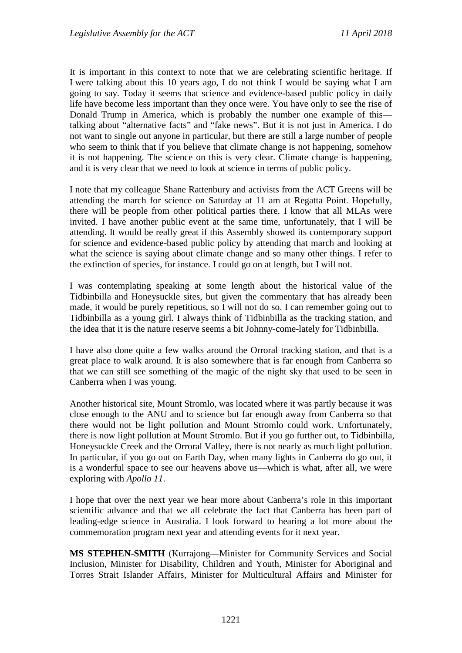It is important in this context to note that we are celebrating scientific heritage. If I were talking about this 10 years ago, I do not think I would be saying what I am going to say. Today it seems that science and evidence-based public policy in daily life have become less important than they once were. You have only to see the rise of Donald Trump in America, which is probably the number one example of this talking about "alternative facts" and "fake news". But it is not just in America. I do not want to single out anyone in particular, but there are still a large number of people who seem to think that if you believe that climate change is not happening, somehow it is not happening. The science on this is very clear. Climate change is happening, and it is very clear that we need to look at science in terms of public policy.

I note that my colleague Shane Rattenbury and activists from the ACT Greens will be attending the march for science on Saturday at 11 am at Regatta Point. Hopefully, there will be people from other political parties there. I know that all MLAs were invited. I have another public event at the same time, unfortunately, that I will be attending. It would be really great if this Assembly showed its contemporary support for science and evidence-based public policy by attending that march and looking at what the science is saying about climate change and so many other things. I refer to the extinction of species, for instance. I could go on at length, but I will not.

I was contemplating speaking at some length about the historical value of the Tidbinbilla and Honeysuckle sites, but given the commentary that has already been made, it would be purely repetitious, so I will not do so. I can remember going out to Tidbinbilla as a young girl. I always think of Tidbinbilla as the tracking station, and the idea that it is the nature reserve seems a bit Johnny-come-lately for Tidbinbilla.

I have also done quite a few walks around the Orroral tracking station, and that is a great place to walk around. It is also somewhere that is far enough from Canberra so that we can still see something of the magic of the night sky that used to be seen in Canberra when I was young.

Another historical site, Mount Stromlo, was located where it was partly because it was close enough to the ANU and to science but far enough away from Canberra so that there would not be light pollution and Mount Stromlo could work. Unfortunately, there is now light pollution at Mount Stromlo. But if you go further out, to Tidbinbilla, Honeysuckle Creek and the Orroral Valley, there is not nearly as much light pollution. In particular, if you go out on Earth Day, when many lights in Canberra do go out, it is a wonderful space to see our heavens above us—which is what, after all, we were exploring with *Apollo 11*.

I hope that over the next year we hear more about Canberra's role in this important scientific advance and that we all celebrate the fact that Canberra has been part of leading-edge science in Australia. I look forward to hearing a lot more about the commemoration program next year and attending events for it next year.

**MS STEPHEN-SMITH** (Kurrajong—Minister for Community Services and Social Inclusion, Minister for Disability, Children and Youth, Minister for Aboriginal and Torres Strait Islander Affairs, Minister for Multicultural Affairs and Minister for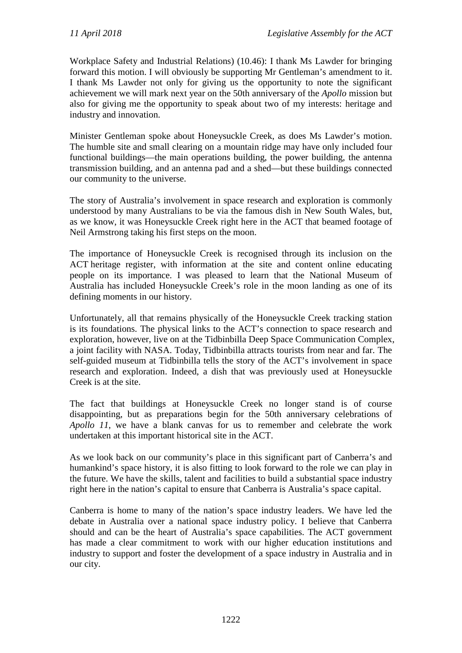Workplace Safety and Industrial Relations) (10.46): I thank Ms Lawder for bringing forward this motion. I will obviously be supporting Mr Gentleman's amendment to it. I thank Ms Lawder not only for giving us the opportunity to note the significant achievement we will mark next year on the 50th anniversary of the *Apollo* mission but also for giving me the opportunity to speak about two of my interests: heritage and industry and innovation.

Minister Gentleman spoke about Honeysuckle Creek, as does Ms Lawder's motion. The humble site and small clearing on a mountain ridge may have only included four functional buildings—the main operations building, the power building, the antenna transmission building, and an antenna pad and a shed—but these buildings connected our community to the universe.

The story of Australia's involvement in space research and exploration is commonly understood by many Australians to be via the famous dish in New South Wales, but, as we know, it was Honeysuckle Creek right here in the ACT that beamed footage of Neil Armstrong taking his first steps on the moon.

The importance of Honeysuckle Creek is recognised through its inclusion on the ACT heritage register, with information at the site and content online educating people on its importance. I was pleased to learn that the National Museum of Australia has included Honeysuckle Creek's role in the moon landing as one of its defining moments in our history.

Unfortunately, all that remains physically of the Honeysuckle Creek tracking station is its foundations. The physical links to the ACT's connection to space research and exploration, however, live on at the Tidbinbilla Deep Space Communication Complex, a joint facility with NASA. Today, Tidbinbilla attracts tourists from near and far. The self-guided museum at Tidbinbilla tells the story of the ACT's involvement in space research and exploration. Indeed, a dish that was previously used at Honeysuckle Creek is at the site.

The fact that buildings at Honeysuckle Creek no longer stand is of course disappointing, but as preparations begin for the 50th anniversary celebrations of *Apollo 11*, we have a blank canvas for us to remember and celebrate the work undertaken at this important historical site in the ACT.

As we look back on our community's place in this significant part of Canberra's and humankind's space history, it is also fitting to look forward to the role we can play in the future. We have the skills, talent and facilities to build a substantial space industry right here in the nation's capital to ensure that Canberra is Australia's space capital.

Canberra is home to many of the nation's space industry leaders. We have led the debate in Australia over a national space industry policy. I believe that Canberra should and can be the heart of Australia's space capabilities. The ACT government has made a clear commitment to work with our higher education institutions and industry to support and foster the development of a space industry in Australia and in our city.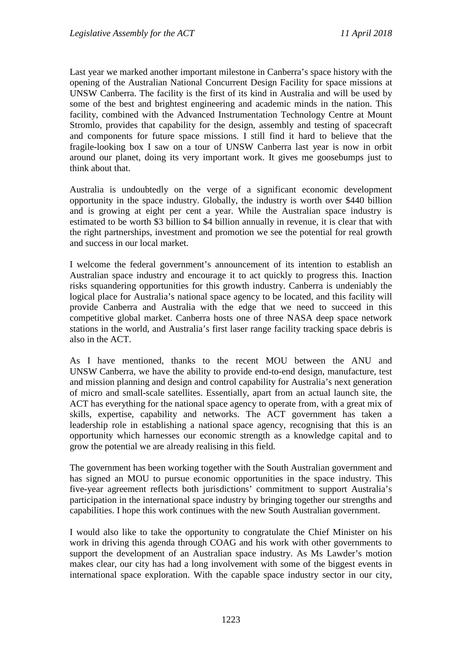Last year we marked another important milestone in Canberra's space history with the opening of the Australian National Concurrent Design Facility for space missions at UNSW Canberra. The facility is the first of its kind in Australia and will be used by some of the best and brightest engineering and academic minds in the nation. This facility, combined with the Advanced Instrumentation Technology Centre at Mount Stromlo, provides that capability for the design, assembly and testing of spacecraft and components for future space missions. I still find it hard to believe that the fragile-looking box I saw on a tour of UNSW Canberra last year is now in orbit around our planet, doing its very important work. It gives me goosebumps just to think about that.

Australia is undoubtedly on the verge of a significant economic development opportunity in the space industry. Globally, the industry is worth over \$440 billion and is growing at eight per cent a year. While the Australian space industry is estimated to be worth \$3 billion to \$4 billion annually in revenue, it is clear that with the right partnerships, investment and promotion we see the potential for real growth and success in our local market.

I welcome the federal government's announcement of its intention to establish an Australian space industry and encourage it to act quickly to progress this. Inaction risks squandering opportunities for this growth industry. Canberra is undeniably the logical place for Australia's national space agency to be located, and this facility will provide Canberra and Australia with the edge that we need to succeed in this competitive global market. Canberra hosts one of three NASA deep space network stations in the world, and Australia's first laser range facility tracking space debris is also in the ACT.

As I have mentioned, thanks to the recent MOU between the ANU and UNSW Canberra, we have the ability to provide end-to-end design, manufacture, test and mission planning and design and control capability for Australia's next generation of micro and small-scale satellites. Essentially, apart from an actual launch site, the ACT has everything for the national space agency to operate from, with a great mix of skills, expertise, capability and networks. The ACT government has taken a leadership role in establishing a national space agency, recognising that this is an opportunity which harnesses our economic strength as a knowledge capital and to grow the potential we are already realising in this field.

The government has been working together with the South Australian government and has signed an MOU to pursue economic opportunities in the space industry. This five-year agreement reflects both jurisdictions' commitment to support Australia's participation in the international space industry by bringing together our strengths and capabilities. I hope this work continues with the new South Australian government.

I would also like to take the opportunity to congratulate the Chief Minister on his work in driving this agenda through COAG and his work with other governments to support the development of an Australian space industry. As Ms Lawder's motion makes clear, our city has had a long involvement with some of the biggest events in international space exploration. With the capable space industry sector in our city,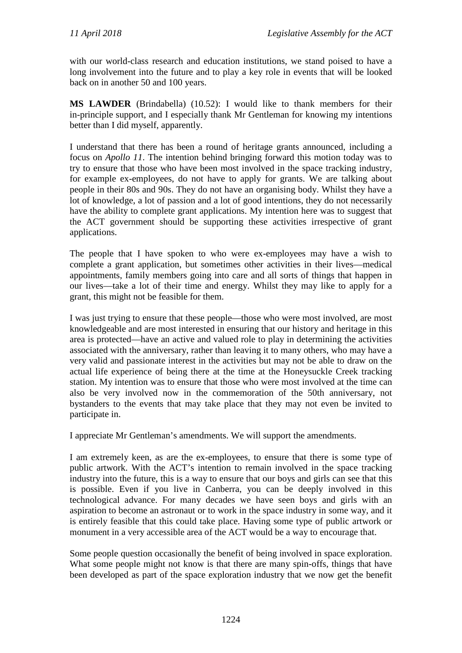with our world-class research and education institutions, we stand poised to have a long involvement into the future and to play a key role in events that will be looked back on in another 50 and 100 years.

**MS LAWDER** (Brindabella) (10.52): I would like to thank members for their in-principle support, and I especially thank Mr Gentleman for knowing my intentions better than I did myself, apparently.

I understand that there has been a round of heritage grants announced, including a focus on *Apollo 11*. The intention behind bringing forward this motion today was to try to ensure that those who have been most involved in the space tracking industry, for example ex-employees, do not have to apply for grants. We are talking about people in their 80s and 90s. They do not have an organising body. Whilst they have a lot of knowledge, a lot of passion and a lot of good intentions, they do not necessarily have the ability to complete grant applications. My intention here was to suggest that the ACT government should be supporting these activities irrespective of grant applications.

The people that I have spoken to who were ex-employees may have a wish to complete a grant application, but sometimes other activities in their lives—medical appointments, family members going into care and all sorts of things that happen in our lives—take a lot of their time and energy. Whilst they may like to apply for a grant, this might not be feasible for them.

I was just trying to ensure that these people—those who were most involved, are most knowledgeable and are most interested in ensuring that our history and heritage in this area is protected—have an active and valued role to play in determining the activities associated with the anniversary, rather than leaving it to many others, who may have a very valid and passionate interest in the activities but may not be able to draw on the actual life experience of being there at the time at the Honeysuckle Creek tracking station. My intention was to ensure that those who were most involved at the time can also be very involved now in the commemoration of the 50th anniversary, not bystanders to the events that may take place that they may not even be invited to participate in.

I appreciate Mr Gentleman's amendments. We will support the amendments.

I am extremely keen, as are the ex-employees, to ensure that there is some type of public artwork. With the ACT's intention to remain involved in the space tracking industry into the future, this is a way to ensure that our boys and girls can see that this is possible. Even if you live in Canberra, you can be deeply involved in this technological advance. For many decades we have seen boys and girls with an aspiration to become an astronaut or to work in the space industry in some way, and it is entirely feasible that this could take place. Having some type of public artwork or monument in a very accessible area of the ACT would be a way to encourage that.

Some people question occasionally the benefit of being involved in space exploration. What some people might not know is that there are many spin-offs, things that have been developed as part of the space exploration industry that we now get the benefit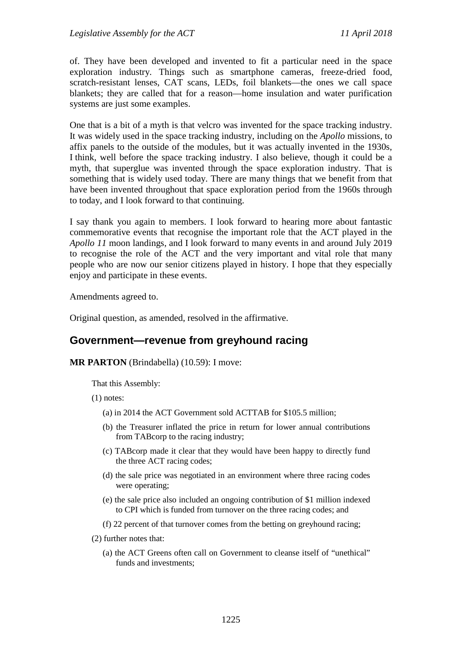of. They have been developed and invented to fit a particular need in the space exploration industry. Things such as smartphone cameras, freeze-dried food, scratch-resistant lenses, CAT scans, LEDs, foil blankets—the ones we call space blankets; they are called that for a reason—home insulation and water purification systems are just some examples.

One that is a bit of a myth is that velcro was invented for the space tracking industry. It was widely used in the space tracking industry, including on the *Apollo* missions, to affix panels to the outside of the modules, but it was actually invented in the 1930s, I think, well before the space tracking industry. I also believe, though it could be a myth, that superglue was invented through the space exploration industry. That is something that is widely used today. There are many things that we benefit from that have been invented throughout that space exploration period from the 1960s through to today, and I look forward to that continuing.

I say thank you again to members. I look forward to hearing more about fantastic commemorative events that recognise the important role that the ACT played in the *Apollo 11* moon landings, and I look forward to many events in and around July 2019 to recognise the role of the ACT and the very important and vital role that many people who are now our senior citizens played in history. I hope that they especially enjoy and participate in these events.

Amendments agreed to.

Original question, as amended, resolved in the affirmative.

## <span id="page-18-0"></span>**Government—revenue from greyhound racing**

#### **MR PARTON** (Brindabella) (10.59): I move:

That this Assembly:

(1) notes:

- (a) in 2014 the ACT Government sold ACTTAB for \$105.5 million;
- (b) the Treasurer inflated the price in return for lower annual contributions from TABcorp to the racing industry;
- (c) TABcorp made it clear that they would have been happy to directly fund the three ACT racing codes;
- (d) the sale price was negotiated in an environment where three racing codes were operating;
- (e) the sale price also included an ongoing contribution of \$1 million indexed to CPI which is funded from turnover on the three racing codes; and
- (f) 22 percent of that turnover comes from the betting on greyhound racing;
- (2) further notes that:
	- (a) the ACT Greens often call on Government to cleanse itself of "unethical" funds and investments;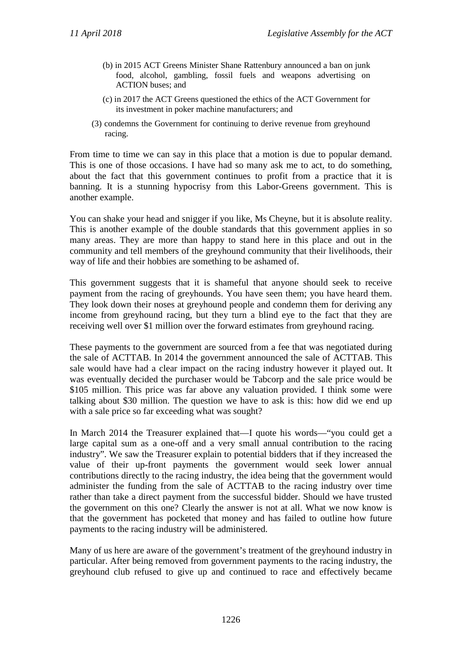- (b) in 2015 ACT Greens Minister Shane Rattenbury announced a ban on junk food, alcohol, gambling, fossil fuels and weapons advertising on ACTION buses; and
- (c) in 2017 the ACT Greens questioned the ethics of the ACT Government for its investment in poker machine manufacturers; and
- (3) condemns the Government for continuing to derive revenue from greyhound racing.

From time to time we can say in this place that a motion is due to popular demand. This is one of those occasions. I have had so many ask me to act, to do something, about the fact that this government continues to profit from a practice that it is banning. It is a stunning hypocrisy from this Labor-Greens government. This is another example.

You can shake your head and snigger if you like, Ms Cheyne, but it is absolute reality. This is another example of the double standards that this government applies in so many areas. They are more than happy to stand here in this place and out in the community and tell members of the greyhound community that their livelihoods, their way of life and their hobbies are something to be ashamed of.

This government suggests that it is shameful that anyone should seek to receive payment from the racing of greyhounds. You have seen them; you have heard them. They look down their noses at greyhound people and condemn them for deriving any income from greyhound racing, but they turn a blind eye to the fact that they are receiving well over \$1 million over the forward estimates from greyhound racing.

These payments to the government are sourced from a fee that was negotiated during the sale of ACTTAB. In 2014 the government announced the sale of ACTTAB. This sale would have had a clear impact on the racing industry however it played out. It was eventually decided the purchaser would be Tabcorp and the sale price would be \$105 million. This price was far above any valuation provided. I think some were talking about \$30 million. The question we have to ask is this: how did we end up with a sale price so far exceeding what was sought?

In March 2014 the Treasurer explained that—I quote his words—"you could get a large capital sum as a one-off and a very small annual contribution to the racing industry". We saw the Treasurer explain to potential bidders that if they increased the value of their up-front payments the government would seek lower annual contributions directly to the racing industry, the idea being that the government would administer the funding from the sale of ACTTAB to the racing industry over time rather than take a direct payment from the successful bidder. Should we have trusted the government on this one? Clearly the answer is not at all. What we now know is that the government has pocketed that money and has failed to outline how future payments to the racing industry will be administered.

Many of us here are aware of the government's treatment of the greyhound industry in particular. After being removed from government payments to the racing industry, the greyhound club refused to give up and continued to race and effectively became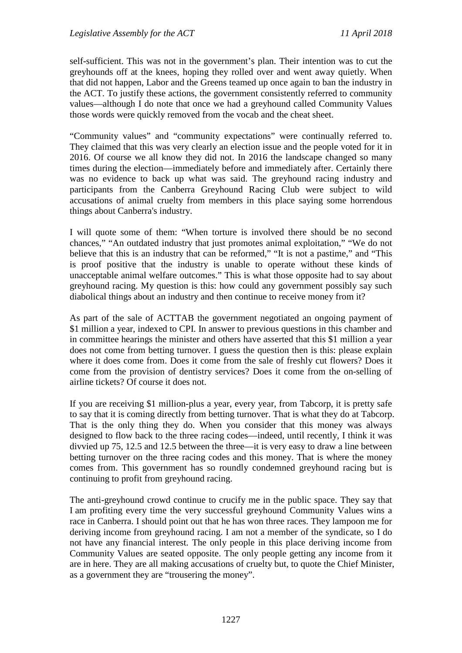self-sufficient. This was not in the government's plan. Their intention was to cut the greyhounds off at the knees, hoping they rolled over and went away quietly. When that did not happen, Labor and the Greens teamed up once again to ban the industry in the ACT. To justify these actions, the government consistently referred to community values—although I do note that once we had a greyhound called Community Values those words were quickly removed from the vocab and the cheat sheet.

"Community values" and "community expectations" were continually referred to. They claimed that this was very clearly an election issue and the people voted for it in 2016. Of course we all know they did not. In 2016 the landscape changed so many times during the election—immediately before and immediately after. Certainly there was no evidence to back up what was said. The greyhound racing industry and participants from the Canberra Greyhound Racing Club were subject to wild accusations of animal cruelty from members in this place saying some horrendous things about Canberra's industry.

I will quote some of them: "When torture is involved there should be no second chances," "An outdated industry that just promotes animal exploitation," "We do not believe that this is an industry that can be reformed," "It is not a pastime," and "This is proof positive that the industry is unable to operate without these kinds of unacceptable animal welfare outcomes." This is what those opposite had to say about greyhound racing. My question is this: how could any government possibly say such diabolical things about an industry and then continue to receive money from it?

As part of the sale of ACTTAB the government negotiated an ongoing payment of \$1 million a year, indexed to CPI. In answer to previous questions in this chamber and in committee hearings the minister and others have asserted that this \$1 million a year does not come from betting turnover. I guess the question then is this: please explain where it does come from. Does it come from the sale of freshly cut flowers? Does it come from the provision of dentistry services? Does it come from the on-selling of airline tickets? Of course it does not.

If you are receiving \$1 million-plus a year, every year, from Tabcorp, it is pretty safe to say that it is coming directly from betting turnover. That is what they do at Tabcorp. That is the only thing they do. When you consider that this money was always designed to flow back to the three racing codes—indeed, until recently, I think it was divvied up 75, 12.5 and 12.5 between the three—it is very easy to draw a line between betting turnover on the three racing codes and this money. That is where the money comes from. This government has so roundly condemned greyhound racing but is continuing to profit from greyhound racing.

The anti-greyhound crowd continue to crucify me in the public space. They say that I am profiting every time the very successful greyhound Community Values wins a race in Canberra. I should point out that he has won three races. They lampoon me for deriving income from greyhound racing. I am not a member of the syndicate, so I do not have any financial interest. The only people in this place deriving income from Community Values are seated opposite. The only people getting any income from it are in here. They are all making accusations of cruelty but, to quote the Chief Minister, as a government they are "trousering the money".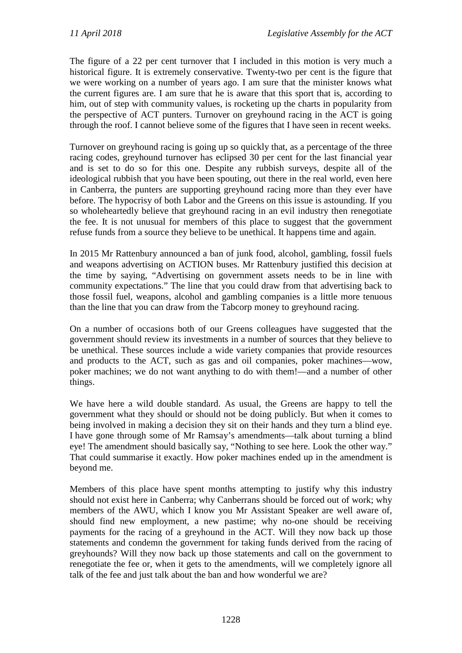The figure of a 22 per cent turnover that I included in this motion is very much a historical figure. It is extremely conservative. Twenty-two per cent is the figure that we were working on a number of years ago. I am sure that the minister knows what the current figures are. I am sure that he is aware that this sport that is, according to him, out of step with community values, is rocketing up the charts in popularity from the perspective of ACT punters. Turnover on greyhound racing in the ACT is going through the roof. I cannot believe some of the figures that I have seen in recent weeks.

Turnover on greyhound racing is going up so quickly that, as a percentage of the three racing codes, greyhound turnover has eclipsed 30 per cent for the last financial year and is set to do so for this one. Despite any rubbish surveys, despite all of the ideological rubbish that you have been spouting, out there in the real world, even here in Canberra, the punters are supporting greyhound racing more than they ever have before. The hypocrisy of both Labor and the Greens on this issue is astounding. If you so wholeheartedly believe that greyhound racing in an evil industry then renegotiate the fee. It is not unusual for members of this place to suggest that the government refuse funds from a source they believe to be unethical. It happens time and again.

In 2015 Mr Rattenbury announced a ban of junk food, alcohol, gambling, fossil fuels and weapons advertising on ACTION buses. Mr Rattenbury justified this decision at the time by saying, "Advertising on government assets needs to be in line with community expectations." The line that you could draw from that advertising back to those fossil fuel, weapons, alcohol and gambling companies is a little more tenuous than the line that you can draw from the Tabcorp money to greyhound racing.

On a number of occasions both of our Greens colleagues have suggested that the government should review its investments in a number of sources that they believe to be unethical. These sources include a wide variety companies that provide resources and products to the ACT, such as gas and oil companies, poker machines—wow, poker machines; we do not want anything to do with them!—and a number of other things.

We have here a wild double standard. As usual, the Greens are happy to tell the government what they should or should not be doing publicly. But when it comes to being involved in making a decision they sit on their hands and they turn a blind eye. I have gone through some of Mr Ramsay's amendments—talk about turning a blind eye! The amendment should basically say, "Nothing to see here. Look the other way." That could summarise it exactly. How poker machines ended up in the amendment is beyond me.

Members of this place have spent months attempting to justify why this industry should not exist here in Canberra; why Canberrans should be forced out of work; why members of the AWU, which I know you Mr Assistant Speaker are well aware of, should find new employment, a new pastime; why no-one should be receiving payments for the racing of a greyhound in the ACT. Will they now back up those statements and condemn the government for taking funds derived from the racing of greyhounds? Will they now back up those statements and call on the government to renegotiate the fee or, when it gets to the amendments, will we completely ignore all talk of the fee and just talk about the ban and how wonderful we are?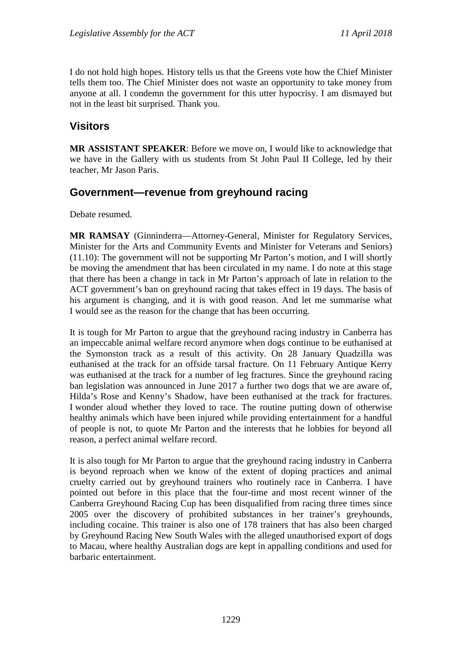I do not hold high hopes. History tells us that the Greens vote how the Chief Minister tells them too. The Chief Minister does not waste an opportunity to take money from anyone at all. I condemn the government for this utter hypocrisy. I am dismayed but not in the least bit surprised. Thank you.

## <span id="page-22-0"></span>**Visitors**

**MR ASSISTANT SPEAKER**: Before we move on, I would like to acknowledge that we have in the Gallery with us students from St John Paul II College, led by their teacher, Mr Jason Paris.

### <span id="page-22-1"></span>**Government—revenue from greyhound racing**

Debate resumed.

**MR RAMSAY** (Ginninderra—Attorney-General, Minister for Regulatory Services, Minister for the Arts and Community Events and Minister for Veterans and Seniors) (11.10): The government will not be supporting Mr Parton's motion, and I will shortly be moving the amendment that has been circulated in my name. I do note at this stage that there has been a change in tack in Mr Parton's approach of late in relation to the ACT government's ban on greyhound racing that takes effect in 19 days. The basis of his argument is changing, and it is with good reason. And let me summarise what I would see as the reason for the change that has been occurring.

It is tough for Mr Parton to argue that the greyhound racing industry in Canberra has an impeccable animal welfare record anymore when dogs continue to be euthanised at the Symonston track as a result of this activity. On 28 January Quadzilla was euthanised at the track for an offside tarsal fracture. On 11 February Antique Kerry was euthanised at the track for a number of leg fractures. Since the greyhound racing ban legislation was announced in June 2017 a further two dogs that we are aware of, Hilda's Rose and Kenny's Shadow, have been euthanised at the track for fractures. I wonder aloud whether they loved to race. The routine putting down of otherwise healthy animals which have been injured while providing entertainment for a handful of people is not, to quote Mr Parton and the interests that he lobbies for beyond all reason, a perfect animal welfare record.

It is also tough for Mr Parton to argue that the greyhound racing industry in Canberra is beyond reproach when we know of the extent of doping practices and animal cruelty carried out by greyhound trainers who routinely race in Canberra. I have pointed out before in this place that the four-time and most recent winner of the Canberra Greyhound Racing Cup has been disqualified from racing three times since 2005 over the discovery of prohibited substances in her trainer's greyhounds, including cocaine. This trainer is also one of 178 trainers that has also been charged by Greyhound Racing New South Wales with the alleged unauthorised export of dogs to Macau, where healthy Australian dogs are kept in appalling conditions and used for barbaric entertainment.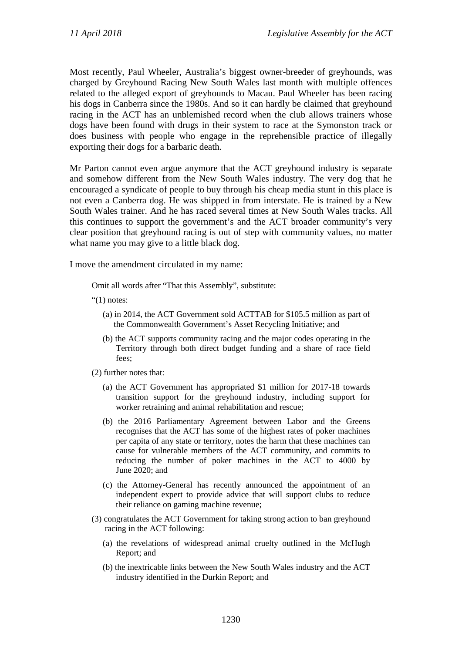Most recently, Paul Wheeler, Australia's biggest owner-breeder of greyhounds, was charged by Greyhound Racing New South Wales last month with multiple offences related to the alleged export of greyhounds to Macau. Paul Wheeler has been racing his dogs in Canberra since the 1980s. And so it can hardly be claimed that greyhound racing in the ACT has an unblemished record when the club allows trainers whose dogs have been found with drugs in their system to race at the Symonston track or does business with people who engage in the reprehensible practice of illegally exporting their dogs for a barbaric death.

Mr Parton cannot even argue anymore that the ACT greyhound industry is separate and somehow different from the New South Wales industry. The very dog that he encouraged a syndicate of people to buy through his cheap media stunt in this place is not even a Canberra dog. He was shipped in from interstate. He is trained by a New South Wales trainer. And he has raced several times at New South Wales tracks. All this continues to support the government's and the ACT broader community's very clear position that greyhound racing is out of step with community values, no matter what name you may give to a little black dog.

I move the amendment circulated in my name:

Omit all words after "That this Assembly", substitute:

- " $(1)$  notes:
	- (a) in 2014, the ACT Government sold ACTTAB for \$105.5 million as part of the Commonwealth Government's Asset Recycling Initiative; and
	- (b) the ACT supports community racing and the major codes operating in the Territory through both direct budget funding and a share of race field fees;
- (2) further notes that:
	- (a) the ACT Government has appropriated \$1 million for 2017-18 towards transition support for the greyhound industry, including support for worker retraining and animal rehabilitation and rescue;
	- (b) the 2016 Parliamentary Agreement between Labor and the Greens recognises that the ACT has some of the highest rates of poker machines per capita of any state or territory, notes the harm that these machines can cause for vulnerable members of the ACT community, and commits to reducing the number of poker machines in the ACT to 4000 by June 2020; and
	- (c) the Attorney-General has recently announced the appointment of an independent expert to provide advice that will support clubs to reduce their reliance on gaming machine revenue;
- (3) congratulates the ACT Government for taking strong action to ban greyhound racing in the ACT following:
	- (a) the revelations of widespread animal cruelty outlined in the McHugh Report; and
	- (b) the inextricable links between the New South Wales industry and the ACT industry identified in the Durkin Report; and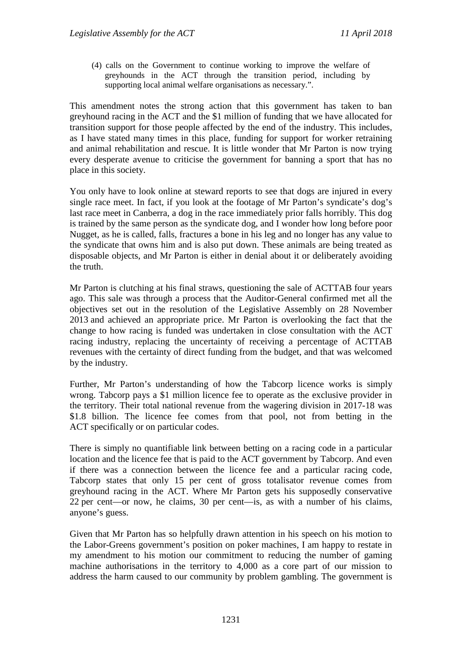(4) calls on the Government to continue working to improve the welfare of greyhounds in the ACT through the transition period, including by supporting local animal welfare organisations as necessary.".

This amendment notes the strong action that this government has taken to ban greyhound racing in the ACT and the \$1 million of funding that we have allocated for transition support for those people affected by the end of the industry. This includes, as I have stated many times in this place, funding for support for worker retraining and animal rehabilitation and rescue. It is little wonder that Mr Parton is now trying every desperate avenue to criticise the government for banning a sport that has no place in this society.

You only have to look online at steward reports to see that dogs are injured in every single race meet. In fact, if you look at the footage of Mr Parton's syndicate's dog's last race meet in Canberra, a dog in the race immediately prior falls horribly. This dog is trained by the same person as the syndicate dog, and I wonder how long before poor Nugget, as he is called, falls, fractures a bone in his leg and no longer has any value to the syndicate that owns him and is also put down. These animals are being treated as disposable objects, and Mr Parton is either in denial about it or deliberately avoiding the truth.

Mr Parton is clutching at his final straws, questioning the sale of ACTTAB four years ago. This sale was through a process that the Auditor-General confirmed met all the objectives set out in the resolution of the Legislative Assembly on 28 November 2013 and achieved an appropriate price. Mr Parton is overlooking the fact that the change to how racing is funded was undertaken in close consultation with the ACT racing industry, replacing the uncertainty of receiving a percentage of ACTTAB revenues with the certainty of direct funding from the budget, and that was welcomed by the industry.

Further, Mr Parton's understanding of how the Tabcorp licence works is simply wrong. Tabcorp pays a \$1 million licence fee to operate as the exclusive provider in the territory. Their total national revenue from the wagering division in 2017-18 was \$1.8 billion. The licence fee comes from that pool, not from betting in the ACT specifically or on particular codes.

There is simply no quantifiable link between betting on a racing code in a particular location and the licence fee that is paid to the ACT government by Tabcorp. And even if there was a connection between the licence fee and a particular racing code, Tabcorp states that only 15 per cent of gross totalisator revenue comes from greyhound racing in the ACT. Where Mr Parton gets his supposedly conservative 22 per cent—or now, he claims, 30 per cent—is, as with a number of his claims, anyone's guess.

Given that Mr Parton has so helpfully drawn attention in his speech on his motion to the Labor-Greens government's position on poker machines, I am happy to restate in my amendment to his motion our commitment to reducing the number of gaming machine authorisations in the territory to 4,000 as a core part of our mission to address the harm caused to our community by problem gambling. The government is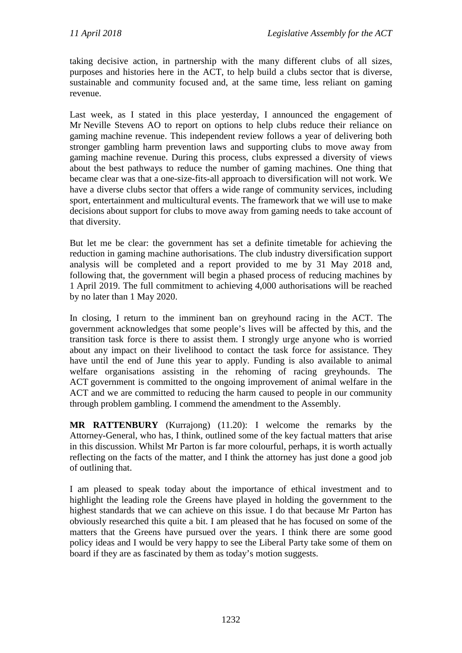taking decisive action, in partnership with the many different clubs of all sizes, purposes and histories here in the ACT, to help build a clubs sector that is diverse, sustainable and community focused and, at the same time, less reliant on gaming revenue.

Last week, as I stated in this place yesterday, I announced the engagement of Mr Neville Stevens AO to report on options to help clubs reduce their reliance on gaming machine revenue. This independent review follows a year of delivering both stronger gambling harm prevention laws and supporting clubs to move away from gaming machine revenue. During this process, clubs expressed a diversity of views about the best pathways to reduce the number of gaming machines. One thing that became clear was that a one-size-fits-all approach to diversification will not work. We have a diverse clubs sector that offers a wide range of community services, including sport, entertainment and multicultural events. The framework that we will use to make decisions about support for clubs to move away from gaming needs to take account of that diversity.

But let me be clear: the government has set a definite timetable for achieving the reduction in gaming machine authorisations. The club industry diversification support analysis will be completed and a report provided to me by 31 May 2018 and, following that, the government will begin a phased process of reducing machines by 1 April 2019. The full commitment to achieving 4,000 authorisations will be reached by no later than 1 May 2020.

In closing, I return to the imminent ban on greyhound racing in the ACT. The government acknowledges that some people's lives will be affected by this, and the transition task force is there to assist them. I strongly urge anyone who is worried about any impact on their livelihood to contact the task force for assistance. They have until the end of June this year to apply. Funding is also available to animal welfare organisations assisting in the rehoming of racing greyhounds. The ACT government is committed to the ongoing improvement of animal welfare in the ACT and we are committed to reducing the harm caused to people in our community through problem gambling. I commend the amendment to the Assembly.

**MR RATTENBURY** (Kurrajong) (11.20): I welcome the remarks by the Attorney-General, who has, I think, outlined some of the key factual matters that arise in this discussion. Whilst Mr Parton is far more colourful, perhaps, it is worth actually reflecting on the facts of the matter, and I think the attorney has just done a good job of outlining that.

I am pleased to speak today about the importance of ethical investment and to highlight the leading role the Greens have played in holding the government to the highest standards that we can achieve on this issue. I do that because Mr Parton has obviously researched this quite a bit. I am pleased that he has focused on some of the matters that the Greens have pursued over the years. I think there are some good policy ideas and I would be very happy to see the Liberal Party take some of them on board if they are as fascinated by them as today's motion suggests.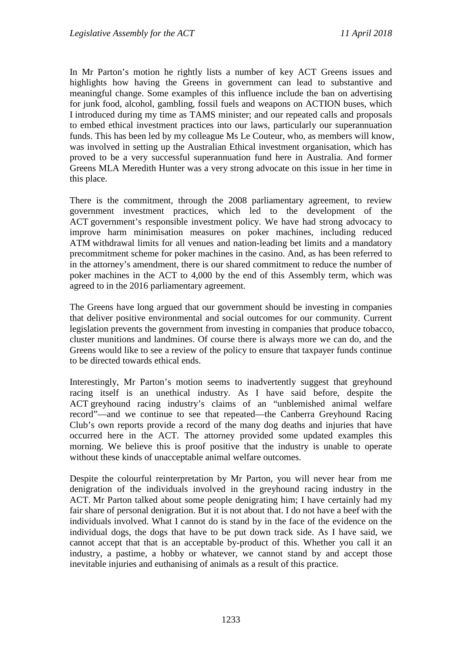In Mr Parton's motion he rightly lists a number of key ACT Greens issues and highlights how having the Greens in government can lead to substantive and meaningful change. Some examples of this influence include the ban on advertising for junk food, alcohol, gambling, fossil fuels and weapons on ACTION buses, which I introduced during my time as TAMS minister; and our repeated calls and proposals to embed ethical investment practices into our laws, particularly our superannuation funds. This has been led by my colleague Ms Le Couteur, who, as members will know, was involved in setting up the Australian Ethical investment organisation, which has proved to be a very successful superannuation fund here in Australia. And former Greens MLA Meredith Hunter was a very strong advocate on this issue in her time in this place.

There is the commitment, through the 2008 parliamentary agreement, to review government investment practices, which led to the development of the ACT government's responsible investment policy. We have had strong advocacy to improve harm minimisation measures on poker machines, including reduced ATM withdrawal limits for all venues and nation-leading bet limits and a mandatory precommitment scheme for poker machines in the casino. And, as has been referred to in the attorney's amendment, there is our shared commitment to reduce the number of poker machines in the ACT to 4,000 by the end of this Assembly term, which was agreed to in the 2016 parliamentary agreement.

The Greens have long argued that our government should be investing in companies that deliver positive environmental and social outcomes for our community. Current legislation prevents the government from investing in companies that produce tobacco, cluster munitions and landmines. Of course there is always more we can do, and the Greens would like to see a review of the policy to ensure that taxpayer funds continue to be directed towards ethical ends.

Interestingly, Mr Parton's motion seems to inadvertently suggest that greyhound racing itself is an unethical industry. As I have said before, despite the ACT greyhound racing industry's claims of an "unblemished animal welfare record"—and we continue to see that repeated—the Canberra Greyhound Racing Club's own reports provide a record of the many dog deaths and injuries that have occurred here in the ACT. The attorney provided some updated examples this morning. We believe this is proof positive that the industry is unable to operate without these kinds of unacceptable animal welfare outcomes.

Despite the colourful reinterpretation by Mr Parton, you will never hear from me denigration of the individuals involved in the greyhound racing industry in the ACT. Mr Parton talked about some people denigrating him; I have certainly had my fair share of personal denigration. But it is not about that. I do not have a beef with the individuals involved. What I cannot do is stand by in the face of the evidence on the individual dogs, the dogs that have to be put down track side. As I have said, we cannot accept that that is an acceptable by-product of this. Whether you call it an industry, a pastime, a hobby or whatever, we cannot stand by and accept those inevitable injuries and euthanising of animals as a result of this practice.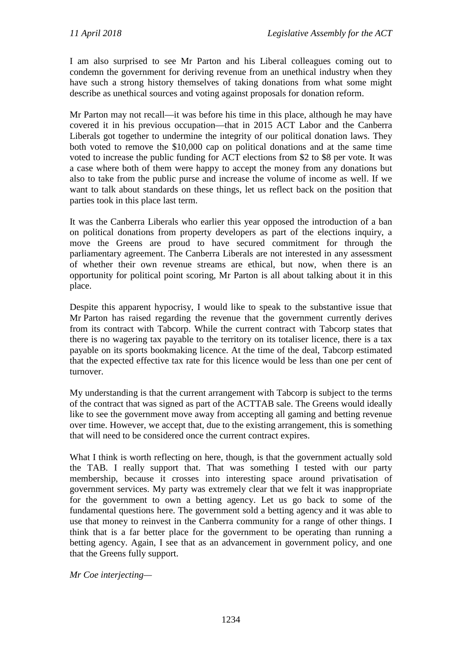I am also surprised to see Mr Parton and his Liberal colleagues coming out to condemn the government for deriving revenue from an unethical industry when they have such a strong history themselves of taking donations from what some might describe as unethical sources and voting against proposals for donation reform.

Mr Parton may not recall—it was before his time in this place, although he may have covered it in his previous occupation—that in 2015 ACT Labor and the Canberra Liberals got together to undermine the integrity of our political donation laws. They both voted to remove the \$10,000 cap on political donations and at the same time voted to increase the public funding for ACT elections from \$2 to \$8 per vote. It was a case where both of them were happy to accept the money from any donations but also to take from the public purse and increase the volume of income as well. If we want to talk about standards on these things, let us reflect back on the position that parties took in this place last term.

It was the Canberra Liberals who earlier this year opposed the introduction of a ban on political donations from property developers as part of the elections inquiry, a move the Greens are proud to have secured commitment for through the parliamentary agreement. The Canberra Liberals are not interested in any assessment of whether their own revenue streams are ethical, but now, when there is an opportunity for political point scoring, Mr Parton is all about talking about it in this place.

Despite this apparent hypocrisy, I would like to speak to the substantive issue that Mr Parton has raised regarding the revenue that the government currently derives from its contract with Tabcorp. While the current contract with Tabcorp states that there is no wagering tax payable to the territory on its totaliser licence, there is a tax payable on its sports bookmaking licence. At the time of the deal, Tabcorp estimated that the expected effective tax rate for this licence would be less than one per cent of turnover.

My understanding is that the current arrangement with Tabcorp is subject to the terms of the contract that was signed as part of the ACTTAB sale. The Greens would ideally like to see the government move away from accepting all gaming and betting revenue over time. However, we accept that, due to the existing arrangement, this is something that will need to be considered once the current contract expires.

What I think is worth reflecting on here, though, is that the government actually sold the TAB. I really support that. That was something I tested with our party membership, because it crosses into interesting space around privatisation of government services. My party was extremely clear that we felt it was inappropriate for the government to own a betting agency. Let us go back to some of the fundamental questions here. The government sold a betting agency and it was able to use that money to reinvest in the Canberra community for a range of other things. I think that is a far better place for the government to be operating than running a betting agency. Again, I see that as an advancement in government policy, and one that the Greens fully support.

*Mr Coe interjecting—*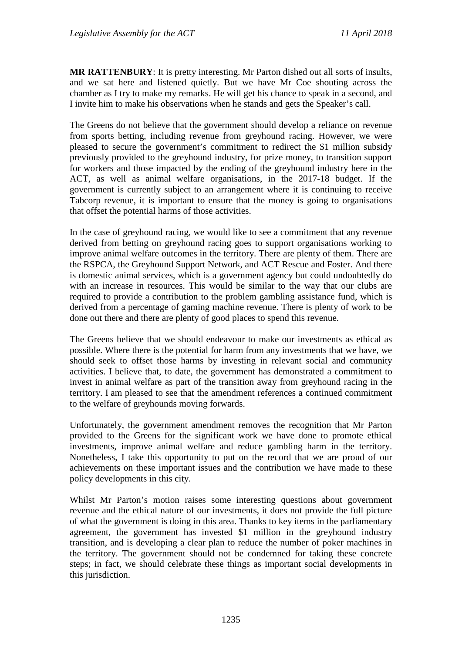**MR RATTENBURY**: It is pretty interesting. Mr Parton dished out all sorts of insults, and we sat here and listened quietly. But we have Mr Coe shouting across the chamber as I try to make my remarks. He will get his chance to speak in a second, and I invite him to make his observations when he stands and gets the Speaker's call.

The Greens do not believe that the government should develop a reliance on revenue from sports betting, including revenue from greyhound racing. However, we were pleased to secure the government's commitment to redirect the \$1 million subsidy previously provided to the greyhound industry, for prize money, to transition support for workers and those impacted by the ending of the greyhound industry here in the ACT, as well as animal welfare organisations, in the 2017-18 budget. If the government is currently subject to an arrangement where it is continuing to receive Tabcorp revenue, it is important to ensure that the money is going to organisations that offset the potential harms of those activities.

In the case of greyhound racing, we would like to see a commitment that any revenue derived from betting on greyhound racing goes to support organisations working to improve animal welfare outcomes in the territory. There are plenty of them. There are the RSPCA, the Greyhound Support Network, and ACT Rescue and Foster. And there is domestic animal services, which is a government agency but could undoubtedly do with an increase in resources. This would be similar to the way that our clubs are required to provide a contribution to the problem gambling assistance fund, which is derived from a percentage of gaming machine revenue. There is plenty of work to be done out there and there are plenty of good places to spend this revenue.

The Greens believe that we should endeavour to make our investments as ethical as possible. Where there is the potential for harm from any investments that we have, we should seek to offset those harms by investing in relevant social and community activities. I believe that, to date, the government has demonstrated a commitment to invest in animal welfare as part of the transition away from greyhound racing in the territory. I am pleased to see that the amendment references a continued commitment to the welfare of greyhounds moving forwards.

Unfortunately, the government amendment removes the recognition that Mr Parton provided to the Greens for the significant work we have done to promote ethical investments, improve animal welfare and reduce gambling harm in the territory. Nonetheless, I take this opportunity to put on the record that we are proud of our achievements on these important issues and the contribution we have made to these policy developments in this city.

Whilst Mr Parton's motion raises some interesting questions about government revenue and the ethical nature of our investments, it does not provide the full picture of what the government is doing in this area. Thanks to key items in the parliamentary agreement, the government has invested \$1 million in the greyhound industry transition, and is developing a clear plan to reduce the number of poker machines in the territory. The government should not be condemned for taking these concrete steps; in fact, we should celebrate these things as important social developments in this jurisdiction.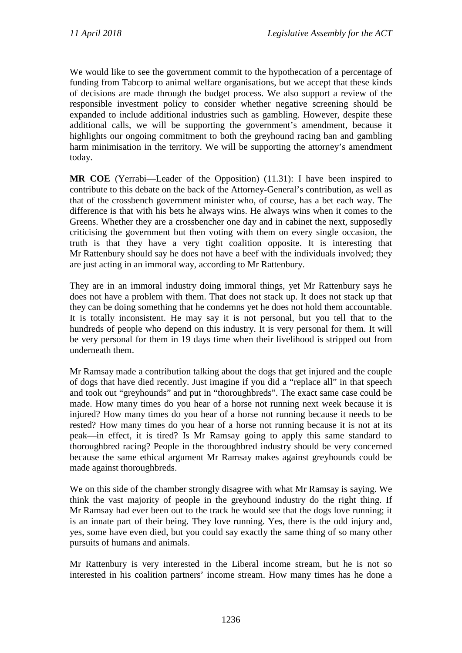We would like to see the government commit to the hypothecation of a percentage of funding from Tabcorp to animal welfare organisations, but we accept that these kinds of decisions are made through the budget process. We also support a review of the responsible investment policy to consider whether negative screening should be expanded to include additional industries such as gambling. However, despite these additional calls, we will be supporting the government's amendment, because it highlights our ongoing commitment to both the greyhound racing ban and gambling harm minimisation in the territory. We will be supporting the attorney's amendment today.

**MR COE** (Yerrabi—Leader of the Opposition) (11.31): I have been inspired to contribute to this debate on the back of the Attorney-General's contribution, as well as that of the crossbench government minister who, of course, has a bet each way. The difference is that with his bets he always wins. He always wins when it comes to the Greens. Whether they are a crossbencher one day and in cabinet the next, supposedly criticising the government but then voting with them on every single occasion, the truth is that they have a very tight coalition opposite. It is interesting that Mr Rattenbury should say he does not have a beef with the individuals involved; they are just acting in an immoral way, according to Mr Rattenbury.

They are in an immoral industry doing immoral things, yet Mr Rattenbury says he does not have a problem with them. That does not stack up. It does not stack up that they can be doing something that he condemns yet he does not hold them accountable. It is totally inconsistent. He may say it is not personal, but you tell that to the hundreds of people who depend on this industry. It is very personal for them. It will be very personal for them in 19 days time when their livelihood is stripped out from underneath them.

Mr Ramsay made a contribution talking about the dogs that get injured and the couple of dogs that have died recently. Just imagine if you did a "replace all" in that speech and took out "greyhounds" and put in "thoroughbreds". The exact same case could be made. How many times do you hear of a horse not running next week because it is injured? How many times do you hear of a horse not running because it needs to be rested? How many times do you hear of a horse not running because it is not at its peak—in effect, it is tired? Is Mr Ramsay going to apply this same standard to thoroughbred racing? People in the thoroughbred industry should be very concerned because the same ethical argument Mr Ramsay makes against greyhounds could be made against thoroughbreds.

We on this side of the chamber strongly disagree with what Mr Ramsay is saying. We think the vast majority of people in the greyhound industry do the right thing. If Mr Ramsay had ever been out to the track he would see that the dogs love running; it is an innate part of their being. They love running. Yes, there is the odd injury and, yes, some have even died, but you could say exactly the same thing of so many other pursuits of humans and animals.

Mr Rattenbury is very interested in the Liberal income stream, but he is not so interested in his coalition partners' income stream. How many times has he done a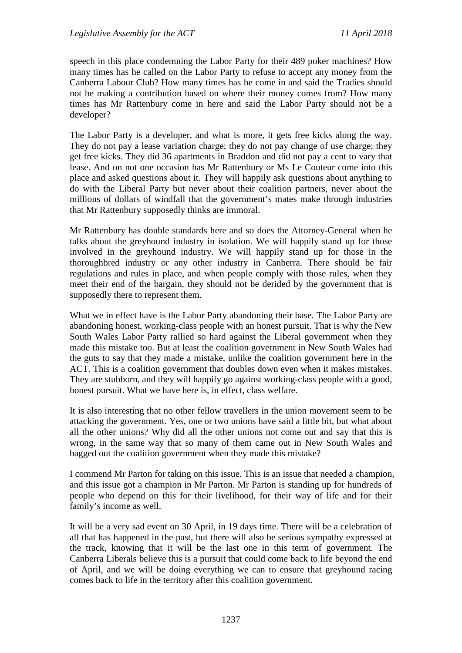speech in this place condemning the Labor Party for their 489 poker machines? How many times has he called on the Labor Party to refuse to accept any money from the Canberra Labour Club? How many times has he come in and said the Tradies should not be making a contribution based on where their money comes from? How many times has Mr Rattenbury come in here and said the Labor Party should not be a developer?

The Labor Party is a developer, and what is more, it gets free kicks along the way. They do not pay a lease variation charge; they do not pay change of use charge; they get free kicks. They did 36 apartments in Braddon and did not pay a cent to vary that lease. And on not one occasion has Mr Rattenbury or Ms Le Couteur come into this place and asked questions about it. They will happily ask questions about anything to do with the Liberal Party but never about their coalition partners, never about the millions of dollars of windfall that the government's mates make through industries that Mr Rattenbury supposedly thinks are immoral.

Mr Rattenbury has double standards here and so does the Attorney-General when he talks about the greyhound industry in isolation. We will happily stand up for those involved in the greyhound industry. We will happily stand up for those in the thoroughbred industry or any other industry in Canberra. There should be fair regulations and rules in place, and when people comply with those rules, when they meet their end of the bargain, they should not be derided by the government that is supposedly there to represent them.

What we in effect have is the Labor Party abandoning their base. The Labor Party are abandoning honest, working-class people with an honest pursuit. That is why the New South Wales Labor Party rallied so hard against the Liberal government when they made this mistake too. But at least the coalition government in New South Wales had the guts to say that they made a mistake, unlike the coalition government here in the ACT. This is a coalition government that doubles down even when it makes mistakes. They are stubborn, and they will happily go against working-class people with a good, honest pursuit. What we have here is, in effect, class welfare.

It is also interesting that no other fellow travellers in the union movement seem to be attacking the government. Yes, one or two unions have said a little bit, but what about all the other unions? Why did all the other unions not come out and say that this is wrong, in the same way that so many of them came out in New South Wales and bagged out the coalition government when they made this mistake?

I commend Mr Parton for taking on this issue. This is an issue that needed a champion, and this issue got a champion in Mr Parton. Mr Parton is standing up for hundreds of people who depend on this for their livelihood, for their way of life and for their family's income as well.

It will be a very sad event on 30 April, in 19 days time. There will be a celebration of all that has happened in the past, but there will also be serious sympathy expressed at the track, knowing that it will be the last one in this term of government. The Canberra Liberals believe this is a pursuit that could come back to life beyond the end of April, and we will be doing everything we can to ensure that greyhound racing comes back to life in the territory after this coalition government.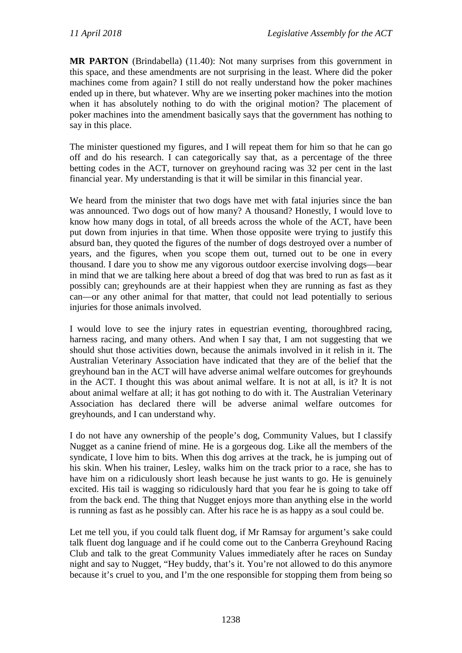**MR PARTON** (Brindabella) (11.40): Not many surprises from this government in this space, and these amendments are not surprising in the least. Where did the poker machines come from again? I still do not really understand how the poker machines ended up in there, but whatever. Why are we inserting poker machines into the motion when it has absolutely nothing to do with the original motion? The placement of poker machines into the amendment basically says that the government has nothing to say in this place.

The minister questioned my figures, and I will repeat them for him so that he can go off and do his research. I can categorically say that, as a percentage of the three betting codes in the ACT, turnover on greyhound racing was 32 per cent in the last financial year. My understanding is that it will be similar in this financial year.

We heard from the minister that two dogs have met with fatal injuries since the ban was announced. Two dogs out of how many? A thousand? Honestly, I would love to know how many dogs in total, of all breeds across the whole of the ACT, have been put down from injuries in that time. When those opposite were trying to justify this absurd ban, they quoted the figures of the number of dogs destroyed over a number of years, and the figures, when you scope them out, turned out to be one in every thousand. I dare you to show me any vigorous outdoor exercise involving dogs—bear in mind that we are talking here about a breed of dog that was bred to run as fast as it possibly can; greyhounds are at their happiest when they are running as fast as they can—or any other animal for that matter, that could not lead potentially to serious injuries for those animals involved.

I would love to see the injury rates in equestrian eventing, thoroughbred racing, harness racing, and many others. And when I say that, I am not suggesting that we should shut those activities down, because the animals involved in it relish in it. The Australian Veterinary Association have indicated that they are of the belief that the greyhound ban in the ACT will have adverse animal welfare outcomes for greyhounds in the ACT. I thought this was about animal welfare. It is not at all, is it? It is not about animal welfare at all; it has got nothing to do with it. The Australian Veterinary Association has declared there will be adverse animal welfare outcomes for greyhounds, and I can understand why.

I do not have any ownership of the people's dog, Community Values, but I classify Nugget as a canine friend of mine. He is a gorgeous dog. Like all the members of the syndicate, I love him to bits. When this dog arrives at the track, he is jumping out of his skin. When his trainer, Lesley, walks him on the track prior to a race, she has to have him on a ridiculously short leash because he just wants to go. He is genuinely excited. His tail is wagging so ridiculously hard that you fear he is going to take off from the back end. The thing that Nugget enjoys more than anything else in the world is running as fast as he possibly can. After his race he is as happy as a soul could be.

Let me tell you, if you could talk fluent dog, if Mr Ramsay for argument's sake could talk fluent dog language and if he could come out to the Canberra Greyhound Racing Club and talk to the great Community Values immediately after he races on Sunday night and say to Nugget, "Hey buddy, that's it. You're not allowed to do this anymore because it's cruel to you, and I'm the one responsible for stopping them from being so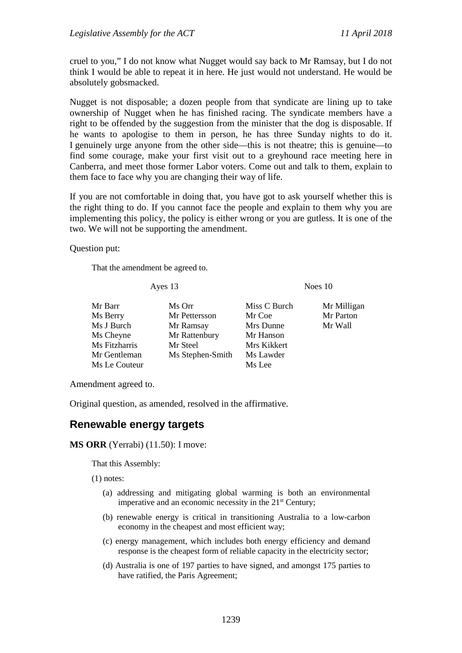cruel to you," I do not know what Nugget would say back to Mr Ramsay, but I do not think I would be able to repeat it in here. He just would not understand. He would be absolutely gobsmacked.

Nugget is not disposable; a dozen people from that syndicate are lining up to take ownership of Nugget when he has finished racing. The syndicate members have a right to be offended by the suggestion from the minister that the dog is disposable. If he wants to apologise to them in person, he has three Sunday nights to do it. I genuinely urge anyone from the other side—this is not theatre; this is genuine—to find some courage, make your first visit out to a greyhound race meeting here in Canberra, and meet those former Labor voters. Come out and talk to them, explain to them face to face why you are changing their way of life.

If you are not comfortable in doing that, you have got to ask yourself whether this is the right thing to do. If you cannot face the people and explain to them why you are implementing this policy, the policy is either wrong or you are gutless. It is one of the two. We will not be supporting the amendment.

Question put:

That the amendment be agreed to.

Ayes 13 Noes 10

| Mr Barr       | Ms Orr           | Miss C Burch | Mr Milligan |
|---------------|------------------|--------------|-------------|
| Ms Berry      | Mr Pettersson    | Mr Coe       | Mr Parton   |
| Ms J Burch    | Mr Ramsay        | Mrs Dunne    | Mr Wall     |
| Ms Cheyne     | Mr Rattenbury    | Mr Hanson    |             |
| Ms Fitzharris | Mr Steel         | Mrs Kikkert  |             |
| Mr Gentleman  | Ms Stephen-Smith | Ms Lawder    |             |
| Ms Le Couteur |                  | Ms Lee       |             |
|               |                  |              |             |

Amendment agreed to.

Original question, as amended, resolved in the affirmative.

#### <span id="page-32-0"></span>**Renewable energy targets**

#### **MS ORR** (Yerrabi) (11.50): I move:

That this Assembly:

(1) notes:

- (a) addressing and mitigating global warming is both an environmental imperative and an economic necessity in the 21<sup>st</sup> Century;
- (b) renewable energy is critical in transitioning Australia to a low-carbon economy in the cheapest and most efficient way;
- (c) energy management, which includes both energy efficiency and demand response is the cheapest form of reliable capacity in the electricity sector;
- (d) Australia is one of 197 parties to have signed, and amongst 175 parties to have ratified, the Paris Agreement;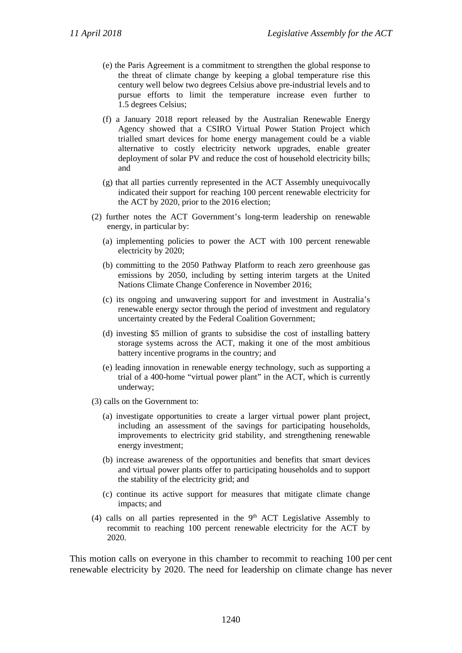- (e) the Paris Agreement is a commitment to strengthen the global response to the threat of climate change by keeping a global temperature rise this century well below two degrees Celsius above pre-industrial levels and to pursue efforts to limit the temperature increase even further to 1.5 degrees Celsius;
- (f) a January 2018 report released by the Australian Renewable Energy Agency showed that a CSIRO Virtual Power Station Project which trialled smart devices for home energy management could be a viable alternative to costly electricity network upgrades, enable greater deployment of solar PV and reduce the cost of household electricity bills; and
- (g) that all parties currently represented in the ACT Assembly unequivocally indicated their support for reaching 100 percent renewable electricity for the ACT by 2020, prior to the 2016 election;
- (2) further notes the ACT Government's long-term leadership on renewable energy, in particular by:
	- (a) implementing policies to power the ACT with 100 percent renewable electricity by 2020;
	- (b) committing to the 2050 Pathway Platform to reach zero greenhouse gas emissions by 2050, including by setting interim targets at the United Nations Climate Change Conference in November 2016;
	- (c) its ongoing and unwavering support for and investment in Australia's renewable energy sector through the period of investment and regulatory uncertainty created by the Federal Coalition Government;
	- (d) investing \$5 million of grants to subsidise the cost of installing battery storage systems across the ACT, making it one of the most ambitious battery incentive programs in the country; and
	- (e) leading innovation in renewable energy technology, such as supporting a trial of a 400-home "virtual power plant" in the ACT, which is currently underway;
- (3) calls on the Government to:
	- (a) investigate opportunities to create a larger virtual power plant project, including an assessment of the savings for participating households, improvements to electricity grid stability, and strengthening renewable energy investment;
	- (b) increase awareness of the opportunities and benefits that smart devices and virtual power plants offer to participating households and to support the stability of the electricity grid; and
	- (c) continue its active support for measures that mitigate climate change impacts; and
- (4) calls on all parties represented in the  $9<sup>th</sup>$  ACT Legislative Assembly to recommit to reaching 100 percent renewable electricity for the ACT by 2020.

This motion calls on everyone in this chamber to recommit to reaching 100 per cent renewable electricity by 2020. The need for leadership on climate change has never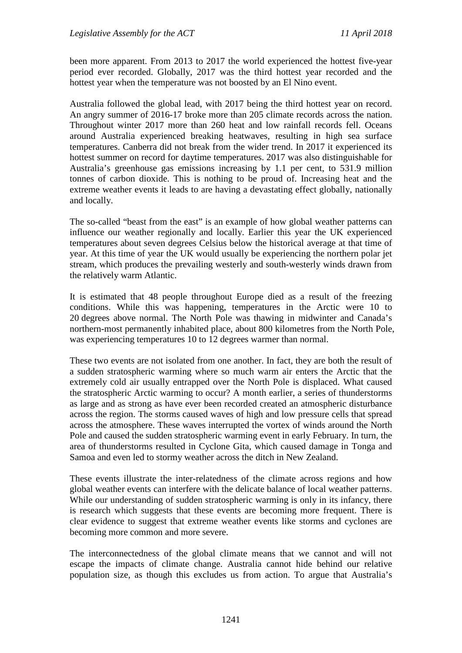been more apparent. From 2013 to 2017 the world experienced the hottest five-year period ever recorded. Globally, 2017 was the third hottest year recorded and the hottest year when the temperature was not boosted by an El Nino event.

Australia followed the global lead, with 2017 being the third hottest year on record. An angry summer of 2016-17 broke more than 205 climate records across the nation. Throughout winter 2017 more than 260 heat and low rainfall records fell. Oceans around Australia experienced breaking heatwaves, resulting in high sea surface temperatures. Canberra did not break from the wider trend. In 2017 it experienced its hottest summer on record for daytime temperatures. 2017 was also distinguishable for Australia's greenhouse gas emissions increasing by 1.1 per cent, to 531.9 million tonnes of carbon dioxide. This is nothing to be proud of. Increasing heat and the extreme weather events it leads to are having a devastating effect globally, nationally and locally.

The so-called "beast from the east" is an example of how global weather patterns can influence our weather regionally and locally. Earlier this year the UK experienced temperatures about seven degrees Celsius below the historical average at that time of year. At this time of year the UK would usually be experiencing the northern polar jet stream, which produces the prevailing westerly and south-westerly winds drawn from the relatively warm Atlantic.

It is estimated that 48 people throughout Europe died as a result of the freezing conditions. While this was happening, temperatures in the Arctic were 10 to 20 degrees above normal. The North Pole was thawing in midwinter and Canada's northern-most permanently inhabited place, about 800 kilometres from the North Pole, was experiencing temperatures 10 to 12 degrees warmer than normal.

These two events are not isolated from one another. In fact, they are both the result of a sudden stratospheric warming where so much warm air enters the Arctic that the extremely cold air usually entrapped over the North Pole is displaced. What caused the stratospheric Arctic warming to occur? A month earlier, a series of thunderstorms as large and as strong as have ever been recorded created an atmospheric disturbance across the region. The storms caused waves of high and low pressure cells that spread across the atmosphere. These waves interrupted the vortex of winds around the North Pole and caused the sudden stratospheric warming event in early February. In turn, the area of thunderstorms resulted in Cyclone Gita, which caused damage in Tonga and Samoa and even led to stormy weather across the ditch in New Zealand.

These events illustrate the inter-relatedness of the climate across regions and how global weather events can interfere with the delicate balance of local weather patterns. While our understanding of sudden stratospheric warming is only in its infancy, there is research which suggests that these events are becoming more frequent. There is clear evidence to suggest that extreme weather events like storms and cyclones are becoming more common and more severe.

The interconnectedness of the global climate means that we cannot and will not escape the impacts of climate change. Australia cannot hide behind our relative population size, as though this excludes us from action. To argue that Australia's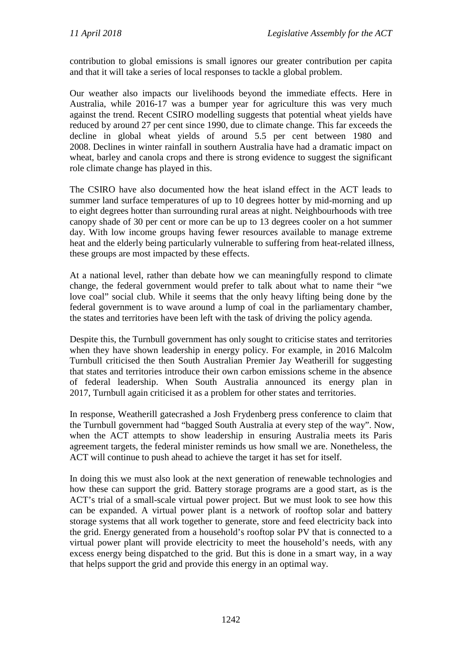contribution to global emissions is small ignores our greater contribution per capita and that it will take a series of local responses to tackle a global problem.

Our weather also impacts our livelihoods beyond the immediate effects. Here in Australia, while 2016-17 was a bumper year for agriculture this was very much against the trend. Recent CSIRO modelling suggests that potential wheat yields have reduced by around 27 per cent since 1990, due to climate change. This far exceeds the decline in global wheat yields of around 5.5 per cent between 1980 and 2008. Declines in winter rainfall in southern Australia have had a dramatic impact on wheat, barley and canola crops and there is strong evidence to suggest the significant role climate change has played in this.

The CSIRO have also documented how the heat island effect in the ACT leads to summer land surface temperatures of up to 10 degrees hotter by mid-morning and up to eight degrees hotter than surrounding rural areas at night. Neighbourhoods with tree canopy shade of 30 per cent or more can be up to 13 degrees cooler on a hot summer day. With low income groups having fewer resources available to manage extreme heat and the elderly being particularly vulnerable to suffering from heat-related illness, these groups are most impacted by these effects.

At a national level, rather than debate how we can meaningfully respond to climate change, the federal government would prefer to talk about what to name their "we love coal" social club. While it seems that the only heavy lifting being done by the federal government is to wave around a lump of coal in the parliamentary chamber, the states and territories have been left with the task of driving the policy agenda.

Despite this, the Turnbull government has only sought to criticise states and territories when they have shown leadership in energy policy. For example, in 2016 Malcolm Turnbull criticised the then South Australian Premier Jay Weatherill for suggesting that states and territories introduce their own carbon emissions scheme in the absence of federal leadership. When South Australia announced its energy plan in 2017, Turnbull again criticised it as a problem for other states and territories.

In response, Weatherill gatecrashed a Josh Frydenberg press conference to claim that the Turnbull government had "bagged South Australia at every step of the way". Now, when the ACT attempts to show leadership in ensuring Australia meets its Paris agreement targets, the federal minister reminds us how small we are. Nonetheless, the ACT will continue to push ahead to achieve the target it has set for itself.

In doing this we must also look at the next generation of renewable technologies and how these can support the grid. Battery storage programs are a good start, as is the ACT's trial of a small-scale virtual power project. But we must look to see how this can be expanded. A virtual power plant is a network of rooftop solar and battery storage systems that all work together to generate, store and feed electricity back into the grid. Energy generated from a household's rooftop solar PV that is connected to a virtual power plant will provide electricity to meet the household's needs, with any excess energy being dispatched to the grid. But this is done in a smart way, in a way that helps support the grid and provide this energy in an optimal way.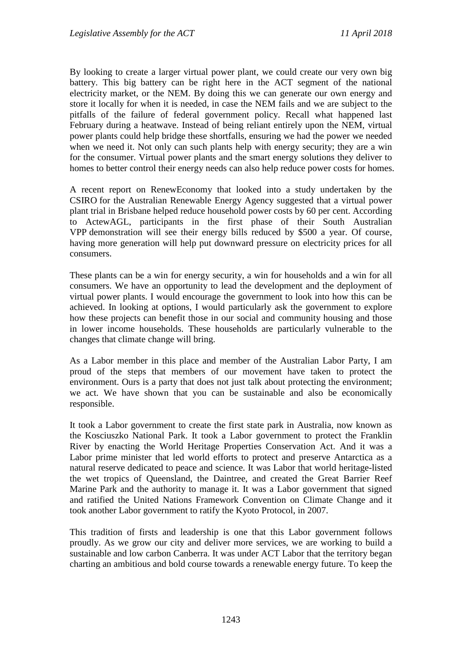By looking to create a larger virtual power plant, we could create our very own big battery. This big battery can be right here in the ACT segment of the national electricity market, or the NEM. By doing this we can generate our own energy and store it locally for when it is needed, in case the NEM fails and we are subject to the pitfalls of the failure of federal government policy. Recall what happened last February during a heatwave. Instead of being reliant entirely upon the NEM, virtual power plants could help bridge these shortfalls, ensuring we had the power we needed when we need it. Not only can such plants help with energy security; they are a win for the consumer. Virtual power plants and the smart energy solutions they deliver to homes to better control their energy needs can also help reduce power costs for homes.

A recent report on RenewEconomy that looked into a study undertaken by the CSIRO for the Australian Renewable Energy Agency suggested that a virtual power plant trial in Brisbane helped reduce household power costs by 60 per cent. According to ActewAGL, participants in the first phase of their South Australian VPP demonstration will see their energy bills reduced by \$500 a year. Of course, having more generation will help put downward pressure on electricity prices for all consumers.

These plants can be a win for energy security, a win for households and a win for all consumers. We have an opportunity to lead the development and the deployment of virtual power plants. I would encourage the government to look into how this can be achieved. In looking at options, I would particularly ask the government to explore how these projects can benefit those in our social and community housing and those in lower income households. These households are particularly vulnerable to the changes that climate change will bring.

As a Labor member in this place and member of the Australian Labor Party, I am proud of the steps that members of our movement have taken to protect the environment. Ours is a party that does not just talk about protecting the environment; we act. We have shown that you can be sustainable and also be economically responsible.

It took a Labor government to create the first state park in Australia, now known as the Kosciuszko National Park. It took a Labor government to protect the Franklin River by enacting the World Heritage Properties Conservation Act. And it was a Labor prime minister that led world efforts to protect and preserve Antarctica as a natural reserve dedicated to peace and science. It was Labor that world heritage-listed the wet tropics of Queensland, the Daintree, and created the Great Barrier Reef Marine Park and the authority to manage it. It was a Labor government that signed and ratified the United Nations Framework Convention on Climate Change and it took another Labor government to ratify the Kyoto Protocol, in 2007.

This tradition of firsts and leadership is one that this Labor government follows proudly. As we grow our city and deliver more services, we are working to build a sustainable and low carbon Canberra. It was under ACT Labor that the territory began charting an ambitious and bold course towards a renewable energy future. To keep the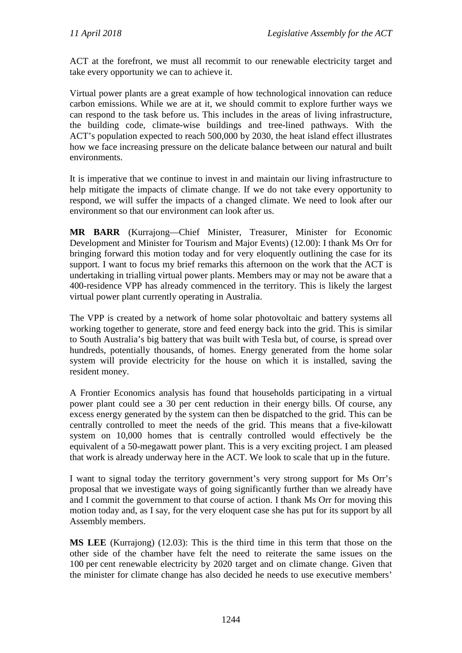ACT at the forefront, we must all recommit to our renewable electricity target and take every opportunity we can to achieve it.

Virtual power plants are a great example of how technological innovation can reduce carbon emissions. While we are at it, we should commit to explore further ways we can respond to the task before us. This includes in the areas of living infrastructure, the building code, climate-wise buildings and tree-lined pathways. With the ACT's population expected to reach 500,000 by 2030, the heat island effect illustrates how we face increasing pressure on the delicate balance between our natural and built environments.

It is imperative that we continue to invest in and maintain our living infrastructure to help mitigate the impacts of climate change. If we do not take every opportunity to respond, we will suffer the impacts of a changed climate. We need to look after our environment so that our environment can look after us.

**MR BARR** (Kurrajong—Chief Minister, Treasurer, Minister for Economic Development and Minister for Tourism and Major Events) (12.00): I thank Ms Orr for bringing forward this motion today and for very eloquently outlining the case for its support. I want to focus my brief remarks this afternoon on the work that the ACT is undertaking in trialling virtual power plants. Members may or may not be aware that a 400-residence VPP has already commenced in the territory. This is likely the largest virtual power plant currently operating in Australia.

The VPP is created by a network of home solar photovoltaic and battery systems all working together to generate, store and feed energy back into the grid. This is similar to South Australia's big battery that was built with Tesla but, of course, is spread over hundreds, potentially thousands, of homes. Energy generated from the home solar system will provide electricity for the house on which it is installed, saving the resident money.

A Frontier Economics analysis has found that households participating in a virtual power plant could see a 30 per cent reduction in their energy bills. Of course, any excess energy generated by the system can then be dispatched to the grid. This can be centrally controlled to meet the needs of the grid. This means that a five-kilowatt system on 10,000 homes that is centrally controlled would effectively be the equivalent of a 50-megawatt power plant. This is a very exciting project. I am pleased that work is already underway here in the ACT. We look to scale that up in the future.

I want to signal today the territory government's very strong support for Ms Orr's proposal that we investigate ways of going significantly further than we already have and I commit the government to that course of action. I thank Ms Orr for moving this motion today and, as I say, for the very eloquent case she has put for its support by all Assembly members.

**MS LEE** (Kurrajong) (12.03): This is the third time in this term that those on the other side of the chamber have felt the need to reiterate the same issues on the 100 per cent renewable electricity by 2020 target and on climate change. Given that the minister for climate change has also decided he needs to use executive members'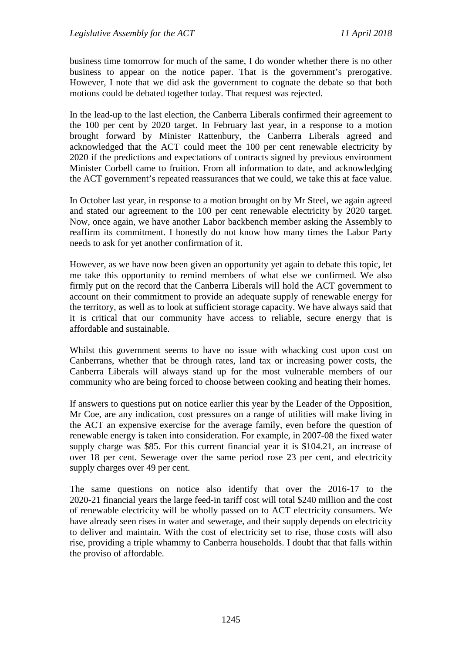business time tomorrow for much of the same, I do wonder whether there is no other business to appear on the notice paper. That is the government's prerogative. However, I note that we did ask the government to cognate the debate so that both motions could be debated together today. That request was rejected.

In the lead-up to the last election, the Canberra Liberals confirmed their agreement to the 100 per cent by 2020 target. In February last year, in a response to a motion brought forward by Minister Rattenbury, the Canberra Liberals agreed and acknowledged that the ACT could meet the 100 per cent renewable electricity by 2020 if the predictions and expectations of contracts signed by previous environment Minister Corbell came to fruition. From all information to date, and acknowledging the ACT government's repeated reassurances that we could, we take this at face value.

In October last year, in response to a motion brought on by Mr Steel, we again agreed and stated our agreement to the 100 per cent renewable electricity by 2020 target. Now, once again, we have another Labor backbench member asking the Assembly to reaffirm its commitment. I honestly do not know how many times the Labor Party needs to ask for yet another confirmation of it.

However, as we have now been given an opportunity yet again to debate this topic, let me take this opportunity to remind members of what else we confirmed. We also firmly put on the record that the Canberra Liberals will hold the ACT government to account on their commitment to provide an adequate supply of renewable energy for the territory, as well as to look at sufficient storage capacity. We have always said that it is critical that our community have access to reliable, secure energy that is affordable and sustainable.

Whilst this government seems to have no issue with whacking cost upon cost on Canberrans, whether that be through rates, land tax or increasing power costs, the Canberra Liberals will always stand up for the most vulnerable members of our community who are being forced to choose between cooking and heating their homes.

If answers to questions put on notice earlier this year by the Leader of the Opposition, Mr Coe, are any indication, cost pressures on a range of utilities will make living in the ACT an expensive exercise for the average family, even before the question of renewable energy is taken into consideration. For example, in 2007-08 the fixed water supply charge was \$85. For this current financial year it is \$104.21, an increase of over 18 per cent. Sewerage over the same period rose 23 per cent, and electricity supply charges over 49 per cent.

The same questions on notice also identify that over the 2016-17 to the 2020-21 financial years the large feed-in tariff cost will total \$240 million and the cost of renewable electricity will be wholly passed on to ACT electricity consumers. We have already seen rises in water and sewerage, and their supply depends on electricity to deliver and maintain. With the cost of electricity set to rise, those costs will also rise, providing a triple whammy to Canberra households. I doubt that that falls within the proviso of affordable.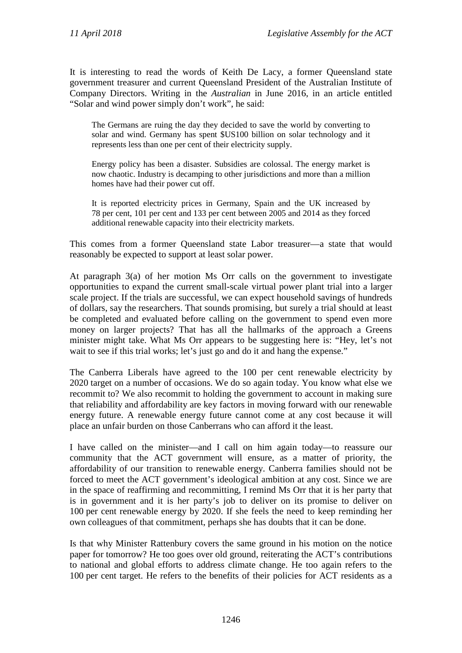It is interesting to read the words of Keith De Lacy, a former Queensland state government treasurer and current Queensland President of the Australian Institute of Company Directors. Writing in the *Australian* in June 2016, in an article entitled "Solar and wind power simply don't work", he said:

The Germans are ruing the day they decided to save the world by converting to solar and wind. Germany has spent \$US100 billion on solar technology and it represents less than one per cent of their electricity supply.

Energy policy has been a disaster. Subsidies are colossal. The energy market is now chaotic. Industry is decamping to other jurisdictions and more than a million homes have had their power cut off.

It is reported electricity prices in Germany, Spain and the UK increased by 78 per cent, 101 per cent and 133 per cent between 2005 and 2014 as they forced additional renewable capacity into their electricity markets.

This comes from a former Queensland state Labor treasurer—a state that would reasonably be expected to support at least solar power.

At paragraph 3(a) of her motion Ms Orr calls on the government to investigate opportunities to expand the current small-scale virtual power plant trial into a larger scale project. If the trials are successful, we can expect household savings of hundreds of dollars, say the researchers. That sounds promising, but surely a trial should at least be completed and evaluated before calling on the government to spend even more money on larger projects? That has all the hallmarks of the approach a Greens minister might take. What Ms Orr appears to be suggesting here is: "Hey, let's not wait to see if this trial works; let's just go and do it and hang the expense."

The Canberra Liberals have agreed to the 100 per cent renewable electricity by 2020 target on a number of occasions. We do so again today. You know what else we recommit to? We also recommit to holding the government to account in making sure that reliability and affordability are key factors in moving forward with our renewable energy future. A renewable energy future cannot come at any cost because it will place an unfair burden on those Canberrans who can afford it the least.

I have called on the minister—and I call on him again today—to reassure our community that the ACT government will ensure, as a matter of priority, the affordability of our transition to renewable energy. Canberra families should not be forced to meet the ACT government's ideological ambition at any cost. Since we are in the space of reaffirming and recommitting, I remind Ms Orr that it is her party that is in government and it is her party's job to deliver on its promise to deliver on 100 per cent renewable energy by 2020. If she feels the need to keep reminding her own colleagues of that commitment, perhaps she has doubts that it can be done.

Is that why Minister Rattenbury covers the same ground in his motion on the notice paper for tomorrow? He too goes over old ground, reiterating the ACT's contributions to national and global efforts to address climate change. He too again refers to the 100 per cent target. He refers to the benefits of their policies for ACT residents as a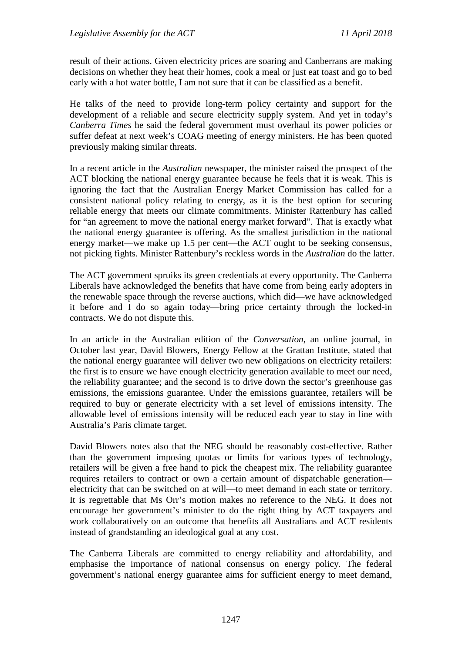result of their actions. Given electricity prices are soaring and Canberrans are making decisions on whether they heat their homes, cook a meal or just eat toast and go to bed early with a hot water bottle, I am not sure that it can be classified as a benefit.

He talks of the need to provide long-term policy certainty and support for the development of a reliable and secure electricity supply system. And yet in today's *Canberra Times* he said the federal government must overhaul its power policies or suffer defeat at next week's COAG meeting of energy ministers. He has been quoted previously making similar threats.

In a recent article in the *Australian* newspaper, the minister raised the prospect of the ACT blocking the national energy guarantee because he feels that it is weak. This is ignoring the fact that the Australian Energy Market Commission has called for a consistent national policy relating to energy, as it is the best option for securing reliable energy that meets our climate commitments. Minister Rattenbury has called for "an agreement to move the national energy market forward". That is exactly what the national energy guarantee is offering. As the smallest jurisdiction in the national energy market—we make up 1.5 per cent—the ACT ought to be seeking consensus, not picking fights. Minister Rattenbury's reckless words in the *Australian* do the latter.

The ACT government spruiks its green credentials at every opportunity. The Canberra Liberals have acknowledged the benefits that have come from being early adopters in the renewable space through the reverse auctions, which did—we have acknowledged it before and I do so again today—bring price certainty through the locked-in contracts. We do not dispute this.

In an article in the Australian edition of the *Conversation*, an online journal, in October last year, David Blowers, Energy Fellow at the Grattan Institute, stated that the national energy guarantee will deliver two new obligations on electricity retailers: the first is to ensure we have enough electricity generation available to meet our need, the reliability guarantee; and the second is to drive down the sector's greenhouse gas emissions, the emissions guarantee. Under the emissions guarantee, retailers will be required to buy or generate electricity with a set level of emissions intensity. The allowable level of emissions intensity will be reduced each year to stay in line with Australia's Paris climate target.

David Blowers notes also that the NEG should be reasonably cost-effective. Rather than the government imposing quotas or limits for various types of technology, retailers will be given a free hand to pick the cheapest mix. The reliability guarantee requires retailers to contract or own a certain amount of dispatchable generation electricity that can be switched on at will—to meet demand in each state or territory. It is regrettable that Ms Orr's motion makes no reference to the NEG. It does not encourage her government's minister to do the right thing by ACT taxpayers and work collaboratively on an outcome that benefits all Australians and ACT residents instead of grandstanding an ideological goal at any cost.

The Canberra Liberals are committed to energy reliability and affordability, and emphasise the importance of national consensus on energy policy. The federal government's national energy guarantee aims for sufficient energy to meet demand,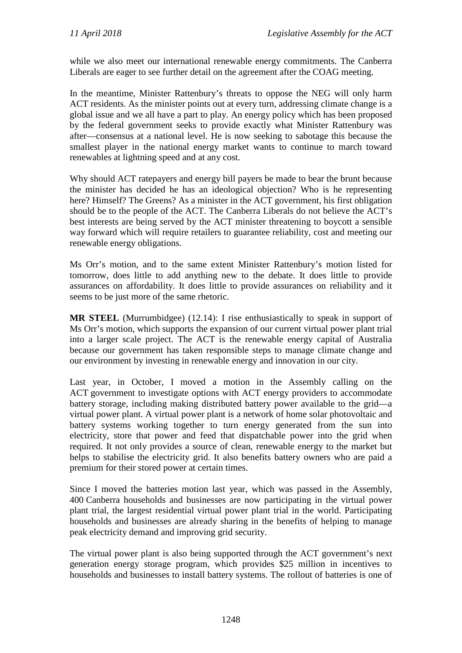while we also meet our international renewable energy commitments. The Canberra Liberals are eager to see further detail on the agreement after the COAG meeting.

In the meantime, Minister Rattenbury's threats to oppose the NEG will only harm ACT residents. As the minister points out at every turn, addressing climate change is a global issue and we all have a part to play. An energy policy which has been proposed by the federal government seeks to provide exactly what Minister Rattenbury was after—consensus at a national level. He is now seeking to sabotage this because the smallest player in the national energy market wants to continue to march toward renewables at lightning speed and at any cost.

Why should ACT ratepayers and energy bill payers be made to bear the brunt because the minister has decided he has an ideological objection? Who is he representing here? Himself? The Greens? As a minister in the ACT government, his first obligation should be to the people of the ACT. The Canberra Liberals do not believe the ACT's best interests are being served by the ACT minister threatening to boycott a sensible way forward which will require retailers to guarantee reliability, cost and meeting our renewable energy obligations.

Ms Orr's motion, and to the same extent Minister Rattenbury's motion listed for tomorrow, does little to add anything new to the debate. It does little to provide assurances on affordability. It does little to provide assurances on reliability and it seems to be just more of the same rhetoric.

**MR STEEL** (Murrumbidgee) (12.14): I rise enthusiastically to speak in support of Ms Orr's motion, which supports the expansion of our current virtual power plant trial into a larger scale project. The ACT is the renewable energy capital of Australia because our government has taken responsible steps to manage climate change and our environment by investing in renewable energy and innovation in our city.

Last year, in October, I moved a motion in the Assembly calling on the ACT government to investigate options with ACT energy providers to accommodate battery storage, including making distributed battery power available to the grid—a virtual power plant. A virtual power plant is a network of home solar photovoltaic and battery systems working together to turn energy generated from the sun into electricity, store that power and feed that dispatchable power into the grid when required. It not only provides a source of clean, renewable energy to the market but helps to stabilise the electricity grid. It also benefits battery owners who are paid a premium for their stored power at certain times.

Since I moved the batteries motion last year, which was passed in the Assembly, 400 Canberra households and businesses are now participating in the virtual power plant trial, the largest residential virtual power plant trial in the world. Participating households and businesses are already sharing in the benefits of helping to manage peak electricity demand and improving grid security.

The virtual power plant is also being supported through the ACT government's next generation energy storage program, which provides \$25 million in incentives to households and businesses to install battery systems. The rollout of batteries is one of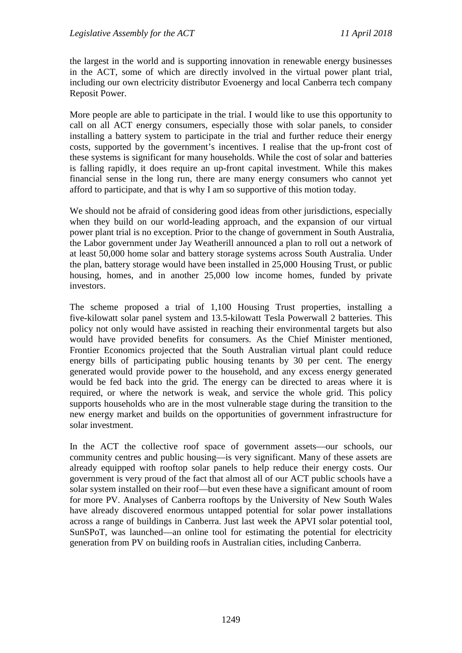the largest in the world and is supporting innovation in renewable energy businesses in the ACT, some of which are directly involved in the virtual power plant trial, including our own electricity distributor Evoenergy and local Canberra tech company Reposit Power.

More people are able to participate in the trial. I would like to use this opportunity to call on all ACT energy consumers, especially those with solar panels, to consider installing a battery system to participate in the trial and further reduce their energy costs, supported by the government's incentives. I realise that the up-front cost of these systems is significant for many households. While the cost of solar and batteries is falling rapidly, it does require an up-front capital investment. While this makes financial sense in the long run, there are many energy consumers who cannot yet afford to participate, and that is why I am so supportive of this motion today.

We should not be afraid of considering good ideas from other jurisdictions, especially when they build on our world-leading approach, and the expansion of our virtual power plant trial is no exception. Prior to the change of government in South Australia, the Labor government under Jay Weatherill announced a plan to roll out a network of at least 50,000 home solar and battery storage systems across South Australia. Under the plan, battery storage would have been installed in 25,000 Housing Trust, or public housing, homes, and in another 25,000 low income homes, funded by private investors.

The scheme proposed a trial of 1,100 Housing Trust properties, installing a five-kilowatt solar panel system and 13.5-kilowatt Tesla Powerwall 2 batteries. This policy not only would have assisted in reaching their environmental targets but also would have provided benefits for consumers. As the Chief Minister mentioned, Frontier Economics projected that the South Australian virtual plant could reduce energy bills of participating public housing tenants by 30 per cent. The energy generated would provide power to the household, and any excess energy generated would be fed back into the grid. The energy can be directed to areas where it is required, or where the network is weak, and service the whole grid. This policy supports households who are in the most vulnerable stage during the transition to the new energy market and builds on the opportunities of government infrastructure for solar investment.

In the ACT the collective roof space of government assets—our schools, our community centres and public housing—is very significant. Many of these assets are already equipped with rooftop solar panels to help reduce their energy costs. Our government is very proud of the fact that almost all of our ACT public schools have a solar system installed on their roof—but even these have a significant amount of room for more PV. Analyses of Canberra rooftops by the University of New South Wales have already discovered enormous untapped potential for solar power installations across a range of buildings in Canberra. Just last week the APVI solar potential tool, SunSPoT, was launched—an online tool for estimating the potential for electricity generation from PV on building roofs in Australian cities, including Canberra.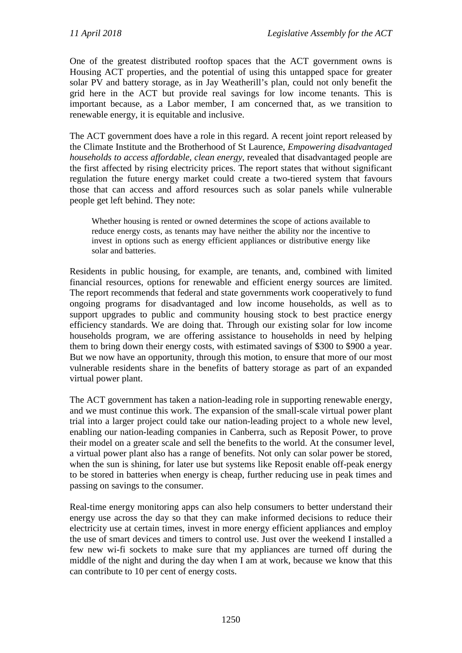One of the greatest distributed rooftop spaces that the ACT government owns is Housing ACT properties, and the potential of using this untapped space for greater solar PV and battery storage, as in Jay Weatherill's plan, could not only benefit the grid here in the ACT but provide real savings for low income tenants. This is important because, as a Labor member, I am concerned that, as we transition to renewable energy, it is equitable and inclusive.

The ACT government does have a role in this regard. A recent joint report released by the Climate Institute and the Brotherhood of St Laurence, *Empowering disadvantaged households to access affordable, clean energy*, revealed that disadvantaged people are the first affected by rising electricity prices. The report states that without significant regulation the future energy market could create a two-tiered system that favours those that can access and afford resources such as solar panels while vulnerable people get left behind. They note:

Whether housing is rented or owned determines the scope of actions available to reduce energy costs, as tenants may have neither the ability nor the incentive to invest in options such as energy efficient appliances or distributive energy like solar and batteries.

Residents in public housing, for example, are tenants, and, combined with limited financial resources, options for renewable and efficient energy sources are limited. The report recommends that federal and state governments work cooperatively to fund ongoing programs for disadvantaged and low income households, as well as to support upgrades to public and community housing stock to best practice energy efficiency standards. We are doing that. Through our existing solar for low income households program, we are offering assistance to households in need by helping them to bring down their energy costs, with estimated savings of \$300 to \$900 a year. But we now have an opportunity, through this motion, to ensure that more of our most vulnerable residents share in the benefits of battery storage as part of an expanded virtual power plant.

The ACT government has taken a nation-leading role in supporting renewable energy, and we must continue this work. The expansion of the small-scale virtual power plant trial into a larger project could take our nation-leading project to a whole new level, enabling our nation-leading companies in Canberra, such as Reposit Power, to prove their model on a greater scale and sell the benefits to the world. At the consumer level, a virtual power plant also has a range of benefits. Not only can solar power be stored, when the sun is shining, for later use but systems like Reposit enable off-peak energy to be stored in batteries when energy is cheap, further reducing use in peak times and passing on savings to the consumer.

Real-time energy monitoring apps can also help consumers to better understand their energy use across the day so that they can make informed decisions to reduce their electricity use at certain times, invest in more energy efficient appliances and employ the use of smart devices and timers to control use. Just over the weekend I installed a few new wi-fi sockets to make sure that my appliances are turned off during the middle of the night and during the day when I am at work, because we know that this can contribute to 10 per cent of energy costs.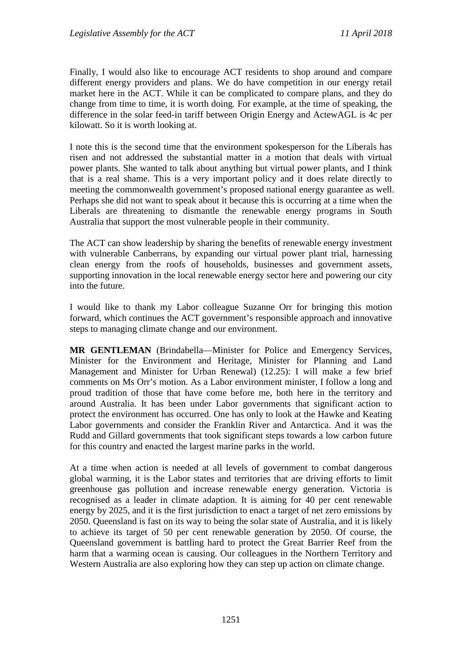Finally, I would also like to encourage ACT residents to shop around and compare different energy providers and plans. We do have competition in our energy retail market here in the ACT. While it can be complicated to compare plans, and they do change from time to time, it is worth doing. For example, at the time of speaking, the difference in the solar feed-in tariff between Origin Energy and ActewAGL is 4c per kilowatt. So it is worth looking at.

I note this is the second time that the environment spokesperson for the Liberals has risen and not addressed the substantial matter in a motion that deals with virtual power plants. She wanted to talk about anything but virtual power plants, and I think that is a real shame. This is a very important policy and it does relate directly to meeting the commonwealth government's proposed national energy guarantee as well. Perhaps she did not want to speak about it because this is occurring at a time when the Liberals are threatening to dismantle the renewable energy programs in South Australia that support the most vulnerable people in their community.

The ACT can show leadership by sharing the benefits of renewable energy investment with vulnerable Canberrans, by expanding our virtual power plant trial, harnessing clean energy from the roofs of households, businesses and government assets, supporting innovation in the local renewable energy sector here and powering our city into the future.

I would like to thank my Labor colleague Suzanne Orr for bringing this motion forward, which continues the ACT government's responsible approach and innovative steps to managing climate change and our environment.

**MR GENTLEMAN** (Brindabella—Minister for Police and Emergency Services, Minister for the Environment and Heritage, Minister for Planning and Land Management and Minister for Urban Renewal) (12.25): I will make a few brief comments on Ms Orr's motion. As a Labor environment minister, I follow a long and proud tradition of those that have come before me, both here in the territory and around Australia. It has been under Labor governments that significant action to protect the environment has occurred. One has only to look at the Hawke and Keating Labor governments and consider the Franklin River and Antarctica. And it was the Rudd and Gillard governments that took significant steps towards a low carbon future for this country and enacted the largest marine parks in the world.

At a time when action is needed at all levels of government to combat dangerous global warming, it is the Labor states and territories that are driving efforts to limit greenhouse gas pollution and increase renewable energy generation. Victoria is recognised as a leader in climate adaption. It is aiming for 40 per cent renewable energy by 2025, and it is the first jurisdiction to enact a target of net zero emissions by 2050. Queensland is fast on its way to being the solar state of Australia, and it is likely to achieve its target of 50 per cent renewable generation by 2050. Of course, the Queensland government is battling hard to protect the Great Barrier Reef from the harm that a warming ocean is causing. Our colleagues in the Northern Territory and Western Australia are also exploring how they can step up action on climate change.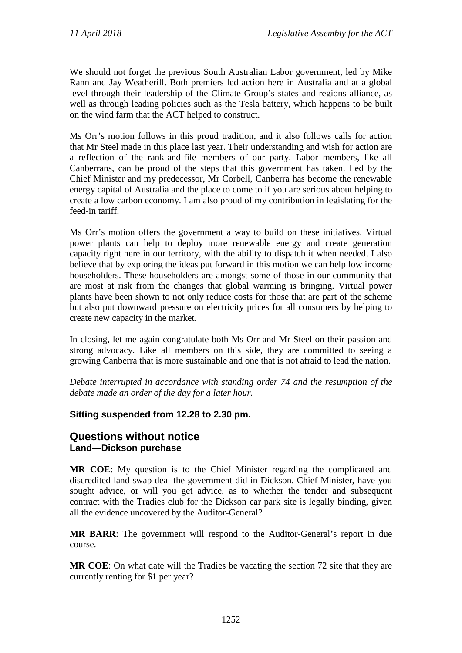We should not forget the previous South Australian Labor government, led by Mike Rann and Jay Weatherill. Both premiers led action here in Australia and at a global level through their leadership of the Climate Group's states and regions alliance, as well as through leading policies such as the Tesla battery, which happens to be built on the wind farm that the ACT helped to construct.

Ms Orr's motion follows in this proud tradition, and it also follows calls for action that Mr Steel made in this place last year. Their understanding and wish for action are a reflection of the rank-and-file members of our party. Labor members, like all Canberrans, can be proud of the steps that this government has taken. Led by the Chief Minister and my predecessor, Mr Corbell, Canberra has become the renewable energy capital of Australia and the place to come to if you are serious about helping to create a low carbon economy. I am also proud of my contribution in legislating for the feed-in tariff.

Ms Orr's motion offers the government a way to build on these initiatives. Virtual power plants can help to deploy more renewable energy and create generation capacity right here in our territory, with the ability to dispatch it when needed. I also believe that by exploring the ideas put forward in this motion we can help low income householders. These householders are amongst some of those in our community that are most at risk from the changes that global warming is bringing. Virtual power plants have been shown to not only reduce costs for those that are part of the scheme but also put downward pressure on electricity prices for all consumers by helping to create new capacity in the market.

In closing, let me again congratulate both Ms Orr and Mr Steel on their passion and strong advocacy. Like all members on this side, they are committed to seeing a growing Canberra that is more sustainable and one that is not afraid to lead the nation.

*Debate interrupted in accordance with standing order 74 and the resumption of the debate made an order of the day for a later hour.*

## **Sitting suspended from 12.28 to 2.30 pm.**

## **Questions without notice Land—Dickson purchase**

**MR COE**: My question is to the Chief Minister regarding the complicated and discredited land swap deal the government did in Dickson. Chief Minister, have you sought advice, or will you get advice, as to whether the tender and subsequent contract with the Tradies club for the Dickson car park site is legally binding, given all the evidence uncovered by the Auditor-General?

**MR BARR**: The government will respond to the Auditor-General's report in due course.

**MR COE**: On what date will the Tradies be vacating the section 72 site that they are currently renting for \$1 per year?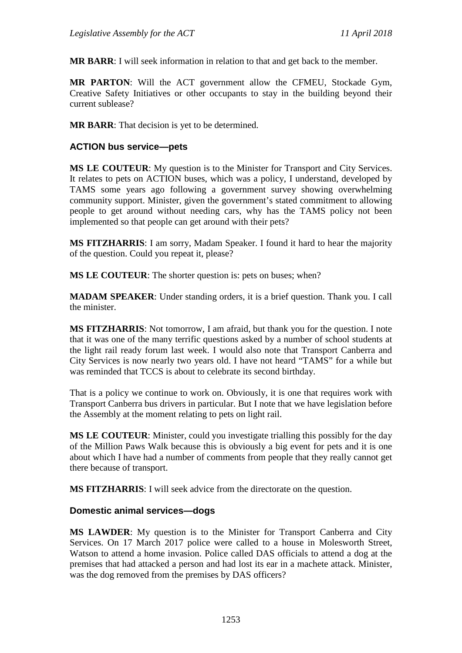**MR BARR**: I will seek information in relation to that and get back to the member.

**MR PARTON**: Will the ACT government allow the CFMEU, Stockade Gym, Creative Safety Initiatives or other occupants to stay in the building beyond their current sublease?

**MR BARR**: That decision is yet to be determined.

### **ACTION bus service—pets**

**MS LE COUTEUR**: My question is to the Minister for Transport and City Services. It relates to pets on ACTION buses, which was a policy, I understand, developed by TAMS some years ago following a government survey showing overwhelming community support. Minister, given the government's stated commitment to allowing people to get around without needing cars, why has the TAMS policy not been implemented so that people can get around with their pets?

**MS FITZHARRIS**: I am sorry, Madam Speaker. I found it hard to hear the majority of the question. Could you repeat it, please?

**MS LE COUTEUR**: The shorter question is: pets on buses; when?

**MADAM SPEAKER**: Under standing orders, it is a brief question. Thank you. I call the minister.

**MS FITZHARRIS**: Not tomorrow, I am afraid, but thank you for the question. I note that it was one of the many terrific questions asked by a number of school students at the light rail ready forum last week. I would also note that Transport Canberra and City Services is now nearly two years old. I have not heard "TAMS" for a while but was reminded that TCCS is about to celebrate its second birthday.

That is a policy we continue to work on. Obviously, it is one that requires work with Transport Canberra bus drivers in particular. But I note that we have legislation before the Assembly at the moment relating to pets on light rail.

**MS LE COUTEUR**: Minister, could you investigate trialling this possibly for the day of the Million Paws Walk because this is obviously a big event for pets and it is one about which I have had a number of comments from people that they really cannot get there because of transport.

**MS FITZHARRIS**: I will seek advice from the directorate on the question.

## **Domestic animal services—dogs**

**MS LAWDER**: My question is to the Minister for Transport Canberra and City Services. On 17 March 2017 police were called to a house in Molesworth Street, Watson to attend a home invasion. Police called DAS officials to attend a dog at the premises that had attacked a person and had lost its ear in a machete attack. Minister, was the dog removed from the premises by DAS officers?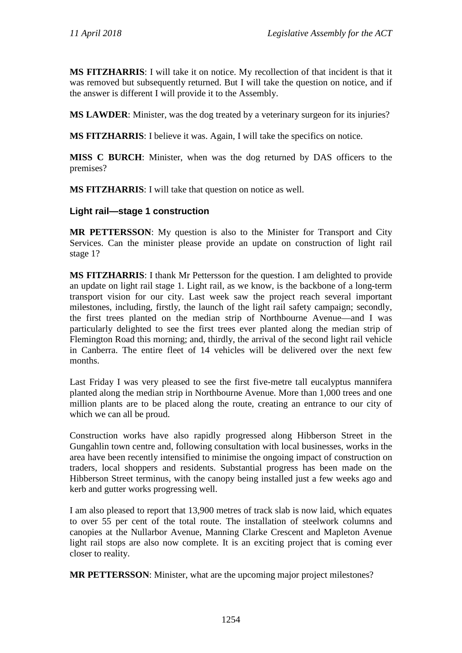**MS FITZHARRIS**: I will take it on notice. My recollection of that incident is that it was removed but subsequently returned. But I will take the question on notice, and if the answer is different I will provide it to the Assembly.

**MS LAWDER**: Minister, was the dog treated by a veterinary surgeon for its injuries?

**MS FITZHARRIS**: I believe it was. Again, I will take the specifics on notice.

**MISS C BURCH**: Minister, when was the dog returned by DAS officers to the premises?

**MS FITZHARRIS**: I will take that question on notice as well.

#### **Light rail—stage 1 construction**

**MR PETTERSSON**: My question is also to the Minister for Transport and City Services. Can the minister please provide an update on construction of light rail stage 1?

**MS FITZHARRIS**: I thank Mr Pettersson for the question. I am delighted to provide an update on light rail stage 1. Light rail, as we know, is the backbone of a long-term transport vision for our city. Last week saw the project reach several important milestones, including, firstly, the launch of the light rail safety campaign; secondly, the first trees planted on the median strip of Northbourne Avenue—and I was particularly delighted to see the first trees ever planted along the median strip of Flemington Road this morning; and, thirdly, the arrival of the second light rail vehicle in Canberra. The entire fleet of 14 vehicles will be delivered over the next few months.

Last Friday I was very pleased to see the first five-metre tall eucalyptus mannifera planted along the median strip in Northbourne Avenue. More than 1,000 trees and one million plants are to be placed along the route, creating an entrance to our city of which we can all be proud.

Construction works have also rapidly progressed along Hibberson Street in the Gungahlin town centre and, following consultation with local businesses, works in the area have been recently intensified to minimise the ongoing impact of construction on traders, local shoppers and residents. Substantial progress has been made on the Hibberson Street terminus, with the canopy being installed just a few weeks ago and kerb and gutter works progressing well.

I am also pleased to report that 13,900 metres of track slab is now laid, which equates to over 55 per cent of the total route. The installation of steelwork columns and canopies at the Nullarbor Avenue, Manning Clarke Crescent and Mapleton Avenue light rail stops are also now complete. It is an exciting project that is coming ever closer to reality.

**MR PETTERSSON**: Minister, what are the upcoming major project milestones?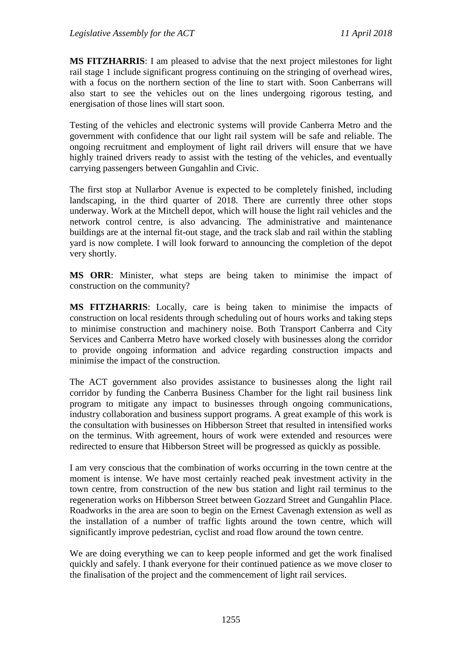**MS FITZHARRIS**: I am pleased to advise that the next project milestones for light rail stage 1 include significant progress continuing on the stringing of overhead wires, with a focus on the northern section of the line to start with. Soon Canberrans will also start to see the vehicles out on the lines undergoing rigorous testing, and energisation of those lines will start soon.

Testing of the vehicles and electronic systems will provide Canberra Metro and the government with confidence that our light rail system will be safe and reliable. The ongoing recruitment and employment of light rail drivers will ensure that we have highly trained drivers ready to assist with the testing of the vehicles, and eventually carrying passengers between Gungahlin and Civic.

The first stop at Nullarbor Avenue is expected to be completely finished, including landscaping, in the third quarter of 2018. There are currently three other stops underway. Work at the Mitchell depot, which will house the light rail vehicles and the network control centre, is also advancing. The administrative and maintenance buildings are at the internal fit-out stage, and the track slab and rail within the stabling yard is now complete. I will look forward to announcing the completion of the depot very shortly.

**MS ORR**: Minister, what steps are being taken to minimise the impact of construction on the community?

**MS FITZHARRIS**: Locally, care is being taken to minimise the impacts of construction on local residents through scheduling out of hours works and taking steps to minimise construction and machinery noise. Both Transport Canberra and City Services and Canberra Metro have worked closely with businesses along the corridor to provide ongoing information and advice regarding construction impacts and minimise the impact of the construction.

The ACT government also provides assistance to businesses along the light rail corridor by funding the Canberra Business Chamber for the light rail business link program to mitigate any impact to businesses through ongoing communications, industry collaboration and business support programs. A great example of this work is the consultation with businesses on Hibberson Street that resulted in intensified works on the terminus. With agreement, hours of work were extended and resources were redirected to ensure that Hibberson Street will be progressed as quickly as possible.

I am very conscious that the combination of works occurring in the town centre at the moment is intense. We have most certainly reached peak investment activity in the town centre, from construction of the new bus station and light rail terminus to the regeneration works on Hibberson Street between Gozzard Street and Gungahlin Place. Roadworks in the area are soon to begin on the Ernest Cavenagh extension as well as the installation of a number of traffic lights around the town centre, which will significantly improve pedestrian, cyclist and road flow around the town centre.

We are doing everything we can to keep people informed and get the work finalised quickly and safely. I thank everyone for their continued patience as we move closer to the finalisation of the project and the commencement of light rail services.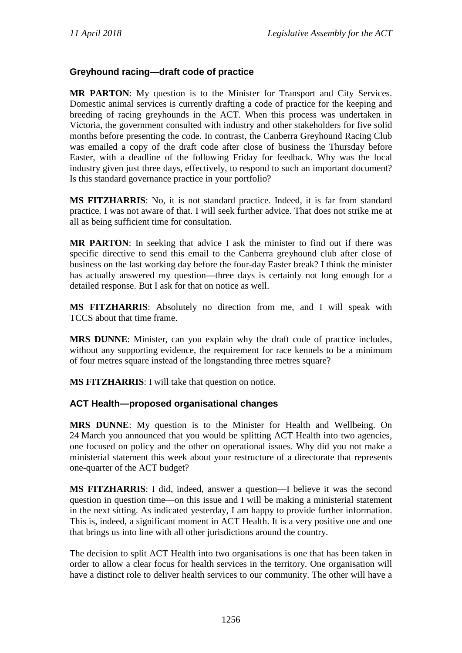## **Greyhound racing—draft code of practice**

**MR PARTON**: My question is to the Minister for Transport and City Services. Domestic animal services is currently drafting a code of practice for the keeping and breeding of racing greyhounds in the ACT. When this process was undertaken in Victoria, the government consulted with industry and other stakeholders for five solid months before presenting the code. In contrast, the Canberra Greyhound Racing Club was emailed a copy of the draft code after close of business the Thursday before Easter, with a deadline of the following Friday for feedback. Why was the local industry given just three days, effectively, to respond to such an important document? Is this standard governance practice in your portfolio?

**MS FITZHARRIS**: No, it is not standard practice. Indeed, it is far from standard practice. I was not aware of that. I will seek further advice. That does not strike me at all as being sufficient time for consultation.

**MR PARTON**: In seeking that advice I ask the minister to find out if there was specific directive to send this email to the Canberra greyhound club after close of business on the last working day before the four-day Easter break? I think the minister has actually answered my question—three days is certainly not long enough for a detailed response. But I ask for that on notice as well.

**MS FITZHARRIS**: Absolutely no direction from me, and I will speak with TCCS about that time frame.

**MRS DUNNE**: Minister, can you explain why the draft code of practice includes, without any supporting evidence, the requirement for race kennels to be a minimum of four metres square instead of the longstanding three metres square?

**MS FITZHARRIS**: I will take that question on notice.

## **ACT Health—proposed organisational changes**

**MRS DUNNE**: My question is to the Minister for Health and Wellbeing. On 24 March you announced that you would be splitting ACT Health into two agencies, one focused on policy and the other on operational issues. Why did you not make a ministerial statement this week about your restructure of a directorate that represents one-quarter of the ACT budget?

**MS FITZHARRIS**: I did, indeed, answer a question—I believe it was the second question in question time—on this issue and I will be making a ministerial statement in the next sitting. As indicated yesterday, I am happy to provide further information. This is, indeed, a significant moment in ACT Health. It is a very positive one and one that brings us into line with all other jurisdictions around the country.

The decision to split ACT Health into two organisations is one that has been taken in order to allow a clear focus for health services in the territory. One organisation will have a distinct role to deliver health services to our community. The other will have a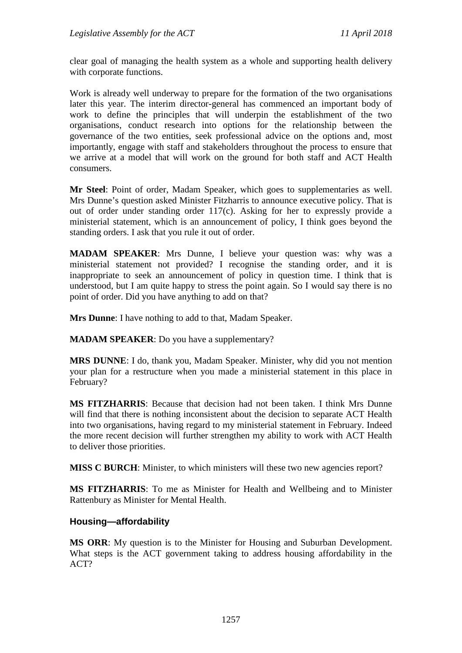clear goal of managing the health system as a whole and supporting health delivery with corporate functions.

Work is already well underway to prepare for the formation of the two organisations later this year. The interim director-general has commenced an important body of work to define the principles that will underpin the establishment of the two organisations, conduct research into options for the relationship between the governance of the two entities, seek professional advice on the options and, most importantly, engage with staff and stakeholders throughout the process to ensure that we arrive at a model that will work on the ground for both staff and ACT Health consumers.

**Mr Steel**: Point of order, Madam Speaker, which goes to supplementaries as well. Mrs Dunne's question asked Minister Fitzharris to announce executive policy. That is out of order under standing order 117(c). Asking for her to expressly provide a ministerial statement, which is an announcement of policy, I think goes beyond the standing orders. I ask that you rule it out of order.

**MADAM SPEAKER**: Mrs Dunne, I believe your question was: why was a ministerial statement not provided? I recognise the standing order, and it is inappropriate to seek an announcement of policy in question time. I think that is understood, but I am quite happy to stress the point again. So I would say there is no point of order. Did you have anything to add on that?

**Mrs Dunne**: I have nothing to add to that, Madam Speaker.

**MADAM SPEAKER**: Do you have a supplementary?

**MRS DUNNE**: I do, thank you, Madam Speaker. Minister, why did you not mention your plan for a restructure when you made a ministerial statement in this place in February?

**MS FITZHARRIS**: Because that decision had not been taken. I think Mrs Dunne will find that there is nothing inconsistent about the decision to separate ACT Health into two organisations, having regard to my ministerial statement in February. Indeed the more recent decision will further strengthen my ability to work with ACT Health to deliver those priorities.

**MISS C BURCH:** Minister, to which ministers will these two new agencies report?

**MS FITZHARRIS**: To me as Minister for Health and Wellbeing and to Minister Rattenbury as Minister for Mental Health.

## **Housing—affordability**

**MS ORR**: My question is to the Minister for Housing and Suburban Development. What steps is the ACT government taking to address housing affordability in the ACT?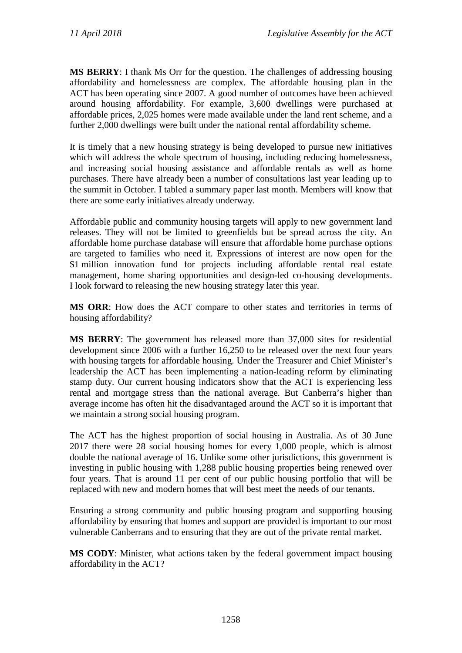**MS BERRY**: I thank Ms Orr for the question. The challenges of addressing housing affordability and homelessness are complex. The affordable housing plan in the ACT has been operating since 2007. A good number of outcomes have been achieved around housing affordability. For example, 3,600 dwellings were purchased at affordable prices, 2,025 homes were made available under the land rent scheme, and a further 2,000 dwellings were built under the national rental affordability scheme.

It is timely that a new housing strategy is being developed to pursue new initiatives which will address the whole spectrum of housing, including reducing homelessness, and increasing social housing assistance and affordable rentals as well as home purchases. There have already been a number of consultations last year leading up to the summit in October. I tabled a summary paper last month. Members will know that there are some early initiatives already underway.

Affordable public and community housing targets will apply to new government land releases. They will not be limited to greenfields but be spread across the city. An affordable home purchase database will ensure that affordable home purchase options are targeted to families who need it. Expressions of interest are now open for the \$1 million innovation fund for projects including affordable rental real estate management, home sharing opportunities and design-led co-housing developments. I look forward to releasing the new housing strategy later this year.

**MS ORR**: How does the ACT compare to other states and territories in terms of housing affordability?

**MS BERRY**: The government has released more than 37,000 sites for residential development since 2006 with a further 16,250 to be released over the next four years with housing targets for affordable housing. Under the Treasurer and Chief Minister's leadership the ACT has been implementing a nation-leading reform by eliminating stamp duty. Our current housing indicators show that the ACT is experiencing less rental and mortgage stress than the national average. But Canberra's higher than average income has often hit the disadvantaged around the ACT so it is important that we maintain a strong social housing program.

The ACT has the highest proportion of social housing in Australia. As of 30 June 2017 there were 28 social housing homes for every 1,000 people, which is almost double the national average of 16. Unlike some other jurisdictions, this government is investing in public housing with 1,288 public housing properties being renewed over four years. That is around 11 per cent of our public housing portfolio that will be replaced with new and modern homes that will best meet the needs of our tenants.

Ensuring a strong community and public housing program and supporting housing affordability by ensuring that homes and support are provided is important to our most vulnerable Canberrans and to ensuring that they are out of the private rental market.

**MS CODY**: Minister, what actions taken by the federal government impact housing affordability in the ACT?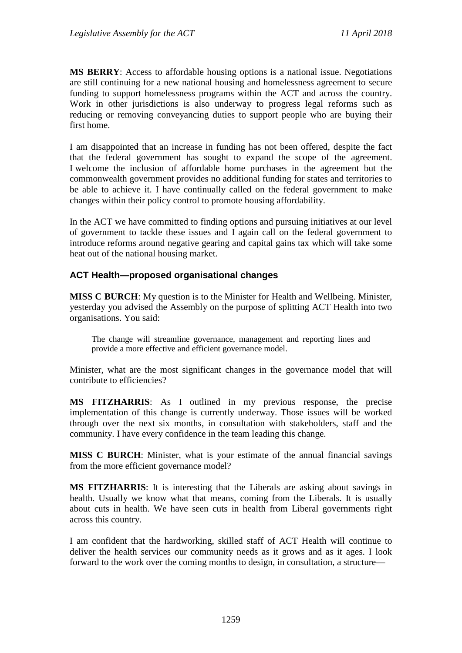**MS BERRY**: Access to affordable housing options is a national issue. Negotiations are still continuing for a new national housing and homelessness agreement to secure funding to support homelessness programs within the ACT and across the country. Work in other jurisdictions is also underway to progress legal reforms such as reducing or removing conveyancing duties to support people who are buying their first home.

I am disappointed that an increase in funding has not been offered, despite the fact that the federal government has sought to expand the scope of the agreement. I welcome the inclusion of affordable home purchases in the agreement but the commonwealth government provides no additional funding for states and territories to be able to achieve it. I have continually called on the federal government to make changes within their policy control to promote housing affordability.

In the ACT we have committed to finding options and pursuing initiatives at our level of government to tackle these issues and I again call on the federal government to introduce reforms around negative gearing and capital gains tax which will take some heat out of the national housing market.

## **ACT Health—proposed organisational changes**

**MISS C BURCH**: My question is to the Minister for Health and Wellbeing. Minister, yesterday you advised the Assembly on the purpose of splitting ACT Health into two organisations. You said:

The change will streamline governance, management and reporting lines and provide a more effective and efficient governance model.

Minister, what are the most significant changes in the governance model that will contribute to efficiencies?

**MS FITZHARRIS**: As I outlined in my previous response, the precise implementation of this change is currently underway. Those issues will be worked through over the next six months, in consultation with stakeholders, staff and the community. I have every confidence in the team leading this change.

**MISS C BURCH**: Minister, what is your estimate of the annual financial savings from the more efficient governance model?

**MS FITZHARRIS**: It is interesting that the Liberals are asking about savings in health. Usually we know what that means, coming from the Liberals. It is usually about cuts in health. We have seen cuts in health from Liberal governments right across this country.

I am confident that the hardworking, skilled staff of ACT Health will continue to deliver the health services our community needs as it grows and as it ages. I look forward to the work over the coming months to design, in consultation, a structure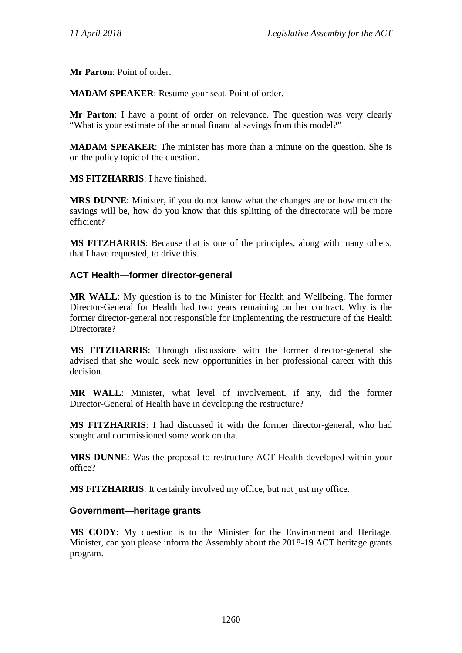**Mr Parton**: Point of order.

**MADAM SPEAKER**: Resume your seat. Point of order.

**Mr Parton**: I have a point of order on relevance. The question was very clearly "What is your estimate of the annual financial savings from this model?"

**MADAM SPEAKER**: The minister has more than a minute on the question. She is on the policy topic of the question.

**MS FITZHARRIS**: I have finished.

**MRS DUNNE**: Minister, if you do not know what the changes are or how much the savings will be, how do you know that this splitting of the directorate will be more efficient?

**MS FITZHARRIS**: Because that is one of the principles, along with many others, that I have requested, to drive this.

## **ACT Health—former director-general**

**MR WALL**: My question is to the Minister for Health and Wellbeing. The former Director-General for Health had two years remaining on her contract. Why is the former director-general not responsible for implementing the restructure of the Health Directorate?

**MS FITZHARRIS**: Through discussions with the former director-general she advised that she would seek new opportunities in her professional career with this decision.

**MR WALL**: Minister, what level of involvement, if any, did the former Director-General of Health have in developing the restructure?

**MS FITZHARRIS**: I had discussed it with the former director-general, who had sought and commissioned some work on that.

**MRS DUNNE**: Was the proposal to restructure ACT Health developed within your office?

**MS FITZHARRIS**: It certainly involved my office, but not just my office.

## **Government—heritage grants**

**MS CODY**: My question is to the Minister for the Environment and Heritage. Minister, can you please inform the Assembly about the 2018-19 ACT heritage grants program.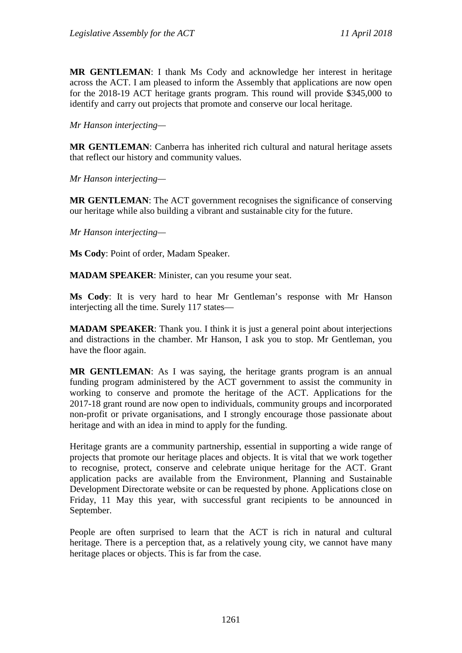**MR GENTLEMAN**: I thank Ms Cody and acknowledge her interest in heritage across the ACT. I am pleased to inform the Assembly that applications are now open for the 2018-19 ACT heritage grants program. This round will provide \$345,000 to identify and carry out projects that promote and conserve our local heritage.

*Mr Hanson interjecting—*

**MR GENTLEMAN**: Canberra has inherited rich cultural and natural heritage assets that reflect our history and community values.

*Mr Hanson interjecting—*

**MR GENTLEMAN**: The ACT government recognises the significance of conserving our heritage while also building a vibrant and sustainable city for the future.

*Mr Hanson interjecting—*

**Ms Cody**: Point of order, Madam Speaker.

**MADAM SPEAKER**: Minister, can you resume your seat.

**Ms Cody**: It is very hard to hear Mr Gentleman's response with Mr Hanson interjecting all the time. Surely 117 states—

**MADAM SPEAKER**: Thank you. I think it is just a general point about interjections and distractions in the chamber. Mr Hanson, I ask you to stop. Mr Gentleman, you have the floor again.

**MR GENTLEMAN**: As I was saying, the heritage grants program is an annual funding program administered by the ACT government to assist the community in working to conserve and promote the heritage of the ACT. Applications for the 2017-18 grant round are now open to individuals, community groups and incorporated non-profit or private organisations, and I strongly encourage those passionate about heritage and with an idea in mind to apply for the funding.

Heritage grants are a community partnership, essential in supporting a wide range of projects that promote our heritage places and objects. It is vital that we work together to recognise, protect, conserve and celebrate unique heritage for the ACT. Grant application packs are available from the Environment, Planning and Sustainable Development Directorate website or can be requested by phone. Applications close on Friday, 11 May this year, with successful grant recipients to be announced in September.

People are often surprised to learn that the ACT is rich in natural and cultural heritage. There is a perception that, as a relatively young city, we cannot have many heritage places or objects. This is far from the case.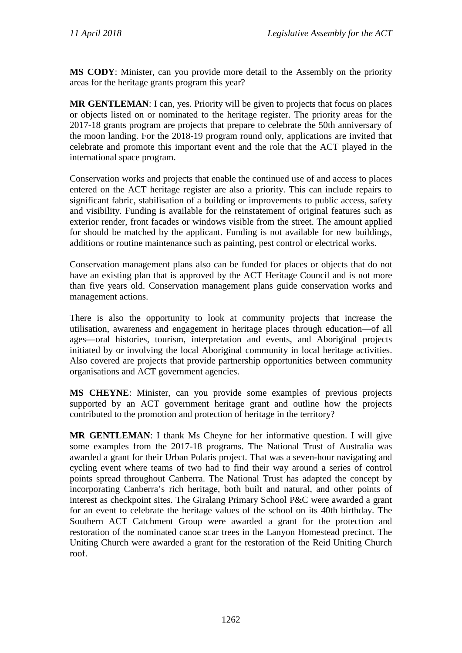**MS CODY**: Minister, can you provide more detail to the Assembly on the priority areas for the heritage grants program this year?

**MR GENTLEMAN**: I can, yes. Priority will be given to projects that focus on places or objects listed on or nominated to the heritage register. The priority areas for the 2017-18 grants program are projects that prepare to celebrate the 50th anniversary of the moon landing. For the 2018-19 program round only, applications are invited that celebrate and promote this important event and the role that the ACT played in the international space program.

Conservation works and projects that enable the continued use of and access to places entered on the ACT heritage register are also a priority. This can include repairs to significant fabric, stabilisation of a building or improvements to public access, safety and visibility. Funding is available for the reinstatement of original features such as exterior render, front facades or windows visible from the street. The amount applied for should be matched by the applicant. Funding is not available for new buildings, additions or routine maintenance such as painting, pest control or electrical works.

Conservation management plans also can be funded for places or objects that do not have an existing plan that is approved by the ACT Heritage Council and is not more than five years old. Conservation management plans guide conservation works and management actions.

There is also the opportunity to look at community projects that increase the utilisation, awareness and engagement in heritage places through education—of all ages—oral histories, tourism, interpretation and events, and Aboriginal projects initiated by or involving the local Aboriginal community in local heritage activities. Also covered are projects that provide partnership opportunities between community organisations and ACT government agencies.

**MS CHEYNE**: Minister, can you provide some examples of previous projects supported by an ACT government heritage grant and outline how the projects contributed to the promotion and protection of heritage in the territory?

**MR GENTLEMAN**: I thank Ms Cheyne for her informative question. I will give some examples from the 2017-18 programs. The National Trust of Australia was awarded a grant for their Urban Polaris project. That was a seven-hour navigating and cycling event where teams of two had to find their way around a series of control points spread throughout Canberra. The National Trust has adapted the concept by incorporating Canberra's rich heritage, both built and natural, and other points of interest as checkpoint sites. The Giralang Primary School P&C were awarded a grant for an event to celebrate the heritage values of the school on its 40th birthday. The Southern ACT Catchment Group were awarded a grant for the protection and restoration of the nominated canoe scar trees in the Lanyon Homestead precinct. The Uniting Church were awarded a grant for the restoration of the Reid Uniting Church roof.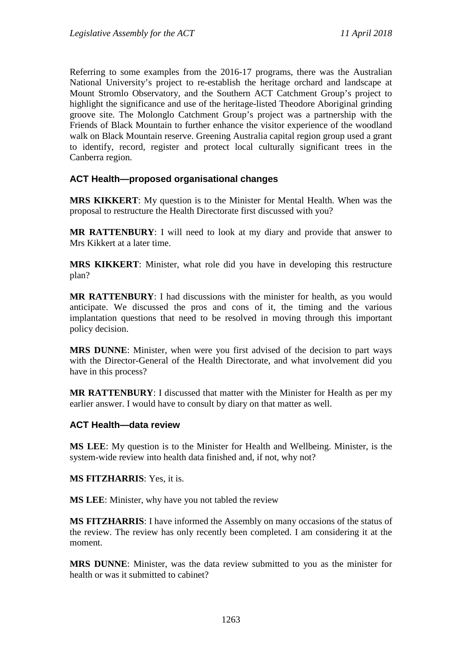Referring to some examples from the 2016-17 programs, there was the Australian National University's project to re-establish the heritage orchard and landscape at Mount Stromlo Observatory, and the Southern ACT Catchment Group's project to highlight the significance and use of the heritage-listed Theodore Aboriginal grinding groove site. The Molonglo Catchment Group's project was a partnership with the Friends of Black Mountain to further enhance the visitor experience of the woodland walk on Black Mountain reserve. Greening Australia capital region group used a grant to identify, record, register and protect local culturally significant trees in the Canberra region.

## **ACT Health—proposed organisational changes**

**MRS KIKKERT**: My question is to the Minister for Mental Health. When was the proposal to restructure the Health Directorate first discussed with you?

**MR RATTENBURY**: I will need to look at my diary and provide that answer to Mrs Kikkert at a later time.

**MRS KIKKERT**: Minister, what role did you have in developing this restructure plan?

**MR RATTENBURY**: I had discussions with the minister for health, as you would anticipate. We discussed the pros and cons of it, the timing and the various implantation questions that need to be resolved in moving through this important policy decision.

**MRS DUNNE**: Minister, when were you first advised of the decision to part ways with the Director-General of the Health Directorate, and what involvement did you have in this process?

**MR RATTENBURY**: I discussed that matter with the Minister for Health as per my earlier answer. I would have to consult by diary on that matter as well.

#### **ACT Health—data review**

**MS LEE**: My question is to the Minister for Health and Wellbeing. Minister, is the system-wide review into health data finished and, if not, why not?

**MS FITZHARRIS**: Yes, it is.

**MS LEE**: Minister, why have you not tabled the review

**MS FITZHARRIS**: I have informed the Assembly on many occasions of the status of the review. The review has only recently been completed. I am considering it at the moment.

**MRS DUNNE**: Minister, was the data review submitted to you as the minister for health or was it submitted to cabinet?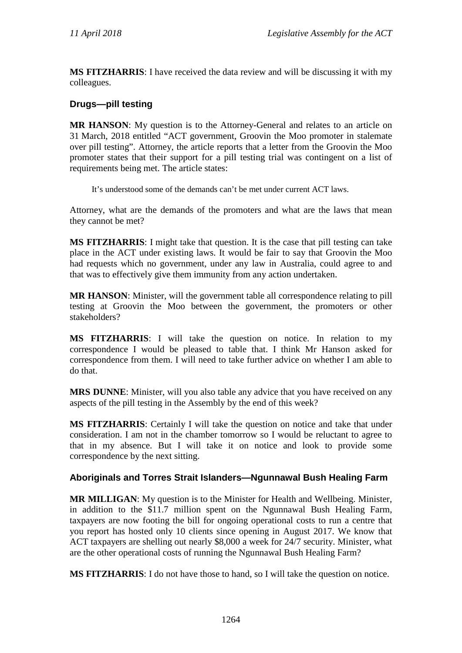**MS FITZHARRIS**: I have received the data review and will be discussing it with my colleagues.

## **Drugs—pill testing**

**MR HANSON**: My question is to the Attorney-General and relates to an article on 31 March, 2018 entitled "ACT government, Groovin the Moo promoter in stalemate over pill testing". Attorney, the article reports that a letter from the Groovin the Moo promoter states that their support for a pill testing trial was contingent on a list of requirements being met. The article states:

It's understood some of the demands can't be met under current ACT laws.

Attorney, what are the demands of the promoters and what are the laws that mean they cannot be met?

**MS FITZHARRIS**: I might take that question. It is the case that pill testing can take place in the ACT under existing laws. It would be fair to say that Groovin the Moo had requests which no government, under any law in Australia, could agree to and that was to effectively give them immunity from any action undertaken.

**MR HANSON**: Minister, will the government table all correspondence relating to pill testing at Groovin the Moo between the government, the promoters or other stakeholders?

**MS FITZHARRIS**: I will take the question on notice. In relation to my correspondence I would be pleased to table that. I think Mr Hanson asked for correspondence from them. I will need to take further advice on whether I am able to do that.

**MRS DUNNE**: Minister, will you also table any advice that you have received on any aspects of the pill testing in the Assembly by the end of this week?

**MS FITZHARRIS**: Certainly I will take the question on notice and take that under consideration. I am not in the chamber tomorrow so I would be reluctant to agree to that in my absence. But I will take it on notice and look to provide some correspondence by the next sitting.

## **Aboriginals and Torres Strait Islanders—Ngunnawal Bush Healing Farm**

**MR MILLIGAN**: My question is to the Minister for Health and Wellbeing. Minister, in addition to the \$11.7 million spent on the Ngunnawal Bush Healing Farm, taxpayers are now footing the bill for ongoing operational costs to run a centre that you report has hosted only 10 clients since opening in August 2017. We know that ACT taxpayers are shelling out nearly \$8,000 a week for 24/7 security. Minister, what are the other operational costs of running the Ngunnawal Bush Healing Farm?

**MS FITZHARRIS**: I do not have those to hand, so I will take the question on notice.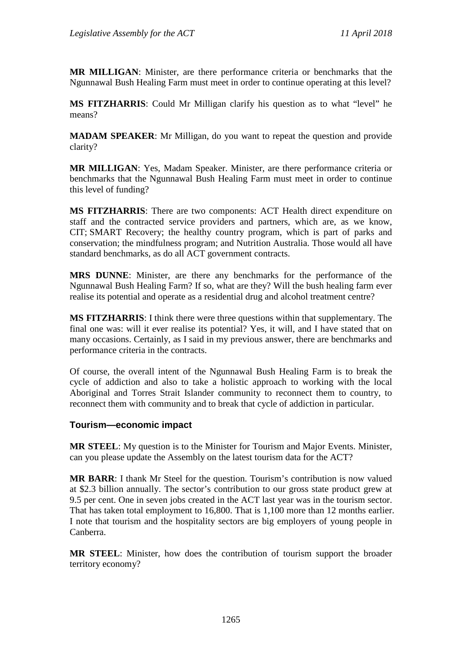**MR MILLIGAN**: Minister, are there performance criteria or benchmarks that the Ngunnawal Bush Healing Farm must meet in order to continue operating at this level?

**MS FITZHARRIS**: Could Mr Milligan clarify his question as to what "level" he means?

**MADAM SPEAKER**: Mr Milligan, do you want to repeat the question and provide clarity?

**MR MILLIGAN**: Yes, Madam Speaker. Minister, are there performance criteria or benchmarks that the Ngunnawal Bush Healing Farm must meet in order to continue this level of funding?

**MS FITZHARRIS**: There are two components: ACT Health direct expenditure on staff and the contracted service providers and partners, which are, as we know, CIT; SMART Recovery; the healthy country program, which is part of parks and conservation; the mindfulness program; and Nutrition Australia. Those would all have standard benchmarks, as do all ACT government contracts.

**MRS DUNNE**: Minister, are there any benchmarks for the performance of the Ngunnawal Bush Healing Farm? If so, what are they? Will the bush healing farm ever realise its potential and operate as a residential drug and alcohol treatment centre?

**MS FITZHARRIS**: I think there were three questions within that supplementary. The final one was: will it ever realise its potential? Yes, it will, and I have stated that on many occasions. Certainly, as I said in my previous answer, there are benchmarks and performance criteria in the contracts.

Of course, the overall intent of the Ngunnawal Bush Healing Farm is to break the cycle of addiction and also to take a holistic approach to working with the local Aboriginal and Torres Strait Islander community to reconnect them to country, to reconnect them with community and to break that cycle of addiction in particular.

## **Tourism—economic impact**

**MR STEEL**: My question is to the Minister for Tourism and Major Events. Minister, can you please update the Assembly on the latest tourism data for the ACT?

**MR BARR**: I thank Mr Steel for the question. Tourism's contribution is now valued at \$2.3 billion annually. The sector's contribution to our gross state product grew at 9.5 per cent. One in seven jobs created in the ACT last year was in the tourism sector. That has taken total employment to 16,800. That is 1,100 more than 12 months earlier. I note that tourism and the hospitality sectors are big employers of young people in Canberra.

**MR STEEL**: Minister, how does the contribution of tourism support the broader territory economy?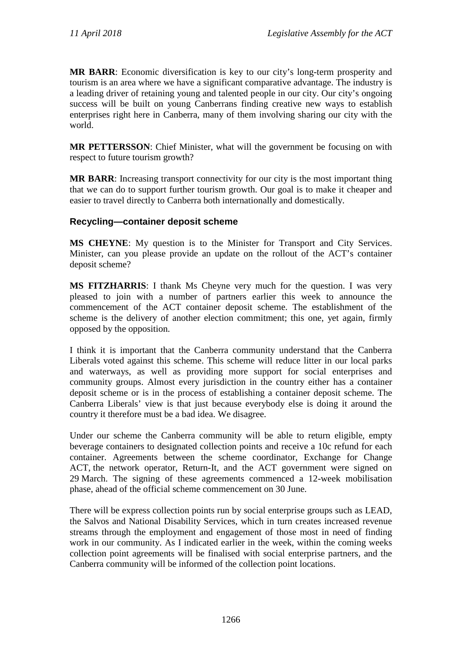**MR BARR**: Economic diversification is key to our city's long-term prosperity and tourism is an area where we have a significant comparative advantage. The industry is a leading driver of retaining young and talented people in our city. Our city's ongoing success will be built on young Canberrans finding creative new ways to establish enterprises right here in Canberra, many of them involving sharing our city with the world.

**MR PETTERSSON**: Chief Minister, what will the government be focusing on with respect to future tourism growth?

**MR BARR**: Increasing transport connectivity for our city is the most important thing that we can do to support further tourism growth. Our goal is to make it cheaper and easier to travel directly to Canberra both internationally and domestically.

## **Recycling—container deposit scheme**

**MS CHEYNE**: My question is to the Minister for Transport and City Services. Minister, can you please provide an update on the rollout of the ACT's container deposit scheme?

**MS FITZHARRIS**: I thank Ms Cheyne very much for the question. I was very pleased to join with a number of partners earlier this week to announce the commencement of the ACT container deposit scheme. The establishment of the scheme is the delivery of another election commitment; this one, yet again, firmly opposed by the opposition.

I think it is important that the Canberra community understand that the Canberra Liberals voted against this scheme. This scheme will reduce litter in our local parks and waterways, as well as providing more support for social enterprises and community groups. Almost every jurisdiction in the country either has a container deposit scheme or is in the process of establishing a container deposit scheme. The Canberra Liberals' view is that just because everybody else is doing it around the country it therefore must be a bad idea. We disagree.

Under our scheme the Canberra community will be able to return eligible, empty beverage containers to designated collection points and receive a 10c refund for each container. Agreements between the scheme coordinator, Exchange for Change ACT, the network operator, Return-It, and the ACT government were signed on 29 March. The signing of these agreements commenced a 12-week mobilisation phase, ahead of the official scheme commencement on 30 June.

There will be express collection points run by social enterprise groups such as LEAD, the Salvos and National Disability Services, which in turn creates increased revenue streams through the employment and engagement of those most in need of finding work in our community. As I indicated earlier in the week, within the coming weeks collection point agreements will be finalised with social enterprise partners, and the Canberra community will be informed of the collection point locations.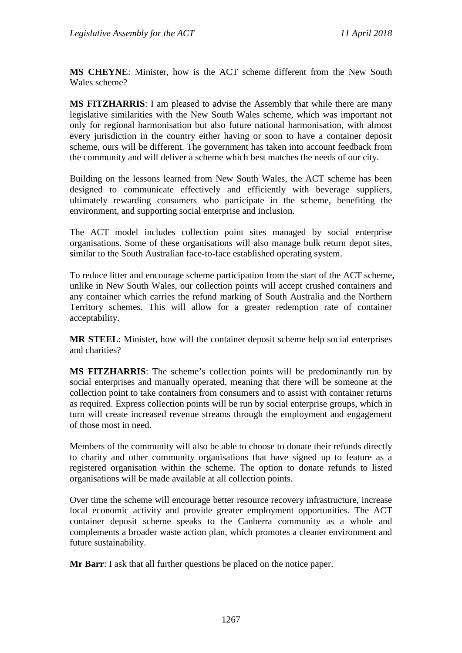**MS CHEYNE**: Minister, how is the ACT scheme different from the New South Wales scheme?

**MS FITZHARRIS**: I am pleased to advise the Assembly that while there are many legislative similarities with the New South Wales scheme, which was important not only for regional harmonisation but also future national harmonisation, with almost every jurisdiction in the country either having or soon to have a container deposit scheme, ours will be different. The government has taken into account feedback from the community and will deliver a scheme which best matches the needs of our city.

Building on the lessons learned from New South Wales, the ACT scheme has been designed to communicate effectively and efficiently with beverage suppliers, ultimately rewarding consumers who participate in the scheme, benefiting the environment, and supporting social enterprise and inclusion.

The ACT model includes collection point sites managed by social enterprise organisations. Some of these organisations will also manage bulk return depot sites, similar to the South Australian face-to-face established operating system.

To reduce litter and encourage scheme participation from the start of the ACT scheme, unlike in New South Wales, our collection points will accept crushed containers and any container which carries the refund marking of South Australia and the Northern Territory schemes. This will allow for a greater redemption rate of container acceptability.

**MR STEEL**: Minister, how will the container deposit scheme help social enterprises and charities?

**MS FITZHARRIS**: The scheme's collection points will be predominantly run by social enterprises and manually operated, meaning that there will be someone at the collection point to take containers from consumers and to assist with container returns as required. Express collection points will be run by social enterprise groups, which in turn will create increased revenue streams through the employment and engagement of those most in need.

Members of the community will also be able to choose to donate their refunds directly to charity and other community organisations that have signed up to feature as a registered organisation within the scheme. The option to donate refunds to listed organisations will be made available at all collection points.

Over time the scheme will encourage better resource recovery infrastructure, increase local economic activity and provide greater employment opportunities. The ACT container deposit scheme speaks to the Canberra community as a whole and complements a broader waste action plan, which promotes a cleaner environment and future sustainability.

**Mr Barr**: I ask that all further questions be placed on the notice paper.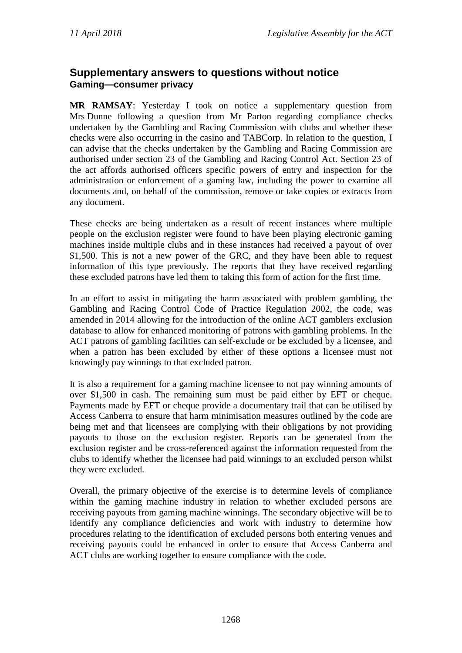# **Supplementary answers to questions without notice Gaming—consumer privacy**

**MR RAMSAY**: Yesterday I took on notice a supplementary question from Mrs Dunne following a question from Mr Parton regarding compliance checks undertaken by the Gambling and Racing Commission with clubs and whether these checks were also occurring in the casino and TABCorp. In relation to the question, I can advise that the checks undertaken by the Gambling and Racing Commission are authorised under section 23 of the Gambling and Racing Control Act. Section 23 of the act affords authorised officers specific powers of entry and inspection for the administration or enforcement of a gaming law, including the power to examine all documents and, on behalf of the commission, remove or take copies or extracts from any document.

These checks are being undertaken as a result of recent instances where multiple people on the exclusion register were found to have been playing electronic gaming machines inside multiple clubs and in these instances had received a payout of over \$1,500. This is not a new power of the GRC, and they have been able to request information of this type previously. The reports that they have received regarding these excluded patrons have led them to taking this form of action for the first time.

In an effort to assist in mitigating the harm associated with problem gambling, the Gambling and Racing Control Code of Practice Regulation 2002, the code, was amended in 2014 allowing for the introduction of the online ACT gamblers exclusion database to allow for enhanced monitoring of patrons with gambling problems. In the ACT patrons of gambling facilities can self-exclude or be excluded by a licensee, and when a patron has been excluded by either of these options a licensee must not knowingly pay winnings to that excluded patron.

It is also a requirement for a gaming machine licensee to not pay winning amounts of over \$1,500 in cash. The remaining sum must be paid either by EFT or cheque. Payments made by EFT or cheque provide a documentary trail that can be utilised by Access Canberra to ensure that harm minimisation measures outlined by the code are being met and that licensees are complying with their obligations by not providing payouts to those on the exclusion register. Reports can be generated from the exclusion register and be cross-referenced against the information requested from the clubs to identify whether the licensee had paid winnings to an excluded person whilst they were excluded.

Overall, the primary objective of the exercise is to determine levels of compliance within the gaming machine industry in relation to whether excluded persons are receiving payouts from gaming machine winnings. The secondary objective will be to identify any compliance deficiencies and work with industry to determine how procedures relating to the identification of excluded persons both entering venues and receiving payouts could be enhanced in order to ensure that Access Canberra and ACT clubs are working together to ensure compliance with the code.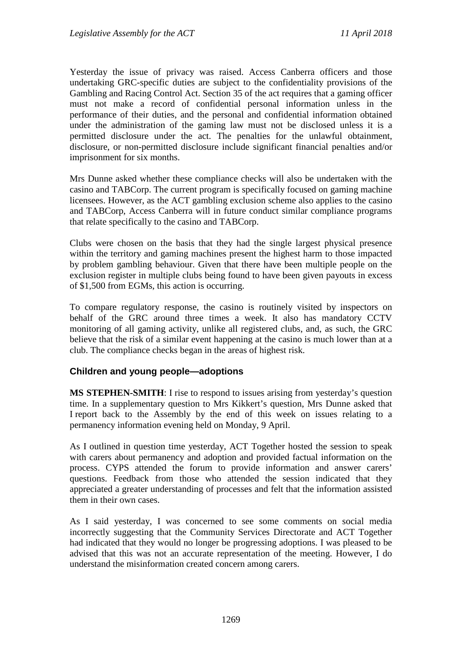Yesterday the issue of privacy was raised. Access Canberra officers and those undertaking GRC-specific duties are subject to the confidentiality provisions of the Gambling and Racing Control Act. Section 35 of the act requires that a gaming officer must not make a record of confidential personal information unless in the performance of their duties, and the personal and confidential information obtained under the administration of the gaming law must not be disclosed unless it is a permitted disclosure under the act. The penalties for the unlawful obtainment, disclosure, or non-permitted disclosure include significant financial penalties and/or imprisonment for six months.

Mrs Dunne asked whether these compliance checks will also be undertaken with the casino and TABCorp. The current program is specifically focused on gaming machine licensees. However, as the ACT gambling exclusion scheme also applies to the casino and TABCorp, Access Canberra will in future conduct similar compliance programs that relate specifically to the casino and TABCorp.

Clubs were chosen on the basis that they had the single largest physical presence within the territory and gaming machines present the highest harm to those impacted by problem gambling behaviour. Given that there have been multiple people on the exclusion register in multiple clubs being found to have been given payouts in excess of \$1,500 from EGMs, this action is occurring.

To compare regulatory response, the casino is routinely visited by inspectors on behalf of the GRC around three times a week. It also has mandatory CCTV monitoring of all gaming activity, unlike all registered clubs, and, as such, the GRC believe that the risk of a similar event happening at the casino is much lower than at a club. The compliance checks began in the areas of highest risk.

## **Children and young people—adoptions**

**MS STEPHEN-SMITH**: I rise to respond to issues arising from yesterday's question time. In a supplementary question to Mrs Kikkert's question, Mrs Dunne asked that I report back to the Assembly by the end of this week on issues relating to a permanency information evening held on Monday, 9 April.

As I outlined in question time yesterday, ACT Together hosted the session to speak with carers about permanency and adoption and provided factual information on the process. CYPS attended the forum to provide information and answer carers' questions. Feedback from those who attended the session indicated that they appreciated a greater understanding of processes and felt that the information assisted them in their own cases.

As I said yesterday, I was concerned to see some comments on social media incorrectly suggesting that the Community Services Directorate and ACT Together had indicated that they would no longer be progressing adoptions. I was pleased to be advised that this was not an accurate representation of the meeting. However, I do understand the misinformation created concern among carers.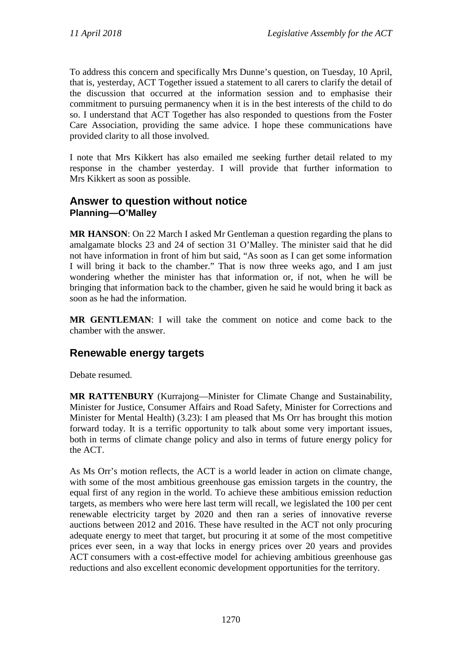To address this concern and specifically Mrs Dunne's question, on Tuesday, 10 April, that is, yesterday, ACT Together issued a statement to all carers to clarify the detail of the discussion that occurred at the information session and to emphasise their commitment to pursuing permanency when it is in the best interests of the child to do so. I understand that ACT Together has also responded to questions from the Foster Care Association, providing the same advice. I hope these communications have provided clarity to all those involved.

I note that Mrs Kikkert has also emailed me seeking further detail related to my response in the chamber yesterday. I will provide that further information to Mrs Kikkert as soon as possible.

## **Answer to question without notice Planning—O'Malley**

**MR HANSON**: On 22 March I asked Mr Gentleman a question regarding the plans to amalgamate blocks 23 and 24 of section 31 O'Malley. The minister said that he did not have information in front of him but said, "As soon as I can get some information I will bring it back to the chamber." That is now three weeks ago, and I am just wondering whether the minister has that information or, if not, when he will be bringing that information back to the chamber, given he said he would bring it back as soon as he had the information.

**MR GENTLEMAN**: I will take the comment on notice and come back to the chamber with the answer.

## **Renewable energy targets**

Debate resumed.

**MR RATTENBURY** (Kurrajong—Minister for Climate Change and Sustainability, Minister for Justice, Consumer Affairs and Road Safety, Minister for Corrections and Minister for Mental Health) (3.23): I am pleased that Ms Orr has brought this motion forward today. It is a terrific opportunity to talk about some very important issues, both in terms of climate change policy and also in terms of future energy policy for the ACT.

As Ms Orr's motion reflects, the ACT is a world leader in action on climate change, with some of the most ambitious greenhouse gas emission targets in the country, the equal first of any region in the world. To achieve these ambitious emission reduction targets, as members who were here last term will recall, we legislated the 100 per cent renewable electricity target by 2020 and then ran a series of innovative reverse auctions between 2012 and 2016. These have resulted in the ACT not only procuring adequate energy to meet that target, but procuring it at some of the most competitive prices ever seen, in a way that locks in energy prices over 20 years and provides ACT consumers with a cost-effective model for achieving ambitious greenhouse gas reductions and also excellent economic development opportunities for the territory.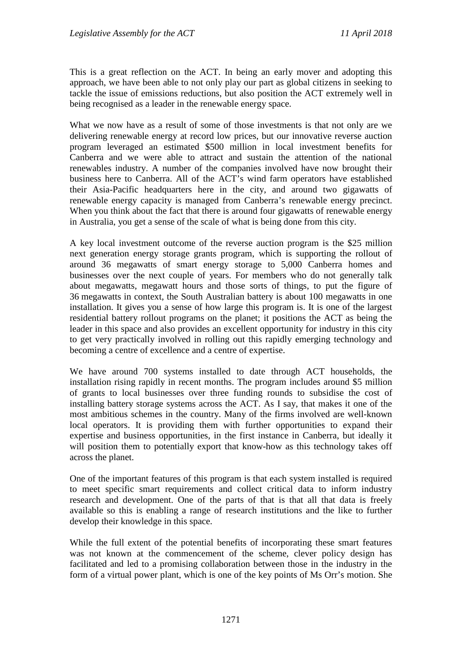This is a great reflection on the ACT. In being an early mover and adopting this approach, we have been able to not only play our part as global citizens in seeking to tackle the issue of emissions reductions, but also position the ACT extremely well in being recognised as a leader in the renewable energy space.

What we now have as a result of some of those investments is that not only are we delivering renewable energy at record low prices, but our innovative reverse auction program leveraged an estimated \$500 million in local investment benefits for Canberra and we were able to attract and sustain the attention of the national renewables industry. A number of the companies involved have now brought their business here to Canberra. All of the ACT's wind farm operators have established their Asia-Pacific headquarters here in the city, and around two gigawatts of renewable energy capacity is managed from Canberra's renewable energy precinct. When you think about the fact that there is around four gigawatts of renewable energy in Australia, you get a sense of the scale of what is being done from this city.

A key local investment outcome of the reverse auction program is the \$25 million next generation energy storage grants program, which is supporting the rollout of around 36 megawatts of smart energy storage to 5,000 Canberra homes and businesses over the next couple of years. For members who do not generally talk about megawatts, megawatt hours and those sorts of things, to put the figure of 36 megawatts in context, the South Australian battery is about 100 megawatts in one installation. It gives you a sense of how large this program is. It is one of the largest residential battery rollout programs on the planet; it positions the ACT as being the leader in this space and also provides an excellent opportunity for industry in this city to get very practically involved in rolling out this rapidly emerging technology and becoming a centre of excellence and a centre of expertise.

We have around 700 systems installed to date through ACT households, the installation rising rapidly in recent months. The program includes around \$5 million of grants to local businesses over three funding rounds to subsidise the cost of installing battery storage systems across the ACT. As I say, that makes it one of the most ambitious schemes in the country. Many of the firms involved are well-known local operators. It is providing them with further opportunities to expand their expertise and business opportunities, in the first instance in Canberra, but ideally it will position them to potentially export that know-how as this technology takes off across the planet.

One of the important features of this program is that each system installed is required to meet specific smart requirements and collect critical data to inform industry research and development. One of the parts of that is that all that data is freely available so this is enabling a range of research institutions and the like to further develop their knowledge in this space.

While the full extent of the potential benefits of incorporating these smart features was not known at the commencement of the scheme, clever policy design has facilitated and led to a promising collaboration between those in the industry in the form of a virtual power plant, which is one of the key points of Ms Orr's motion. She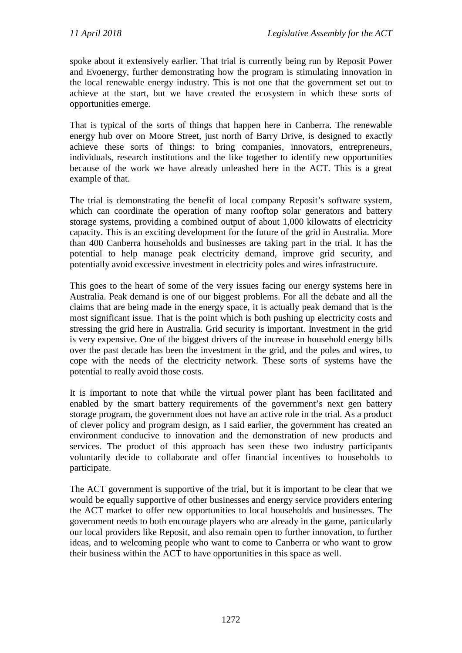spoke about it extensively earlier. That trial is currently being run by Reposit Power and Evoenergy, further demonstrating how the program is stimulating innovation in the local renewable energy industry. This is not one that the government set out to achieve at the start, but we have created the ecosystem in which these sorts of opportunities emerge.

That is typical of the sorts of things that happen here in Canberra. The renewable energy hub over on Moore Street, just north of Barry Drive, is designed to exactly achieve these sorts of things: to bring companies, innovators, entrepreneurs, individuals, research institutions and the like together to identify new opportunities because of the work we have already unleashed here in the ACT. This is a great example of that.

The trial is demonstrating the benefit of local company Reposit's software system, which can coordinate the operation of many rooftop solar generators and battery storage systems, providing a combined output of about 1,000 kilowatts of electricity capacity. This is an exciting development for the future of the grid in Australia. More than 400 Canberra households and businesses are taking part in the trial. It has the potential to help manage peak electricity demand, improve grid security, and potentially avoid excessive investment in electricity poles and wires infrastructure.

This goes to the heart of some of the very issues facing our energy systems here in Australia. Peak demand is one of our biggest problems. For all the debate and all the claims that are being made in the energy space, it is actually peak demand that is the most significant issue. That is the point which is both pushing up electricity costs and stressing the grid here in Australia. Grid security is important. Investment in the grid is very expensive. One of the biggest drivers of the increase in household energy bills over the past decade has been the investment in the grid, and the poles and wires, to cope with the needs of the electricity network. These sorts of systems have the potential to really avoid those costs.

It is important to note that while the virtual power plant has been facilitated and enabled by the smart battery requirements of the government's next gen battery storage program, the government does not have an active role in the trial. As a product of clever policy and program design, as I said earlier, the government has created an environment conducive to innovation and the demonstration of new products and services. The product of this approach has seen these two industry participants voluntarily decide to collaborate and offer financial incentives to households to participate.

The ACT government is supportive of the trial, but it is important to be clear that we would be equally supportive of other businesses and energy service providers entering the ACT market to offer new opportunities to local households and businesses. The government needs to both encourage players who are already in the game, particularly our local providers like Reposit, and also remain open to further innovation, to further ideas, and to welcoming people who want to come to Canberra or who want to grow their business within the ACT to have opportunities in this space as well.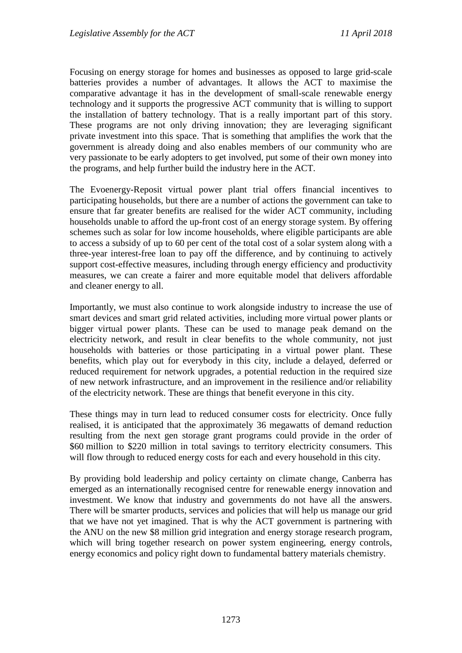Focusing on energy storage for homes and businesses as opposed to large grid-scale batteries provides a number of advantages. It allows the ACT to maximise the comparative advantage it has in the development of small-scale renewable energy technology and it supports the progressive ACT community that is willing to support the installation of battery technology. That is a really important part of this story. These programs are not only driving innovation; they are leveraging significant private investment into this space. That is something that amplifies the work that the government is already doing and also enables members of our community who are very passionate to be early adopters to get involved, put some of their own money into the programs, and help further build the industry here in the ACT.

The Evoenergy-Reposit virtual power plant trial offers financial incentives to participating households, but there are a number of actions the government can take to ensure that far greater benefits are realised for the wider ACT community, including households unable to afford the up-front cost of an energy storage system. By offering schemes such as solar for low income households, where eligible participants are able to access a subsidy of up to 60 per cent of the total cost of a solar system along with a three-year interest-free loan to pay off the difference, and by continuing to actively support cost-effective measures, including through energy efficiency and productivity measures, we can create a fairer and more equitable model that delivers affordable and cleaner energy to all.

Importantly, we must also continue to work alongside industry to increase the use of smart devices and smart grid related activities, including more virtual power plants or bigger virtual power plants. These can be used to manage peak demand on the electricity network, and result in clear benefits to the whole community, not just households with batteries or those participating in a virtual power plant. These benefits, which play out for everybody in this city, include a delayed, deferred or reduced requirement for network upgrades, a potential reduction in the required size of new network infrastructure, and an improvement in the resilience and/or reliability of the electricity network. These are things that benefit everyone in this city.

These things may in turn lead to reduced consumer costs for electricity. Once fully realised, it is anticipated that the approximately 36 megawatts of demand reduction resulting from the next gen storage grant programs could provide in the order of \$60 million to \$220 million in total savings to territory electricity consumers. This will flow through to reduced energy costs for each and every household in this city.

By providing bold leadership and policy certainty on climate change, Canberra has emerged as an internationally recognised centre for renewable energy innovation and investment. We know that industry and governments do not have all the answers. There will be smarter products, services and policies that will help us manage our grid that we have not yet imagined. That is why the ACT government is partnering with the ANU on the new \$8 million grid integration and energy storage research program, which will bring together research on power system engineering, energy controls, energy economics and policy right down to fundamental battery materials chemistry.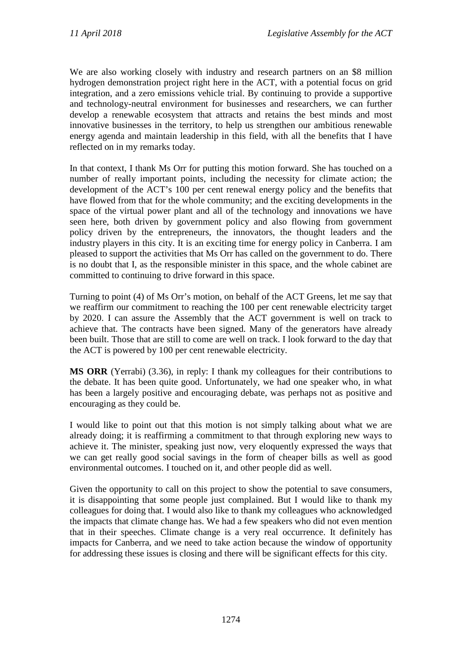We are also working closely with industry and research partners on an \$8 million hydrogen demonstration project right here in the ACT, with a potential focus on grid integration, and a zero emissions vehicle trial. By continuing to provide a supportive and technology-neutral environment for businesses and researchers, we can further develop a renewable ecosystem that attracts and retains the best minds and most innovative businesses in the territory, to help us strengthen our ambitious renewable energy agenda and maintain leadership in this field, with all the benefits that I have reflected on in my remarks today.

In that context, I thank Ms Orr for putting this motion forward. She has touched on a number of really important points, including the necessity for climate action; the development of the ACT's 100 per cent renewal energy policy and the benefits that have flowed from that for the whole community; and the exciting developments in the space of the virtual power plant and all of the technology and innovations we have seen here, both driven by government policy and also flowing from government policy driven by the entrepreneurs, the innovators, the thought leaders and the industry players in this city. It is an exciting time for energy policy in Canberra. I am pleased to support the activities that Ms Orr has called on the government to do. There is no doubt that I, as the responsible minister in this space, and the whole cabinet are committed to continuing to drive forward in this space.

Turning to point (4) of Ms Orr's motion, on behalf of the ACT Greens, let me say that we reaffirm our commitment to reaching the 100 per cent renewable electricity target by 2020. I can assure the Assembly that the ACT government is well on track to achieve that. The contracts have been signed. Many of the generators have already been built. Those that are still to come are well on track. I look forward to the day that the ACT is powered by 100 per cent renewable electricity.

**MS ORR** (Yerrabi) (3.36), in reply: I thank my colleagues for their contributions to the debate. It has been quite good. Unfortunately, we had one speaker who, in what has been a largely positive and encouraging debate, was perhaps not as positive and encouraging as they could be.

I would like to point out that this motion is not simply talking about what we are already doing; it is reaffirming a commitment to that through exploring new ways to achieve it. The minister, speaking just now, very eloquently expressed the ways that we can get really good social savings in the form of cheaper bills as well as good environmental outcomes. I touched on it, and other people did as well.

Given the opportunity to call on this project to show the potential to save consumers, it is disappointing that some people just complained. But I would like to thank my colleagues for doing that. I would also like to thank my colleagues who acknowledged the impacts that climate change has. We had a few speakers who did not even mention that in their speeches. Climate change is a very real occurrence. It definitely has impacts for Canberra, and we need to take action because the window of opportunity for addressing these issues is closing and there will be significant effects for this city.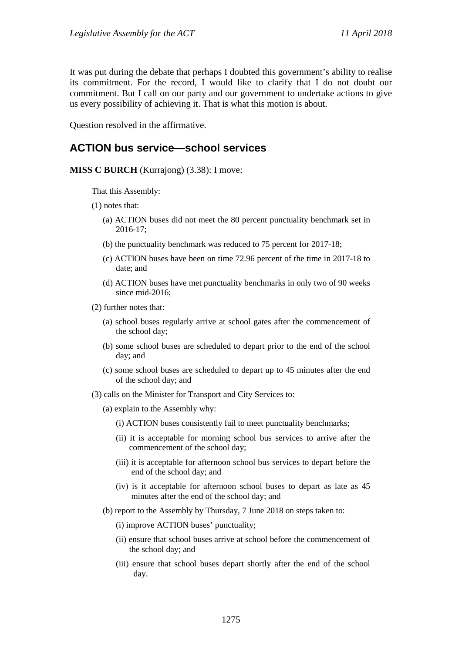It was put during the debate that perhaps I doubted this government's ability to realise its commitment. For the record, I would like to clarify that I do not doubt our commitment. But I call on our party and our government to undertake actions to give us every possibility of achieving it. That is what this motion is about.

Question resolved in the affirmative.

# **ACTION bus service—school services**

#### **MISS C BURCH** (Kurrajong) (3.38): I move:

That this Assembly:

- (1) notes that:
	- (a) ACTION buses did not meet the 80 percent punctuality benchmark set in 2016-17;
	- (b) the punctuality benchmark was reduced to 75 percent for 2017-18;
	- (c) ACTION buses have been on time 72.96 percent of the time in 2017-18 to date; and
	- (d) ACTION buses have met punctuality benchmarks in only two of 90 weeks since mid-2016;
- (2) further notes that:
	- (a) school buses regularly arrive at school gates after the commencement of the school day;
	- (b) some school buses are scheduled to depart prior to the end of the school day; and
	- (c) some school buses are scheduled to depart up to 45 minutes after the end of the school day; and
- (3) calls on the Minister for Transport and City Services to:
	- (a) explain to the Assembly why:
		- (i) ACTION buses consistently fail to meet punctuality benchmarks;
		- (ii) it is acceptable for morning school bus services to arrive after the commencement of the school day;
		- (iii) it is acceptable for afternoon school bus services to depart before the end of the school day; and
		- (iv) is it acceptable for afternoon school buses to depart as late as 45 minutes after the end of the school day; and
	- (b) report to the Assembly by Thursday, 7 June 2018 on steps taken to:
		- (i) improve ACTION buses' punctuality;
		- (ii) ensure that school buses arrive at school before the commencement of the school day; and
		- (iii) ensure that school buses depart shortly after the end of the school day.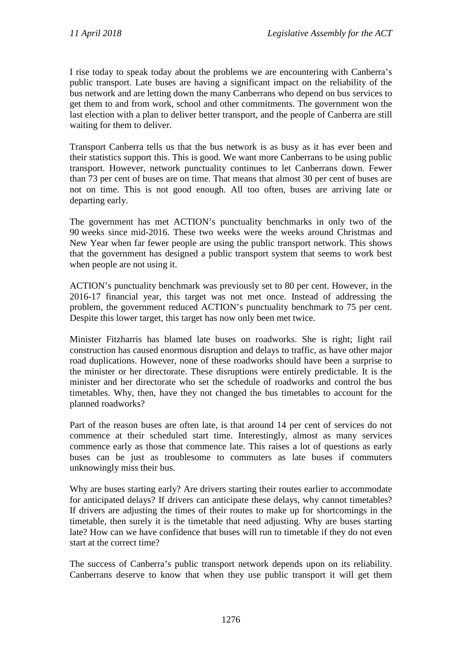I rise today to speak today about the problems we are encountering with Canberra's public transport. Late buses are having a significant impact on the reliability of the bus network and are letting down the many Canberrans who depend on bus services to get them to and from work, school and other commitments. The government won the last election with a plan to deliver better transport, and the people of Canberra are still waiting for them to deliver.

Transport Canberra tells us that the bus network is as busy as it has ever been and their statistics support this. This is good. We want more Canberrans to be using public transport. However, network punctuality continues to let Canberrans down. Fewer than 73 per cent of buses are on time. That means that almost 30 per cent of buses are not on time. This is not good enough. All too often, buses are arriving late or departing early.

The government has met ACTION's punctuality benchmarks in only two of the 90 weeks since mid-2016. These two weeks were the weeks around Christmas and New Year when far fewer people are using the public transport network. This shows that the government has designed a public transport system that seems to work best when people are not using it.

ACTION's punctuality benchmark was previously set to 80 per cent. However, in the 2016-17 financial year, this target was not met once. Instead of addressing the problem, the government reduced ACTION's punctuality benchmark to 75 per cent. Despite this lower target, this target has now only been met twice.

Minister Fitzharris has blamed late buses on roadworks. She is right; light rail construction has caused enormous disruption and delays to traffic, as have other major road duplications. However, none of these roadworks should have been a surprise to the minister or her directorate. These disruptions were entirely predictable. It is the minister and her directorate who set the schedule of roadworks and control the bus timetables. Why, then, have they not changed the bus timetables to account for the planned roadworks?

Part of the reason buses are often late, is that around 14 per cent of services do not commence at their scheduled start time. Interestingly, almost as many services commence early as those that commence late. This raises a lot of questions as early buses can be just as troublesome to commuters as late buses if commuters unknowingly miss their bus.

Why are buses starting early? Are drivers starting their routes earlier to accommodate for anticipated delays? If drivers can anticipate these delays, why cannot timetables? If drivers are adjusting the times of their routes to make up for shortcomings in the timetable, then surely it is the timetable that need adjusting. Why are buses starting late? How can we have confidence that buses will run to timetable if they do not even start at the correct time?

The success of Canberra's public transport network depends upon on its reliability. Canberrans deserve to know that when they use public transport it will get them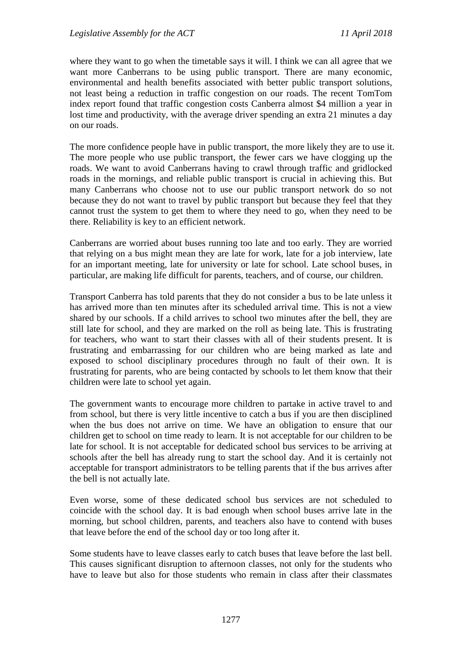where they want to go when the timetable says it will. I think we can all agree that we want more Canberrans to be using public transport. There are many economic, environmental and health benefits associated with better public transport solutions, not least being a reduction in traffic congestion on our roads. The recent TomTom index report found that traffic congestion costs Canberra almost \$4 million a year in lost time and productivity, with the average driver spending an extra 21 minutes a day on our roads.

The more confidence people have in public transport, the more likely they are to use it. The more people who use public transport, the fewer cars we have clogging up the roads. We want to avoid Canberrans having to crawl through traffic and gridlocked roads in the mornings, and reliable public transport is crucial in achieving this. But many Canberrans who choose not to use our public transport network do so not because they do not want to travel by public transport but because they feel that they cannot trust the system to get them to where they need to go, when they need to be there. Reliability is key to an efficient network.

Canberrans are worried about buses running too late and too early. They are worried that relying on a bus might mean they are late for work, late for a job interview, late for an important meeting, late for university or late for school. Late school buses, in particular, are making life difficult for parents, teachers, and of course, our children.

Transport Canberra has told parents that they do not consider a bus to be late unless it has arrived more than ten minutes after its scheduled arrival time. This is not a view shared by our schools. If a child arrives to school two minutes after the bell, they are still late for school, and they are marked on the roll as being late. This is frustrating for teachers, who want to start their classes with all of their students present. It is frustrating and embarrassing for our children who are being marked as late and exposed to school disciplinary procedures through no fault of their own. It is frustrating for parents, who are being contacted by schools to let them know that their children were late to school yet again.

The government wants to encourage more children to partake in active travel to and from school, but there is very little incentive to catch a bus if you are then disciplined when the bus does not arrive on time. We have an obligation to ensure that our children get to school on time ready to learn. It is not acceptable for our children to be late for school. It is not acceptable for dedicated school bus services to be arriving at schools after the bell has already rung to start the school day. And it is certainly not acceptable for transport administrators to be telling parents that if the bus arrives after the bell is not actually late.

Even worse, some of these dedicated school bus services are not scheduled to coincide with the school day. It is bad enough when school buses arrive late in the morning, but school children, parents, and teachers also have to contend with buses that leave before the end of the school day or too long after it.

Some students have to leave classes early to catch buses that leave before the last bell. This causes significant disruption to afternoon classes, not only for the students who have to leave but also for those students who remain in class after their classmates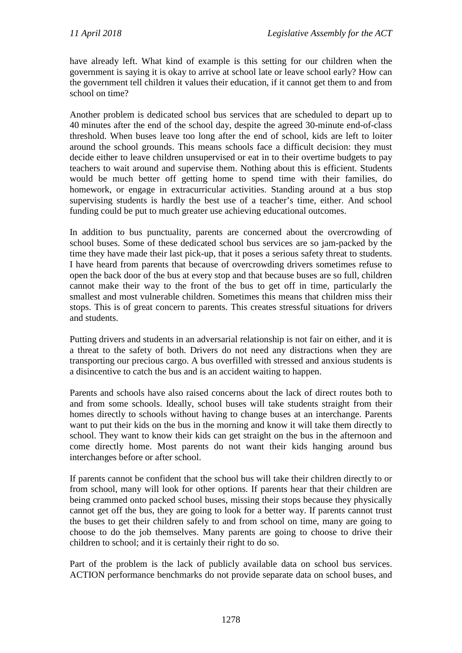have already left. What kind of example is this setting for our children when the government is saying it is okay to arrive at school late or leave school early? How can the government tell children it values their education, if it cannot get them to and from school on time?

Another problem is dedicated school bus services that are scheduled to depart up to 40 minutes after the end of the school day, despite the agreed 30-minute end-of-class threshold. When buses leave too long after the end of school, kids are left to loiter around the school grounds. This means schools face a difficult decision: they must decide either to leave children unsupervised or eat in to their overtime budgets to pay teachers to wait around and supervise them. Nothing about this is efficient. Students would be much better off getting home to spend time with their families, do homework, or engage in extracurricular activities. Standing around at a bus stop supervising students is hardly the best use of a teacher's time, either. And school funding could be put to much greater use achieving educational outcomes.

In addition to bus punctuality, parents are concerned about the overcrowding of school buses. Some of these dedicated school bus services are so jam-packed by the time they have made their last pick-up, that it poses a serious safety threat to students. I have heard from parents that because of overcrowding drivers sometimes refuse to open the back door of the bus at every stop and that because buses are so full, children cannot make their way to the front of the bus to get off in time, particularly the smallest and most vulnerable children. Sometimes this means that children miss their stops. This is of great concern to parents. This creates stressful situations for drivers and students.

Putting drivers and students in an adversarial relationship is not fair on either, and it is a threat to the safety of both. Drivers do not need any distractions when they are transporting our precious cargo. A bus overfilled with stressed and anxious students is a disincentive to catch the bus and is an accident waiting to happen.

Parents and schools have also raised concerns about the lack of direct routes both to and from some schools. Ideally, school buses will take students straight from their homes directly to schools without having to change buses at an interchange. Parents want to put their kids on the bus in the morning and know it will take them directly to school. They want to know their kids can get straight on the bus in the afternoon and come directly home. Most parents do not want their kids hanging around bus interchanges before or after school.

If parents cannot be confident that the school bus will take their children directly to or from school, many will look for other options. If parents hear that their children are being crammed onto packed school buses, missing their stops because they physically cannot get off the bus, they are going to look for a better way. If parents cannot trust the buses to get their children safely to and from school on time, many are going to choose to do the job themselves. Many parents are going to choose to drive their children to school; and it is certainly their right to do so.

Part of the problem is the lack of publicly available data on school bus services. ACTION performance benchmarks do not provide separate data on school buses, and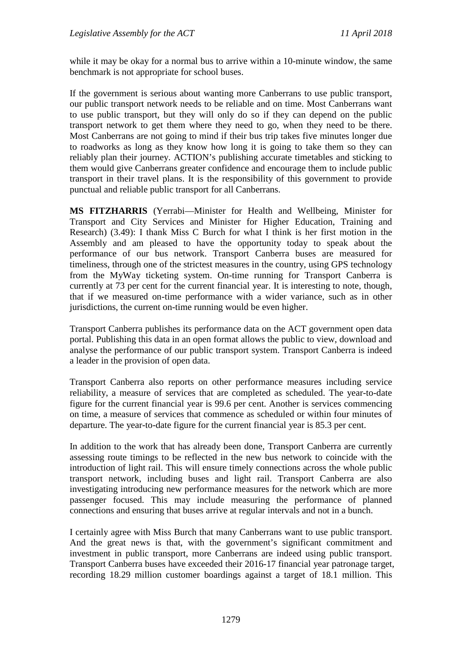while it may be okay for a normal bus to arrive within a 10-minute window, the same benchmark is not appropriate for school buses.

If the government is serious about wanting more Canberrans to use public transport, our public transport network needs to be reliable and on time. Most Canberrans want to use public transport, but they will only do so if they can depend on the public transport network to get them where they need to go, when they need to be there. Most Canberrans are not going to mind if their bus trip takes five minutes longer due to roadworks as long as they know how long it is going to take them so they can reliably plan their journey. ACTION's publishing accurate timetables and sticking to them would give Canberrans greater confidence and encourage them to include public transport in their travel plans. It is the responsibility of this government to provide punctual and reliable public transport for all Canberrans.

**MS FITZHARRIS** (Yerrabi—Minister for Health and Wellbeing, Minister for Transport and City Services and Minister for Higher Education, Training and Research) (3.49): I thank Miss C Burch for what I think is her first motion in the Assembly and am pleased to have the opportunity today to speak about the performance of our bus network. Transport Canberra buses are measured for timeliness, through one of the strictest measures in the country, using GPS technology from the MyWay ticketing system. On-time running for Transport Canberra is currently at 73 per cent for the current financial year. It is interesting to note, though, that if we measured on-time performance with a wider variance, such as in other jurisdictions, the current on-time running would be even higher.

Transport Canberra publishes its performance data on the ACT government open data portal. Publishing this data in an open format allows the public to view, download and analyse the performance of our public transport system. Transport Canberra is indeed a leader in the provision of open data.

Transport Canberra also reports on other performance measures including service reliability, a measure of services that are completed as scheduled. The year-to-date figure for the current financial year is 99.6 per cent. Another is services commencing on time, a measure of services that commence as scheduled or within four minutes of departure. The year-to-date figure for the current financial year is 85.3 per cent.

In addition to the work that has already been done, Transport Canberra are currently assessing route timings to be reflected in the new bus network to coincide with the introduction of light rail. This will ensure timely connections across the whole public transport network, including buses and light rail. Transport Canberra are also investigating introducing new performance measures for the network which are more passenger focused. This may include measuring the performance of planned connections and ensuring that buses arrive at regular intervals and not in a bunch.

I certainly agree with Miss Burch that many Canberrans want to use public transport. And the great news is that, with the government's significant commitment and investment in public transport, more Canberrans are indeed using public transport. Transport Canberra buses have exceeded their 2016-17 financial year patronage target, recording 18.29 million customer boardings against a target of 18.1 million. This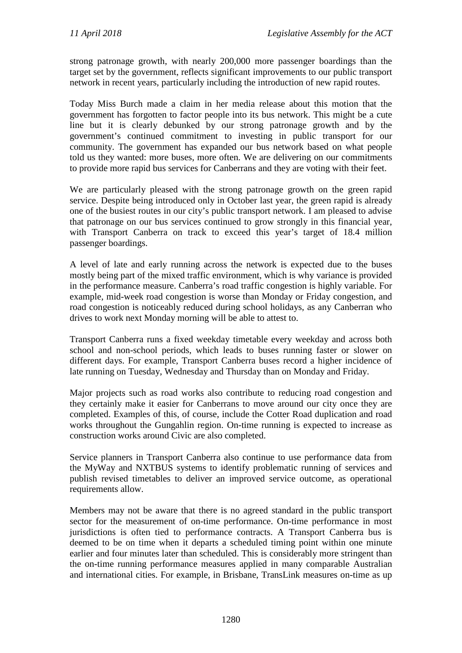strong patronage growth, with nearly 200,000 more passenger boardings than the target set by the government, reflects significant improvements to our public transport network in recent years, particularly including the introduction of new rapid routes.

Today Miss Burch made a claim in her media release about this motion that the government has forgotten to factor people into its bus network. This might be a cute line but it is clearly debunked by our strong patronage growth and by the government's continued commitment to investing in public transport for our community. The government has expanded our bus network based on what people told us they wanted: more buses, more often. We are delivering on our commitments to provide more rapid bus services for Canberrans and they are voting with their feet.

We are particularly pleased with the strong patronage growth on the green rapid service. Despite being introduced only in October last year, the green rapid is already one of the busiest routes in our city's public transport network. I am pleased to advise that patronage on our bus services continued to grow strongly in this financial year, with Transport Canberra on track to exceed this year's target of 18.4 million passenger boardings.

A level of late and early running across the network is expected due to the buses mostly being part of the mixed traffic environment, which is why variance is provided in the performance measure. Canberra's road traffic congestion is highly variable. For example, mid-week road congestion is worse than Monday or Friday congestion, and road congestion is noticeably reduced during school holidays, as any Canberran who drives to work next Monday morning will be able to attest to.

Transport Canberra runs a fixed weekday timetable every weekday and across both school and non-school periods, which leads to buses running faster or slower on different days. For example, Transport Canberra buses record a higher incidence of late running on Tuesday, Wednesday and Thursday than on Monday and Friday.

Major projects such as road works also contribute to reducing road congestion and they certainly make it easier for Canberrans to move around our city once they are completed. Examples of this, of course, include the Cotter Road duplication and road works throughout the Gungahlin region. On-time running is expected to increase as construction works around Civic are also completed.

Service planners in Transport Canberra also continue to use performance data from the MyWay and NXTBUS systems to identify problematic running of services and publish revised timetables to deliver an improved service outcome, as operational requirements allow.

Members may not be aware that there is no agreed standard in the public transport sector for the measurement of on-time performance. On-time performance in most jurisdictions is often tied to performance contracts. A Transport Canberra bus is deemed to be on time when it departs a scheduled timing point within one minute earlier and four minutes later than scheduled. This is considerably more stringent than the on-time running performance measures applied in many comparable Australian and international cities. For example, in Brisbane, TransLink measures on-time as up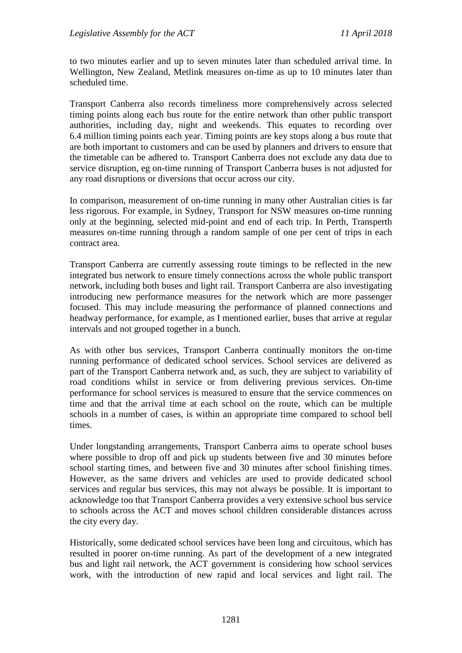to two minutes earlier and up to seven minutes later than scheduled arrival time. In Wellington, New Zealand, Metlink measures on-time as up to 10 minutes later than scheduled time.

Transport Canberra also records timeliness more comprehensively across selected timing points along each bus route for the entire network than other public transport authorities, including day, night and weekends. This equates to recording over 6.4 million timing points each year. Timing points are key stops along a bus route that are both important to customers and can be used by planners and drivers to ensure that the timetable can be adhered to. Transport Canberra does not exclude any data due to service disruption, eg on-time running of Transport Canberra buses is not adjusted for any road disruptions or diversions that occur across our city.

In comparison, measurement of on-time running in many other Australian cities is far less rigorous. For example, in Sydney, Transport for NSW measures on-time running only at the beginning, selected mid-point and end of each trip. In Perth, Transperth measures on-time running through a random sample of one per cent of trips in each contract area.

Transport Canberra are currently assessing route timings to be reflected in the new integrated bus network to ensure timely connections across the whole public transport network, including both buses and light rail. Transport Canberra are also investigating introducing new performance measures for the network which are more passenger focused. This may include measuring the performance of planned connections and headway performance, for example, as I mentioned earlier, buses that arrive at regular intervals and not grouped together in a bunch.

As with other bus services, Transport Canberra continually monitors the on-time running performance of dedicated school services. School services are delivered as part of the Transport Canberra network and, as such, they are subject to variability of road conditions whilst in service or from delivering previous services. On-time performance for school services is measured to ensure that the service commences on time and that the arrival time at each school on the route, which can be multiple schools in a number of cases, is within an appropriate time compared to school bell times.

Under longstanding arrangements, Transport Canberra aims to operate school buses where possible to drop off and pick up students between five and 30 minutes before school starting times, and between five and 30 minutes after school finishing times. However, as the same drivers and vehicles are used to provide dedicated school services and regular bus services, this may not always be possible. It is important to acknowledge too that Transport Canberra provides a very extensive school bus service to schools across the ACT and moves school children considerable distances across the city every day.

Historically, some dedicated school services have been long and circuitous, which has resulted in poorer on-time running. As part of the development of a new integrated bus and light rail network, the ACT government is considering how school services work, with the introduction of new rapid and local services and light rail. The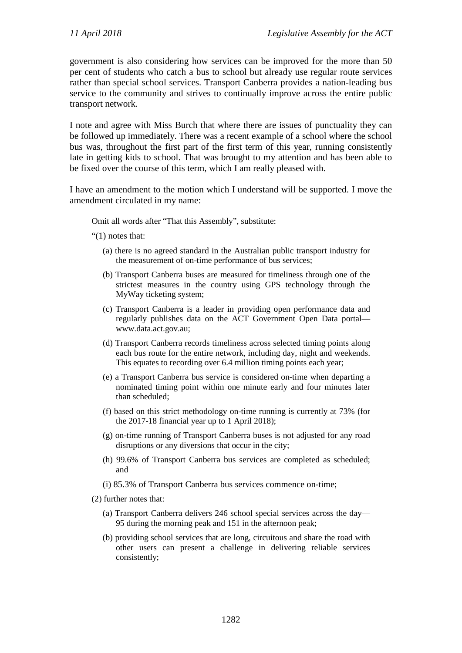government is also considering how services can be improved for the more than 50 per cent of students who catch a bus to school but already use regular route services rather than special school services. Transport Canberra provides a nation-leading bus service to the community and strives to continually improve across the entire public transport network.

I note and agree with Miss Burch that where there are issues of punctuality they can be followed up immediately. There was a recent example of a school where the school bus was, throughout the first part of the first term of this year, running consistently late in getting kids to school. That was brought to my attention and has been able to be fixed over the course of this term, which I am really pleased with.

I have an amendment to the motion which I understand will be supported. I move the amendment circulated in my name:

Omit all words after "That this Assembly", substitute:

- "(1) notes that:
	- (a) there is no agreed standard in the Australian public transport industry for the measurement of on-time performance of bus services;
	- (b) Transport Canberra buses are measured for timeliness through one of the strictest measures in the country using GPS technology through the MyWay ticketing system;
	- (c) Transport Canberra is a leader in providing open performance data and regularly publishes data on the ACT Government Open Data portal www.data.act.gov.au;
	- (d) Transport Canberra records timeliness across selected timing points along each bus route for the entire network, including day, night and weekends. This equates to recording over 6.4 million timing points each year;
	- (e) a Transport Canberra bus service is considered on-time when departing a nominated timing point within one minute early and four minutes later than scheduled;
	- (f) based on this strict methodology on-time running is currently at 73% (for the 2017-18 financial year up to 1 April 2018);
	- (g) on-time running of Transport Canberra buses is not adjusted for any road disruptions or any diversions that occur in the city;
	- (h) 99.6% of Transport Canberra bus services are completed as scheduled; and
	- (i) 85.3% of Transport Canberra bus services commence on-time;
- (2) further notes that:
	- (a) Transport Canberra delivers 246 school special services across the day— 95 during the morning peak and 151 in the afternoon peak;
	- (b) providing school services that are long, circuitous and share the road with other users can present a challenge in delivering reliable services consistently;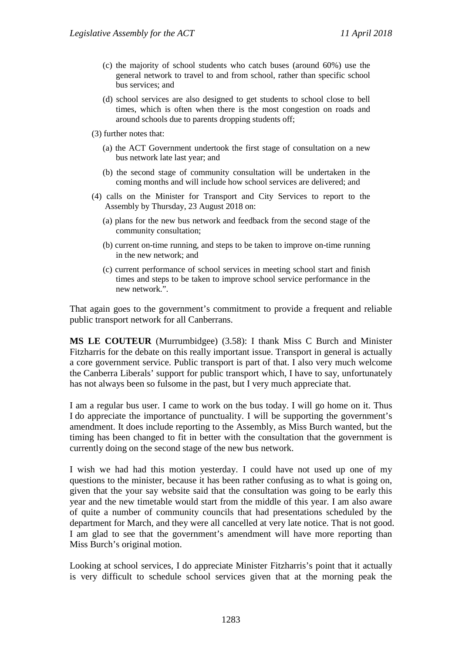- (c) the majority of school students who catch buses (around 60%) use the general network to travel to and from school, rather than specific school bus services; and
- (d) school services are also designed to get students to school close to bell times, which is often when there is the most congestion on roads and around schools due to parents dropping students off;
- (3) further notes that:
	- (a) the ACT Government undertook the first stage of consultation on a new bus network late last year; and
	- (b) the second stage of community consultation will be undertaken in the coming months and will include how school services are delivered; and
- (4) calls on the Minister for Transport and City Services to report to the Assembly by Thursday, 23 August 2018 on:
	- (a) plans for the new bus network and feedback from the second stage of the community consultation;
	- (b) current on-time running, and steps to be taken to improve on-time running in the new network; and
	- (c) current performance of school services in meeting school start and finish times and steps to be taken to improve school service performance in the new network.".

That again goes to the government's commitment to provide a frequent and reliable public transport network for all Canberrans.

**MS LE COUTEUR** (Murrumbidgee) (3.58): I thank Miss C Burch and Minister Fitzharris for the debate on this really important issue. Transport in general is actually a core government service. Public transport is part of that. I also very much welcome the Canberra Liberals' support for public transport which, I have to say, unfortunately has not always been so fulsome in the past, but I very much appreciate that.

I am a regular bus user. I came to work on the bus today. I will go home on it. Thus I do appreciate the importance of punctuality. I will be supporting the government's amendment. It does include reporting to the Assembly, as Miss Burch wanted, but the timing has been changed to fit in better with the consultation that the government is currently doing on the second stage of the new bus network.

I wish we had had this motion yesterday. I could have not used up one of my questions to the minister, because it has been rather confusing as to what is going on, given that the your say website said that the consultation was going to be early this year and the new timetable would start from the middle of this year. I am also aware of quite a number of community councils that had presentations scheduled by the department for March, and they were all cancelled at very late notice. That is not good. I am glad to see that the government's amendment will have more reporting than Miss Burch's original motion.

Looking at school services, I do appreciate Minister Fitzharris's point that it actually is very difficult to schedule school services given that at the morning peak the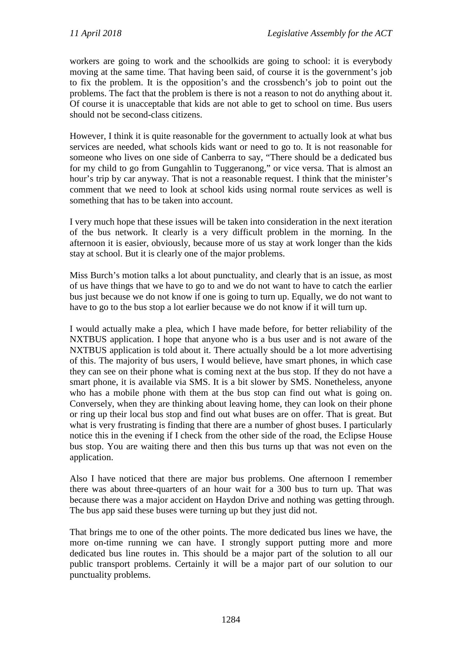workers are going to work and the schoolkids are going to school: it is everybody moving at the same time. That having been said, of course it is the government's job to fix the problem. It is the opposition's and the crossbench's job to point out the problems. The fact that the problem is there is not a reason to not do anything about it. Of course it is unacceptable that kids are not able to get to school on time. Bus users should not be second-class citizens.

However, I think it is quite reasonable for the government to actually look at what bus services are needed, what schools kids want or need to go to. It is not reasonable for someone who lives on one side of Canberra to say, "There should be a dedicated bus for my child to go from Gungahlin to Tuggeranong," or vice versa. That is almost an hour's trip by car anyway. That is not a reasonable request. I think that the minister's comment that we need to look at school kids using normal route services as well is something that has to be taken into account.

I very much hope that these issues will be taken into consideration in the next iteration of the bus network. It clearly is a very difficult problem in the morning. In the afternoon it is easier, obviously, because more of us stay at work longer than the kids stay at school. But it is clearly one of the major problems.

Miss Burch's motion talks a lot about punctuality, and clearly that is an issue, as most of us have things that we have to go to and we do not want to have to catch the earlier bus just because we do not know if one is going to turn up. Equally, we do not want to have to go to the bus stop a lot earlier because we do not know if it will turn up.

I would actually make a plea, which I have made before, for better reliability of the NXTBUS application. I hope that anyone who is a bus user and is not aware of the NXTBUS application is told about it. There actually should be a lot more advertising of this. The majority of bus users, I would believe, have smart phones, in which case they can see on their phone what is coming next at the bus stop. If they do not have a smart phone, it is available via SMS. It is a bit slower by SMS. Nonetheless, anyone who has a mobile phone with them at the bus stop can find out what is going on. Conversely, when they are thinking about leaving home, they can look on their phone or ring up their local bus stop and find out what buses are on offer. That is great. But what is very frustrating is finding that there are a number of ghost buses. I particularly notice this in the evening if I check from the other side of the road, the Eclipse House bus stop. You are waiting there and then this bus turns up that was not even on the application.

Also I have noticed that there are major bus problems. One afternoon I remember there was about three-quarters of an hour wait for a 300 bus to turn up. That was because there was a major accident on Haydon Drive and nothing was getting through. The bus app said these buses were turning up but they just did not.

That brings me to one of the other points. The more dedicated bus lines we have, the more on-time running we can have. I strongly support putting more and more dedicated bus line routes in. This should be a major part of the solution to all our public transport problems. Certainly it will be a major part of our solution to our punctuality problems.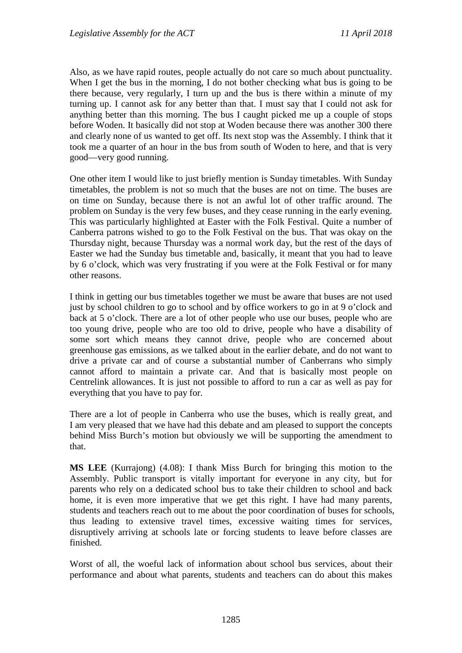Also, as we have rapid routes, people actually do not care so much about punctuality. When I get the bus in the morning, I do not bother checking what bus is going to be there because, very regularly, I turn up and the bus is there within a minute of my turning up. I cannot ask for any better than that. I must say that I could not ask for anything better than this morning. The bus I caught picked me up a couple of stops before Woden. It basically did not stop at Woden because there was another 300 there and clearly none of us wanted to get off. Its next stop was the Assembly. I think that it took me a quarter of an hour in the bus from south of Woden to here, and that is very good—very good running.

One other item I would like to just briefly mention is Sunday timetables. With Sunday timetables, the problem is not so much that the buses are not on time. The buses are on time on Sunday, because there is not an awful lot of other traffic around. The problem on Sunday is the very few buses, and they cease running in the early evening. This was particularly highlighted at Easter with the Folk Festival. Quite a number of Canberra patrons wished to go to the Folk Festival on the bus. That was okay on the Thursday night, because Thursday was a normal work day, but the rest of the days of Easter we had the Sunday bus timetable and, basically, it meant that you had to leave by 6 o'clock, which was very frustrating if you were at the Folk Festival or for many other reasons.

I think in getting our bus timetables together we must be aware that buses are not used just by school children to go to school and by office workers to go in at 9 o'clock and back at 5 o'clock. There are a lot of other people who use our buses, people who are too young drive, people who are too old to drive, people who have a disability of some sort which means they cannot drive, people who are concerned about greenhouse gas emissions, as we talked about in the earlier debate, and do not want to drive a private car and of course a substantial number of Canberrans who simply cannot afford to maintain a private car. And that is basically most people on Centrelink allowances. It is just not possible to afford to run a car as well as pay for everything that you have to pay for.

There are a lot of people in Canberra who use the buses, which is really great, and I am very pleased that we have had this debate and am pleased to support the concepts behind Miss Burch's motion but obviously we will be supporting the amendment to that.

**MS LEE** (Kurrajong) (4.08): I thank Miss Burch for bringing this motion to the Assembly. Public transport is vitally important for everyone in any city, but for parents who rely on a dedicated school bus to take their children to school and back home, it is even more imperative that we get this right. I have had many parents, students and teachers reach out to me about the poor coordination of buses for schools, thus leading to extensive travel times, excessive waiting times for services, disruptively arriving at schools late or forcing students to leave before classes are finished.

Worst of all, the woeful lack of information about school bus services, about their performance and about what parents, students and teachers can do about this makes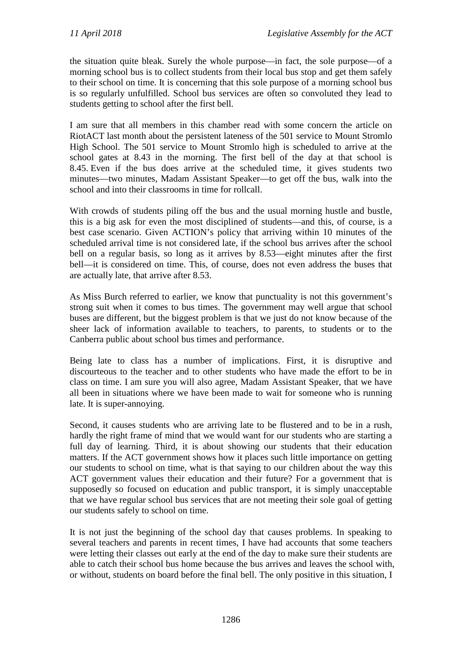the situation quite bleak. Surely the whole purpose—in fact, the sole purpose—of a morning school bus is to collect students from their local bus stop and get them safely to their school on time. It is concerning that this sole purpose of a morning school bus is so regularly unfulfilled. School bus services are often so convoluted they lead to students getting to school after the first bell.

I am sure that all members in this chamber read with some concern the article on RiotACT last month about the persistent lateness of the 501 service to Mount Stromlo High School. The 501 service to Mount Stromlo high is scheduled to arrive at the school gates at 8.43 in the morning. The first bell of the day at that school is 8.45. Even if the bus does arrive at the scheduled time, it gives students two minutes—two minutes, Madam Assistant Speaker—to get off the bus, walk into the school and into their classrooms in time for rollcall.

With crowds of students piling off the bus and the usual morning hustle and bustle, this is a big ask for even the most disciplined of students—and this, of course, is a best case scenario. Given ACTION's policy that arriving within 10 minutes of the scheduled arrival time is not considered late, if the school bus arrives after the school bell on a regular basis, so long as it arrives by 8.53—eight minutes after the first bell—it is considered on time. This, of course, does not even address the buses that are actually late, that arrive after 8.53.

As Miss Burch referred to earlier, we know that punctuality is not this government's strong suit when it comes to bus times. The government may well argue that school buses are different, but the biggest problem is that we just do not know because of the sheer lack of information available to teachers, to parents, to students or to the Canberra public about school bus times and performance.

Being late to class has a number of implications. First, it is disruptive and discourteous to the teacher and to other students who have made the effort to be in class on time. I am sure you will also agree, Madam Assistant Speaker, that we have all been in situations where we have been made to wait for someone who is running late. It is super-annoying.

Second, it causes students who are arriving late to be flustered and to be in a rush, hardly the right frame of mind that we would want for our students who are starting a full day of learning. Third, it is about showing our students that their education matters. If the ACT government shows how it places such little importance on getting our students to school on time, what is that saying to our children about the way this ACT government values their education and their future? For a government that is supposedly so focused on education and public transport, it is simply unacceptable that we have regular school bus services that are not meeting their sole goal of getting our students safely to school on time.

It is not just the beginning of the school day that causes problems. In speaking to several teachers and parents in recent times, I have had accounts that some teachers were letting their classes out early at the end of the day to make sure their students are able to catch their school bus home because the bus arrives and leaves the school with, or without, students on board before the final bell. The only positive in this situation, I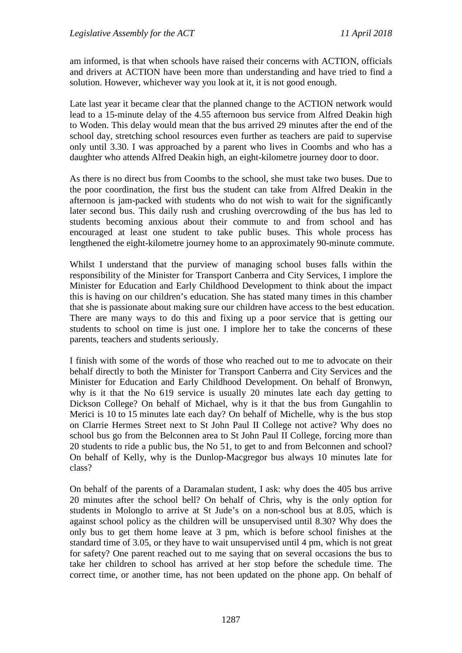am informed, is that when schools have raised their concerns with ACTION, officials and drivers at ACTION have been more than understanding and have tried to find a solution. However, whichever way you look at it, it is not good enough.

Late last year it became clear that the planned change to the ACTION network would lead to a 15-minute delay of the 4.55 afternoon bus service from Alfred Deakin high to Woden. This delay would mean that the bus arrived 29 minutes after the end of the school day, stretching school resources even further as teachers are paid to supervise only until 3.30. I was approached by a parent who lives in Coombs and who has a daughter who attends Alfred Deakin high, an eight-kilometre journey door to door.

As there is no direct bus from Coombs to the school, she must take two buses. Due to the poor coordination, the first bus the student can take from Alfred Deakin in the afternoon is jam-packed with students who do not wish to wait for the significantly later second bus. This daily rush and crushing overcrowding of the bus has led to students becoming anxious about their commute to and from school and has encouraged at least one student to take public buses. This whole process has lengthened the eight-kilometre journey home to an approximately 90-minute commute.

Whilst I understand that the purview of managing school buses falls within the responsibility of the Minister for Transport Canberra and City Services, I implore the Minister for Education and Early Childhood Development to think about the impact this is having on our children's education. She has stated many times in this chamber that she is passionate about making sure our children have access to the best education. There are many ways to do this and fixing up a poor service that is getting our students to school on time is just one. I implore her to take the concerns of these parents, teachers and students seriously.

I finish with some of the words of those who reached out to me to advocate on their behalf directly to both the Minister for Transport Canberra and City Services and the Minister for Education and Early Childhood Development. On behalf of Bronwyn, why is it that the No 619 service is usually 20 minutes late each day getting to Dickson College? On behalf of Michael, why is it that the bus from Gungahlin to Merici is 10 to 15 minutes late each day? On behalf of Michelle, why is the bus stop on Clarrie Hermes Street next to St John Paul II College not active? Why does no school bus go from the Belconnen area to St John Paul II College, forcing more than 20 students to ride a public bus, the No 51, to get to and from Belconnen and school? On behalf of Kelly, why is the Dunlop-Macgregor bus always 10 minutes late for class?

On behalf of the parents of a Daramalan student, I ask: why does the 405 bus arrive 20 minutes after the school bell? On behalf of Chris, why is the only option for students in Molonglo to arrive at St Jude's on a non-school bus at 8.05, which is against school policy as the children will be unsupervised until 8.30? Why does the only bus to get them home leave at 3 pm, which is before school finishes at the standard time of 3.05, or they have to wait unsupervised until 4 pm, which is not great for safety? One parent reached out to me saying that on several occasions the bus to take her children to school has arrived at her stop before the schedule time. The correct time, or another time, has not been updated on the phone app. On behalf of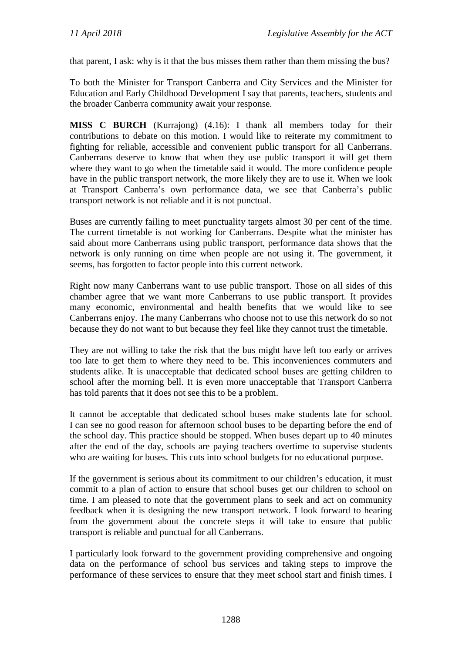that parent, I ask: why is it that the bus misses them rather than them missing the bus?

To both the Minister for Transport Canberra and City Services and the Minister for Education and Early Childhood Development I say that parents, teachers, students and the broader Canberra community await your response.

**MISS C BURCH** (Kurrajong) (4.16): I thank all members today for their contributions to debate on this motion. I would like to reiterate my commitment to fighting for reliable, accessible and convenient public transport for all Canberrans. Canberrans deserve to know that when they use public transport it will get them where they want to go when the timetable said it would. The more confidence people have in the public transport network, the more likely they are to use it. When we look at Transport Canberra's own performance data, we see that Canberra's public transport network is not reliable and it is not punctual.

Buses are currently failing to meet punctuality targets almost 30 per cent of the time. The current timetable is not working for Canberrans. Despite what the minister has said about more Canberrans using public transport, performance data shows that the network is only running on time when people are not using it. The government, it seems, has forgotten to factor people into this current network.

Right now many Canberrans want to use public transport. Those on all sides of this chamber agree that we want more Canberrans to use public transport. It provides many economic, environmental and health benefits that we would like to see Canberrans enjoy. The many Canberrans who choose not to use this network do so not because they do not want to but because they feel like they cannot trust the timetable.

They are not willing to take the risk that the bus might have left too early or arrives too late to get them to where they need to be. This inconveniences commuters and students alike. It is unacceptable that dedicated school buses are getting children to school after the morning bell. It is even more unacceptable that Transport Canberra has told parents that it does not see this to be a problem.

It cannot be acceptable that dedicated school buses make students late for school. I can see no good reason for afternoon school buses to be departing before the end of the school day. This practice should be stopped. When buses depart up to 40 minutes after the end of the day, schools are paying teachers overtime to supervise students who are waiting for buses. This cuts into school budgets for no educational purpose.

If the government is serious about its commitment to our children's education, it must commit to a plan of action to ensure that school buses get our children to school on time. I am pleased to note that the government plans to seek and act on community feedback when it is designing the new transport network. I look forward to hearing from the government about the concrete steps it will take to ensure that public transport is reliable and punctual for all Canberrans.

I particularly look forward to the government providing comprehensive and ongoing data on the performance of school bus services and taking steps to improve the performance of these services to ensure that they meet school start and finish times. I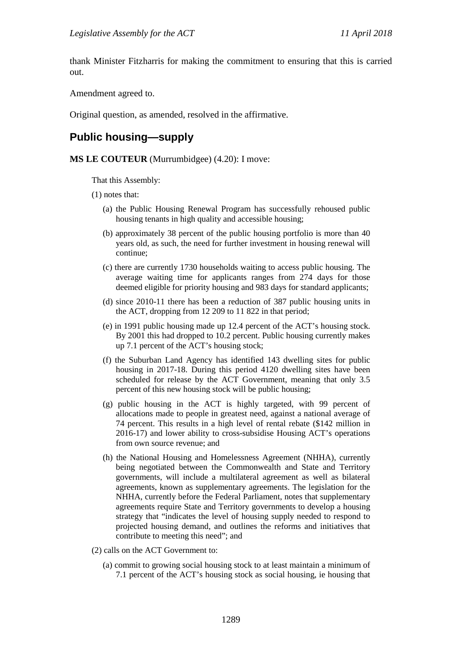thank Minister Fitzharris for making the commitment to ensuring that this is carried out.

Amendment agreed to.

Original question, as amended, resolved in the affirmative.

## **Public housing—supply**

#### **MS LE COUTEUR** (Murrumbidgee) (4.20): I move:

That this Assembly:

(1) notes that:

- (a) the Public Housing Renewal Program has successfully rehoused public housing tenants in high quality and accessible housing;
- (b) approximately 38 percent of the public housing portfolio is more than 40 years old, as such, the need for further investment in housing renewal will continue;
- (c) there are currently 1730 households waiting to access public housing. The average waiting time for applicants ranges from 274 days for those deemed eligible for priority housing and 983 days for standard applicants;
- (d) since 2010-11 there has been a reduction of 387 public housing units in the ACT, dropping from 12 209 to 11 822 in that period;
- (e) in 1991 public housing made up 12.4 percent of the ACT's housing stock. By 2001 this had dropped to 10.2 percent. Public housing currently makes up 7.1 percent of the ACT's housing stock;
- (f) the Suburban Land Agency has identified 143 dwelling sites for public housing in 2017-18. During this period 4120 dwelling sites have been scheduled for release by the ACT Government, meaning that only 3.5 percent of this new housing stock will be public housing;
- (g) public housing in the ACT is highly targeted, with 99 percent of allocations made to people in greatest need, against a national average of 74 percent. This results in a high level of rental rebate (\$142 million in 2016-17) and lower ability to cross-subsidise Housing ACT's operations from own source revenue; and
- (h) the National Housing and Homelessness Agreement (NHHA), currently being negotiated between the Commonwealth and State and Territory governments, will include a multilateral agreement as well as bilateral agreements, known as supplementary agreements. The legislation for the NHHA, currently before the Federal Parliament, notes that supplementary agreements require State and Territory governments to develop a housing strategy that "indicates the level of housing supply needed to respond to projected housing demand, and outlines the reforms and initiatives that contribute to meeting this need"; and
- (2) calls on the ACT Government to:
	- (a) commit to growing social housing stock to at least maintain a minimum of 7.1 percent of the ACT's housing stock as social housing, ie housing that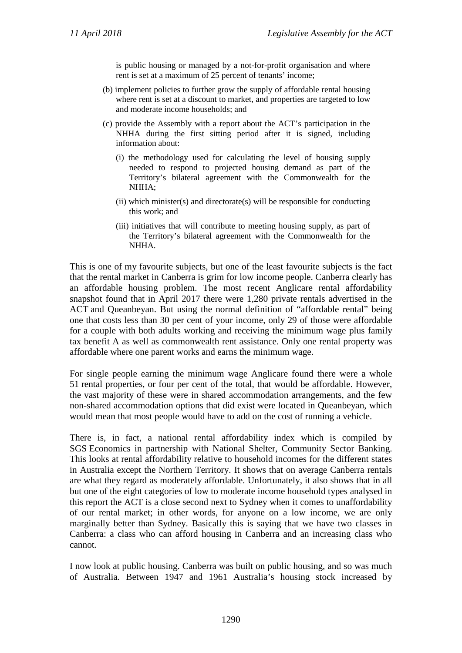is public housing or managed by a not-for-profit organisation and where rent is set at a maximum of 25 percent of tenants' income;

- (b) implement policies to further grow the supply of affordable rental housing where rent is set at a discount to market, and properties are targeted to low and moderate income households; and
- (c) provide the Assembly with a report about the ACT's participation in the NHHA during the first sitting period after it is signed, including information about:
	- (i) the methodology used for calculating the level of housing supply needed to respond to projected housing demand as part of the Territory's bilateral agreement with the Commonwealth for the NHHA;
	- (ii) which minister(s) and directorate(s) will be responsible for conducting this work; and
	- (iii) initiatives that will contribute to meeting housing supply, as part of the Territory's bilateral agreement with the Commonwealth for the NHHA.

This is one of my favourite subjects, but one of the least favourite subjects is the fact that the rental market in Canberra is grim for low income people. Canberra clearly has an affordable housing problem. The most recent Anglicare rental affordability snapshot found that in April 2017 there were 1,280 private rentals advertised in the ACT and Queanbeyan. But using the normal definition of "affordable rental" being one that costs less than 30 per cent of your income, only 29 of those were affordable for a couple with both adults working and receiving the minimum wage plus family tax benefit A as well as commonwealth rent assistance. Only one rental property was affordable where one parent works and earns the minimum wage.

For single people earning the minimum wage Anglicare found there were a whole 51 rental properties, or four per cent of the total, that would be affordable. However, the vast majority of these were in shared accommodation arrangements, and the few non-shared accommodation options that did exist were located in Queanbeyan, which would mean that most people would have to add on the cost of running a vehicle.

There is, in fact, a national rental affordability index which is compiled by SGS Economics in partnership with National Shelter, Community Sector Banking. This looks at rental affordability relative to household incomes for the different states in Australia except the Northern Territory. It shows that on average Canberra rentals are what they regard as moderately affordable. Unfortunately, it also shows that in all but one of the eight categories of low to moderate income household types analysed in this report the ACT is a close second next to Sydney when it comes to unaffordability of our rental market; in other words, for anyone on a low income, we are only marginally better than Sydney. Basically this is saying that we have two classes in Canberra: a class who can afford housing in Canberra and an increasing class who cannot.

I now look at public housing. Canberra was built on public housing, and so was much of Australia. Between 1947 and 1961 Australia's housing stock increased by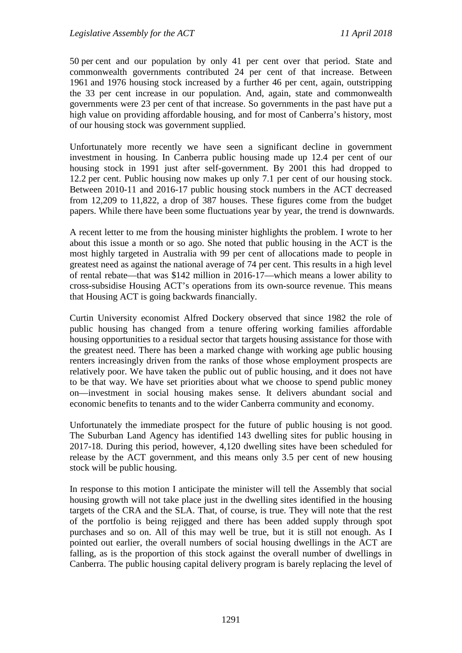50 per cent and our population by only 41 per cent over that period. State and commonwealth governments contributed 24 per cent of that increase. Between 1961 and 1976 housing stock increased by a further 46 per cent, again, outstripping the 33 per cent increase in our population. And, again, state and commonwealth governments were 23 per cent of that increase. So governments in the past have put a high value on providing affordable housing, and for most of Canberra's history, most of our housing stock was government supplied.

Unfortunately more recently we have seen a significant decline in government investment in housing. In Canberra public housing made up 12.4 per cent of our housing stock in 1991 just after self-government. By 2001 this had dropped to 12.2 per cent. Public housing now makes up only 7.1 per cent of our housing stock. Between 2010-11 and 2016-17 public housing stock numbers in the ACT decreased from 12,209 to 11,822, a drop of 387 houses. These figures come from the budget papers. While there have been some fluctuations year by year, the trend is downwards.

A recent letter to me from the housing minister highlights the problem. I wrote to her about this issue a month or so ago. She noted that public housing in the ACT is the most highly targeted in Australia with 99 per cent of allocations made to people in greatest need as against the national average of 74 per cent. This results in a high level of rental rebate—that was \$142 million in 2016-17—which means a lower ability to cross-subsidise Housing ACT's operations from its own-source revenue. This means that Housing ACT is going backwards financially.

Curtin University economist Alfred Dockery observed that since 1982 the role of public housing has changed from a tenure offering working families affordable housing opportunities to a residual sector that targets housing assistance for those with the greatest need. There has been a marked change with working age public housing renters increasingly driven from the ranks of those whose employment prospects are relatively poor. We have taken the public out of public housing, and it does not have to be that way. We have set priorities about what we choose to spend public money on—investment in social housing makes sense. It delivers abundant social and economic benefits to tenants and to the wider Canberra community and economy.

Unfortunately the immediate prospect for the future of public housing is not good. The Suburban Land Agency has identified 143 dwelling sites for public housing in 2017-18. During this period, however, 4,120 dwelling sites have been scheduled for release by the ACT government, and this means only 3.5 per cent of new housing stock will be public housing.

In response to this motion I anticipate the minister will tell the Assembly that social housing growth will not take place just in the dwelling sites identified in the housing targets of the CRA and the SLA. That, of course, is true. They will note that the rest of the portfolio is being rejigged and there has been added supply through spot purchases and so on. All of this may well be true, but it is still not enough. As I pointed out earlier, the overall numbers of social housing dwellings in the ACT are falling, as is the proportion of this stock against the overall number of dwellings in Canberra. The public housing capital delivery program is barely replacing the level of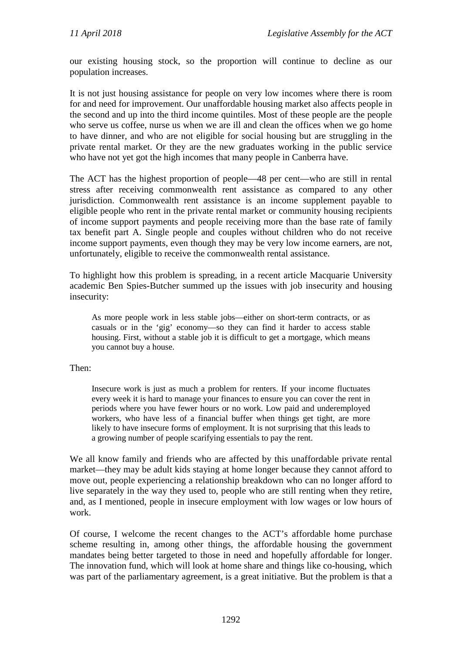our existing housing stock, so the proportion will continue to decline as our population increases.

It is not just housing assistance for people on very low incomes where there is room for and need for improvement. Our unaffordable housing market also affects people in the second and up into the third income quintiles. Most of these people are the people who serve us coffee, nurse us when we are ill and clean the offices when we go home to have dinner, and who are not eligible for social housing but are struggling in the private rental market. Or they are the new graduates working in the public service who have not yet got the high incomes that many people in Canberra have.

The ACT has the highest proportion of people—48 per cent—who are still in rental stress after receiving commonwealth rent assistance as compared to any other jurisdiction. Commonwealth rent assistance is an income supplement payable to eligible people who rent in the private rental market or community housing recipients of income support payments and people receiving more than the base rate of family tax benefit part A. Single people and couples without children who do not receive income support payments, even though they may be very low income earners, are not, unfortunately, eligible to receive the commonwealth rental assistance.

To highlight how this problem is spreading, in a recent article Macquarie University academic Ben Spies-Butcher summed up the issues with job insecurity and housing insecurity:

As more people work in less stable jobs—either on short-term contracts, or as casuals or in the 'gig' economy—so they can find it harder to access stable housing. First, without a stable job it is difficult to get a mortgage, which means you cannot buy a house.

Then:

Insecure work is just as much a problem for renters. If your income fluctuates every week it is hard to manage your finances to ensure you can cover the rent in periods where you have fewer hours or no work. Low paid and underemployed workers, who have less of a financial buffer when things get tight, are more likely to have insecure forms of employment. It is not surprising that this leads to a growing number of people scarifying essentials to pay the rent.

We all know family and friends who are affected by this unaffordable private rental market—they may be adult kids staying at home longer because they cannot afford to move out, people experiencing a relationship breakdown who can no longer afford to live separately in the way they used to, people who are still renting when they retire, and, as I mentioned, people in insecure employment with low wages or low hours of work.

Of course, I welcome the recent changes to the ACT's affordable home purchase scheme resulting in, among other things, the affordable housing the government mandates being better targeted to those in need and hopefully affordable for longer. The innovation fund, which will look at home share and things like co-housing, which was part of the parliamentary agreement, is a great initiative. But the problem is that a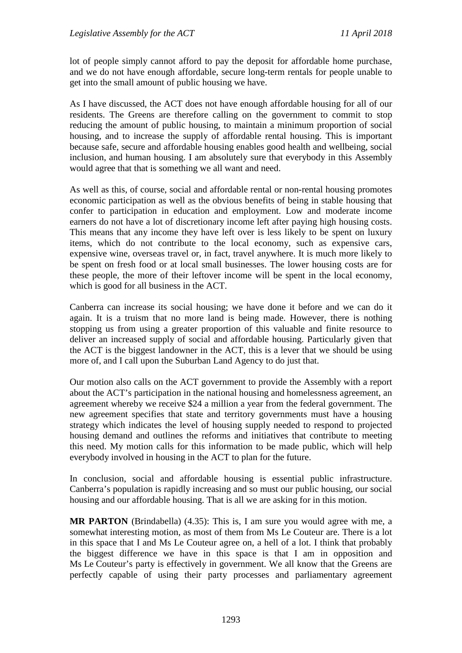lot of people simply cannot afford to pay the deposit for affordable home purchase, and we do not have enough affordable, secure long-term rentals for people unable to get into the small amount of public housing we have.

As I have discussed, the ACT does not have enough affordable housing for all of our residents. The Greens are therefore calling on the government to commit to stop reducing the amount of public housing, to maintain a minimum proportion of social housing, and to increase the supply of affordable rental housing. This is important because safe, secure and affordable housing enables good health and wellbeing, social inclusion, and human housing. I am absolutely sure that everybody in this Assembly would agree that that is something we all want and need.

As well as this, of course, social and affordable rental or non-rental housing promotes economic participation as well as the obvious benefits of being in stable housing that confer to participation in education and employment. Low and moderate income earners do not have a lot of discretionary income left after paying high housing costs. This means that any income they have left over is less likely to be spent on luxury items, which do not contribute to the local economy, such as expensive cars, expensive wine, overseas travel or, in fact, travel anywhere. It is much more likely to be spent on fresh food or at local small businesses. The lower housing costs are for these people, the more of their leftover income will be spent in the local economy, which is good for all business in the ACT.

Canberra can increase its social housing; we have done it before and we can do it again. It is a truism that no more land is being made. However, there is nothing stopping us from using a greater proportion of this valuable and finite resource to deliver an increased supply of social and affordable housing. Particularly given that the ACT is the biggest landowner in the ACT, this is a lever that we should be using more of, and I call upon the Suburban Land Agency to do just that.

Our motion also calls on the ACT government to provide the Assembly with a report about the ACT's participation in the national housing and homelessness agreement, an agreement whereby we receive \$24 a million a year from the federal government. The new agreement specifies that state and territory governments must have a housing strategy which indicates the level of housing supply needed to respond to projected housing demand and outlines the reforms and initiatives that contribute to meeting this need. My motion calls for this information to be made public, which will help everybody involved in housing in the ACT to plan for the future.

In conclusion, social and affordable housing is essential public infrastructure. Canberra's population is rapidly increasing and so must our public housing, our social housing and our affordable housing. That is all we are asking for in this motion.

**MR PARTON** (Brindabella) (4.35): This is, I am sure you would agree with me, a somewhat interesting motion, as most of them from Ms Le Couteur are. There is a lot in this space that I and Ms Le Couteur agree on, a hell of a lot. I think that probably the biggest difference we have in this space is that I am in opposition and Ms Le Couteur's party is effectively in government. We all know that the Greens are perfectly capable of using their party processes and parliamentary agreement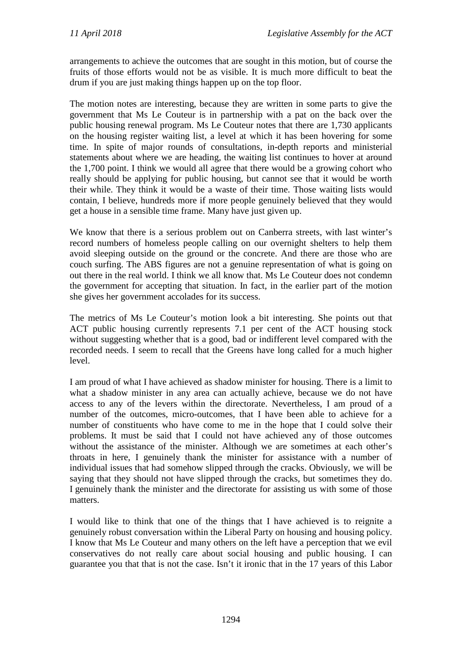arrangements to achieve the outcomes that are sought in this motion, but of course the fruits of those efforts would not be as visible. It is much more difficult to beat the drum if you are just making things happen up on the top floor.

The motion notes are interesting, because they are written in some parts to give the government that Ms Le Couteur is in partnership with a pat on the back over the public housing renewal program. Ms Le Couteur notes that there are 1,730 applicants on the housing register waiting list, a level at which it has been hovering for some time. In spite of major rounds of consultations, in-depth reports and ministerial statements about where we are heading, the waiting list continues to hover at around the 1,700 point. I think we would all agree that there would be a growing cohort who really should be applying for public housing, but cannot see that it would be worth their while. They think it would be a waste of their time. Those waiting lists would contain, I believe, hundreds more if more people genuinely believed that they would get a house in a sensible time frame. Many have just given up.

We know that there is a serious problem out on Canberra streets, with last winter's record numbers of homeless people calling on our overnight shelters to help them avoid sleeping outside on the ground or the concrete. And there are those who are couch surfing. The ABS figures are not a genuine representation of what is going on out there in the real world. I think we all know that. Ms Le Couteur does not condemn the government for accepting that situation. In fact, in the earlier part of the motion she gives her government accolades for its success.

The metrics of Ms Le Couteur's motion look a bit interesting. She points out that ACT public housing currently represents 7.1 per cent of the ACT housing stock without suggesting whether that is a good, bad or indifferent level compared with the recorded needs. I seem to recall that the Greens have long called for a much higher level.

I am proud of what I have achieved as shadow minister for housing. There is a limit to what a shadow minister in any area can actually achieve, because we do not have access to any of the levers within the directorate. Nevertheless, I am proud of a number of the outcomes, micro-outcomes, that I have been able to achieve for a number of constituents who have come to me in the hope that I could solve their problems. It must be said that I could not have achieved any of those outcomes without the assistance of the minister. Although we are sometimes at each other's throats in here, I genuinely thank the minister for assistance with a number of individual issues that had somehow slipped through the cracks. Obviously, we will be saying that they should not have slipped through the cracks, but sometimes they do. I genuinely thank the minister and the directorate for assisting us with some of those matters.

I would like to think that one of the things that I have achieved is to reignite a genuinely robust conversation within the Liberal Party on housing and housing policy. I know that Ms Le Couteur and many others on the left have a perception that we evil conservatives do not really care about social housing and public housing. I can guarantee you that that is not the case. Isn't it ironic that in the 17 years of this Labor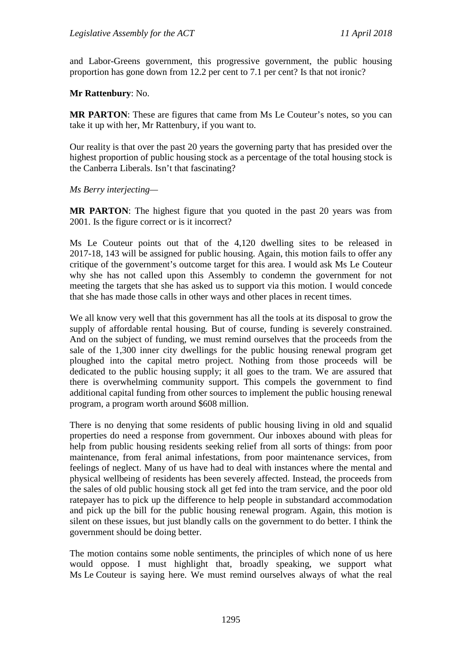and Labor-Greens government, this progressive government, the public housing proportion has gone down from 12.2 per cent to 7.1 per cent? Is that not ironic?

**Mr Rattenbury**: No.

**MR PARTON**: These are figures that came from Ms Le Couteur's notes, so you can take it up with her, Mr Rattenbury, if you want to.

Our reality is that over the past 20 years the governing party that has presided over the highest proportion of public housing stock as a percentage of the total housing stock is the Canberra Liberals. Isn't that fascinating?

*Ms Berry interjecting—*

**MR PARTON:** The highest figure that you quoted in the past 20 years was from 2001. Is the figure correct or is it incorrect?

Ms Le Couteur points out that of the 4,120 dwelling sites to be released in 2017-18, 143 will be assigned for public housing. Again, this motion fails to offer any critique of the government's outcome target for this area. I would ask Ms Le Couteur why she has not called upon this Assembly to condemn the government for not meeting the targets that she has asked us to support via this motion. I would concede that she has made those calls in other ways and other places in recent times.

We all know very well that this government has all the tools at its disposal to grow the supply of affordable rental housing. But of course, funding is severely constrained. And on the subject of funding, we must remind ourselves that the proceeds from the sale of the 1,300 inner city dwellings for the public housing renewal program get ploughed into the capital metro project. Nothing from those proceeds will be dedicated to the public housing supply; it all goes to the tram. We are assured that there is overwhelming community support. This compels the government to find additional capital funding from other sources to implement the public housing renewal program, a program worth around \$608 million.

There is no denying that some residents of public housing living in old and squalid properties do need a response from government. Our inboxes abound with pleas for help from public housing residents seeking relief from all sorts of things: from poor maintenance, from feral animal infestations, from poor maintenance services, from feelings of neglect. Many of us have had to deal with instances where the mental and physical wellbeing of residents has been severely affected. Instead, the proceeds from the sales of old public housing stock all get fed into the tram service, and the poor old ratepayer has to pick up the difference to help people in substandard accommodation and pick up the bill for the public housing renewal program. Again, this motion is silent on these issues, but just blandly calls on the government to do better. I think the government should be doing better.

The motion contains some noble sentiments, the principles of which none of us here would oppose. I must highlight that, broadly speaking, we support what Ms Le Couteur is saying here. We must remind ourselves always of what the real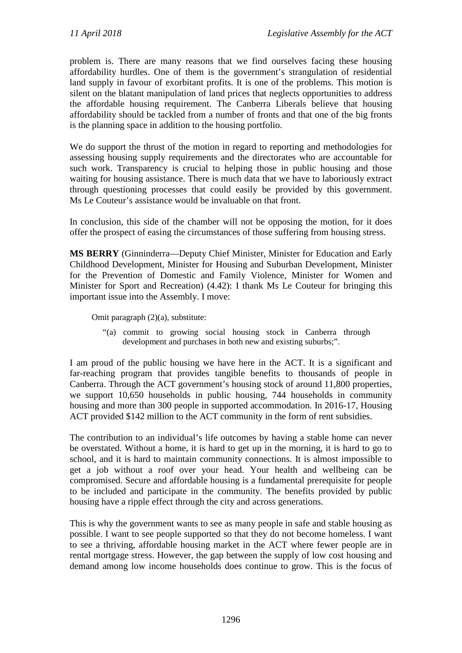problem is. There are many reasons that we find ourselves facing these housing affordability hurdles. One of them is the government's strangulation of residential land supply in favour of exorbitant profits. It is one of the problems. This motion is silent on the blatant manipulation of land prices that neglects opportunities to address the affordable housing requirement. The Canberra Liberals believe that housing affordability should be tackled from a number of fronts and that one of the big fronts is the planning space in addition to the housing portfolio.

We do support the thrust of the motion in regard to reporting and methodologies for assessing housing supply requirements and the directorates who are accountable for such work. Transparency is crucial to helping those in public housing and those waiting for housing assistance. There is much data that we have to laboriously extract through questioning processes that could easily be provided by this government. Ms Le Couteur's assistance would be invaluable on that front.

In conclusion, this side of the chamber will not be opposing the motion, for it does offer the prospect of easing the circumstances of those suffering from housing stress.

**MS BERRY** (Ginninderra—Deputy Chief Minister, Minister for Education and Early Childhood Development, Minister for Housing and Suburban Development, Minister for the Prevention of Domestic and Family Violence, Minister for Women and Minister for Sport and Recreation) (4.42): I thank Ms Le Couteur for bringing this important issue into the Assembly. I move:

Omit paragraph (2)(a), substitute:

"(a) commit to growing social housing stock in Canberra through development and purchases in both new and existing suburbs;".

I am proud of the public housing we have here in the ACT. It is a significant and far-reaching program that provides tangible benefits to thousands of people in Canberra. Through the ACT government's housing stock of around 11,800 properties, we support 10,650 households in public housing, 744 households in community housing and more than 300 people in supported accommodation. In 2016-17, Housing ACT provided \$142 million to the ACT community in the form of rent subsidies.

The contribution to an individual's life outcomes by having a stable home can never be overstated. Without a home, it is hard to get up in the morning, it is hard to go to school, and it is hard to maintain community connections. It is almost impossible to get a job without a roof over your head. Your health and wellbeing can be compromised. Secure and affordable housing is a fundamental prerequisite for people to be included and participate in the community. The benefits provided by public housing have a ripple effect through the city and across generations.

This is why the government wants to see as many people in safe and stable housing as possible. I want to see people supported so that they do not become homeless. I want to see a thriving, affordable housing market in the ACT where fewer people are in rental mortgage stress. However, the gap between the supply of low cost housing and demand among low income households does continue to grow. This is the focus of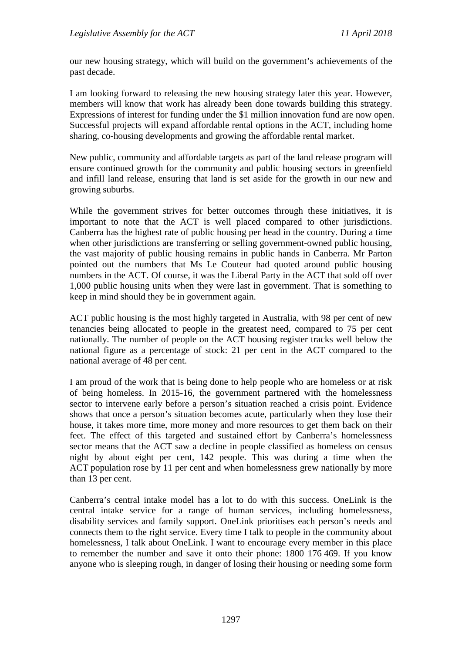our new housing strategy, which will build on the government's achievements of the past decade.

I am looking forward to releasing the new housing strategy later this year. However, members will know that work has already been done towards building this strategy. Expressions of interest for funding under the \$1 million innovation fund are now open. Successful projects will expand affordable rental options in the ACT, including home sharing, co-housing developments and growing the affordable rental market.

New public, community and affordable targets as part of the land release program will ensure continued growth for the community and public housing sectors in greenfield and infill land release, ensuring that land is set aside for the growth in our new and growing suburbs.

While the government strives for better outcomes through these initiatives, it is important to note that the ACT is well placed compared to other jurisdictions. Canberra has the highest rate of public housing per head in the country. During a time when other jurisdictions are transferring or selling government-owned public housing, the vast majority of public housing remains in public hands in Canberra. Mr Parton pointed out the numbers that Ms Le Couteur had quoted around public housing numbers in the ACT. Of course, it was the Liberal Party in the ACT that sold off over 1,000 public housing units when they were last in government. That is something to keep in mind should they be in government again.

ACT public housing is the most highly targeted in Australia, with 98 per cent of new tenancies being allocated to people in the greatest need, compared to 75 per cent nationally. The number of people on the ACT housing register tracks well below the national figure as a percentage of stock: 21 per cent in the ACT compared to the national average of 48 per cent.

I am proud of the work that is being done to help people who are homeless or at risk of being homeless. In 2015-16, the government partnered with the homelessness sector to intervene early before a person's situation reached a crisis point. Evidence shows that once a person's situation becomes acute, particularly when they lose their house, it takes more time, more money and more resources to get them back on their feet. The effect of this targeted and sustained effort by Canberra's homelessness sector means that the ACT saw a decline in people classified as homeless on census night by about eight per cent, 142 people. This was during a time when the ACT population rose by 11 per cent and when homelessness grew nationally by more than 13 per cent.

Canberra's central intake model has a lot to do with this success. OneLink is the central intake service for a range of human services, including homelessness, disability services and family support. OneLink prioritises each person's needs and connects them to the right service. Every time I talk to people in the community about homelessness, I talk about OneLink. I want to encourage every member in this place to remember the number and save it onto their phone: 1800 176 469. If you know anyone who is sleeping rough, in danger of losing their housing or needing some form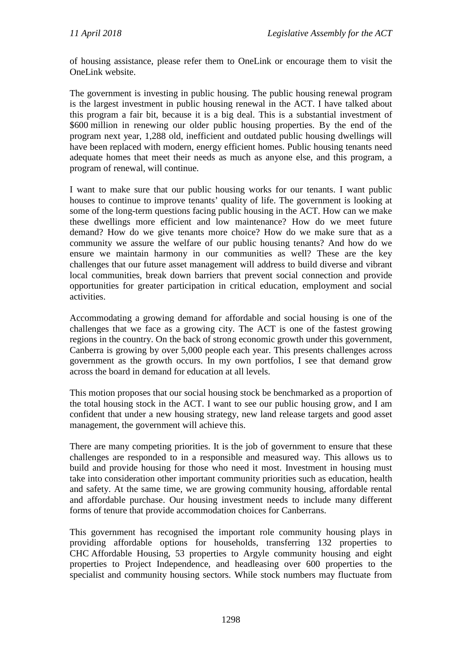of housing assistance, please refer them to OneLink or encourage them to visit the OneLink website.

The government is investing in public housing. The public housing renewal program is the largest investment in public housing renewal in the ACT. I have talked about this program a fair bit, because it is a big deal. This is a substantial investment of \$600 million in renewing our older public housing properties. By the end of the program next year, 1,288 old, inefficient and outdated public housing dwellings will have been replaced with modern, energy efficient homes. Public housing tenants need adequate homes that meet their needs as much as anyone else, and this program, a program of renewal, will continue.

I want to make sure that our public housing works for our tenants. I want public houses to continue to improve tenants' quality of life. The government is looking at some of the long-term questions facing public housing in the ACT. How can we make these dwellings more efficient and low maintenance? How do we meet future demand? How do we give tenants more choice? How do we make sure that as a community we assure the welfare of our public housing tenants? And how do we ensure we maintain harmony in our communities as well? These are the key challenges that our future asset management will address to build diverse and vibrant local communities, break down barriers that prevent social connection and provide opportunities for greater participation in critical education, employment and social activities.

Accommodating a growing demand for affordable and social housing is one of the challenges that we face as a growing city. The ACT is one of the fastest growing regions in the country. On the back of strong economic growth under this government, Canberra is growing by over 5,000 people each year. This presents challenges across government as the growth occurs. In my own portfolios, I see that demand grow across the board in demand for education at all levels.

This motion proposes that our social housing stock be benchmarked as a proportion of the total housing stock in the ACT. I want to see our public housing grow, and I am confident that under a new housing strategy, new land release targets and good asset management, the government will achieve this.

There are many competing priorities. It is the job of government to ensure that these challenges are responded to in a responsible and measured way. This allows us to build and provide housing for those who need it most. Investment in housing must take into consideration other important community priorities such as education, health and safety. At the same time, we are growing community housing, affordable rental and affordable purchase. Our housing investment needs to include many different forms of tenure that provide accommodation choices for Canberrans.

This government has recognised the important role community housing plays in providing affordable options for households, transferring 132 properties to CHC Affordable Housing, 53 properties to Argyle community housing and eight properties to Project Independence, and headleasing over 600 properties to the specialist and community housing sectors. While stock numbers may fluctuate from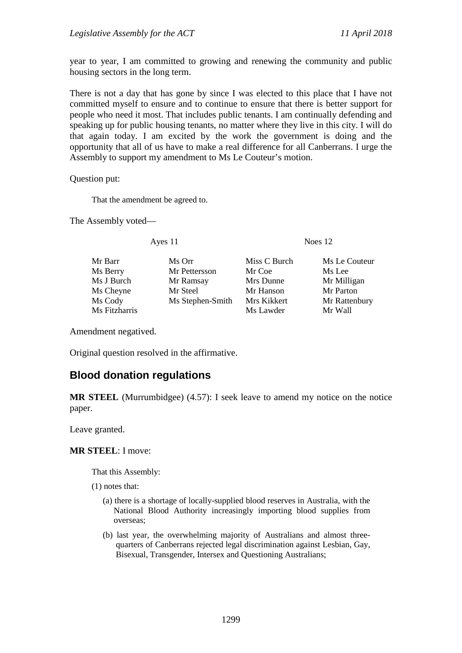year to year, I am committed to growing and renewing the community and public housing sectors in the long term.

There is not a day that has gone by since I was elected to this place that I have not committed myself to ensure and to continue to ensure that there is better support for people who need it most. That includes public tenants. I am continually defending and speaking up for public housing tenants, no matter where they live in this city. I will do that again today. I am excited by the work the government is doing and the opportunity that all of us have to make a real difference for all Canberrans. I urge the Assembly to support my amendment to Ms Le Couteur's motion.

Question put:

That the amendment be agreed to.

The Assembly voted—

Ayes 11 Noes 12

Ms Berry Mr Pettersson Mr Coe Ms Lee Ms J Burch Mr Ramsay Mrs Dunne Mr Milligan Ms Cheyne Mr Steel Mr Hanson Mr Parton<br>
Ms Cody Ms Stephen-Smith Mrs Kikkert Mr Rattenbury Ms Cody Ms Stephen-Smith Mrs Kikkert Mr Ratte<br>Ms Fitzharris Ms Lawder Mr Wall

Mr Barr Ms Orr Miss C Burch Ms Le Couteur

Ms Lawder

Amendment negatived.

Original question resolved in the affirmative.

# **Blood donation regulations**

**MR STEEL** (Murrumbidgee) (4.57): I seek leave to amend my notice on the notice paper.

Leave granted.

#### **MR STEEL**: I move:

That this Assembly:

- (1) notes that:
	- (a) there is a shortage of locally-supplied blood reserves in Australia, with the National Blood Authority increasingly importing blood supplies from overseas;
	- (b) last year, the overwhelming majority of Australians and almost threequarters of Canberrans rejected legal discrimination against Lesbian, Gay, Bisexual, Transgender, Intersex and Questioning Australians;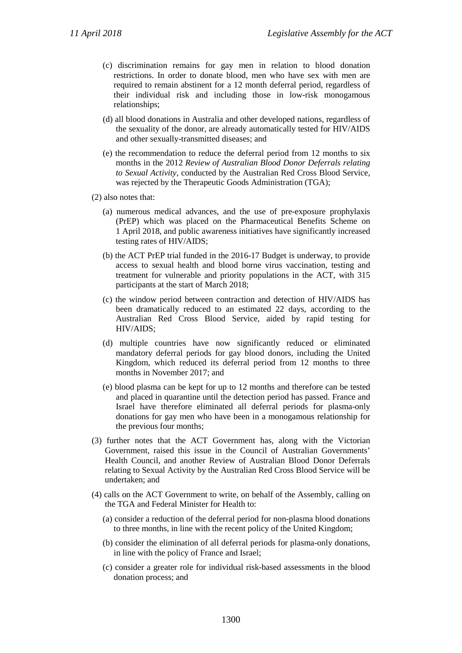- (c) discrimination remains for gay men in relation to blood donation restrictions. In order to donate blood, men who have sex with men are required to remain abstinent for a 12 month deferral period, regardless of their individual risk and including those in low-risk monogamous relationships;
- (d) all blood donations in Australia and other developed nations, regardless of the sexuality of the donor, are already automatically tested for HIV/AIDS and other sexually-transmitted diseases; and
- (e) the recommendation to reduce the deferral period from 12 months to six months in the 2012 *Review of Australian Blood Donor Deferrals relating to Sexual Activity*, conducted by the Australian Red Cross Blood Service, was rejected by the Therapeutic Goods Administration (TGA);
- (2) also notes that:
	- (a) numerous medical advances, and the use of pre-exposure prophylaxis (PrEP) which was placed on the Pharmaceutical Benefits Scheme on 1 April 2018, and public awareness initiatives have significantly increased testing rates of HIV/AIDS;
	- (b) the ACT PrEP trial funded in the 2016-17 Budget is underway, to provide access to sexual health and blood borne virus vaccination, testing and treatment for vulnerable and priority populations in the ACT, with 315 participants at the start of March 2018;
	- (c) the window period between contraction and detection of HIV/AIDS has been dramatically reduced to an estimated 22 days, according to the Australian Red Cross Blood Service, aided by rapid testing for HIV/AIDS;
	- (d) multiple countries have now significantly reduced or eliminated mandatory deferral periods for gay blood donors, including the United Kingdom, which reduced its deferral period from 12 months to three months in November 2017; and
	- (e) blood plasma can be kept for up to 12 months and therefore can be tested and placed in quarantine until the detection period has passed. France and Israel have therefore eliminated all deferral periods for plasma-only donations for gay men who have been in a monogamous relationship for the previous four months;
- (3) further notes that the ACT Government has, along with the Victorian Government, raised this issue in the Council of Australian Governments' Health Council, and another Review of Australian Blood Donor Deferrals relating to Sexual Activity by the Australian Red Cross Blood Service will be undertaken; and
- (4) calls on the ACT Government to write, on behalf of the Assembly, calling on the TGA and Federal Minister for Health to:
	- (a) consider a reduction of the deferral period for non-plasma blood donations to three months, in line with the recent policy of the United Kingdom;
	- (b) consider the elimination of all deferral periods for plasma-only donations, in line with the policy of France and Israel;
	- (c) consider a greater role for individual risk-based assessments in the blood donation process; and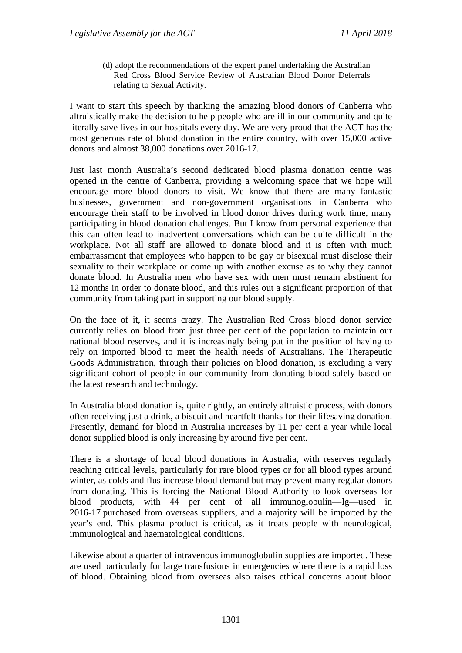(d) adopt the recommendations of the expert panel undertaking the Australian Red Cross Blood Service Review of Australian Blood Donor Deferrals relating to Sexual Activity.

I want to start this speech by thanking the amazing blood donors of Canberra who altruistically make the decision to help people who are ill in our community and quite literally save lives in our hospitals every day. We are very proud that the ACT has the most generous rate of blood donation in the entire country, with over 15,000 active donors and almost 38,000 donations over 2016-17.

Just last month Australia's second dedicated blood plasma donation centre was opened in the centre of Canberra, providing a welcoming space that we hope will encourage more blood donors to visit. We know that there are many fantastic businesses, government and non-government organisations in Canberra who encourage their staff to be involved in blood donor drives during work time, many participating in blood donation challenges. But I know from personal experience that this can often lead to inadvertent conversations which can be quite difficult in the workplace. Not all staff are allowed to donate blood and it is often with much embarrassment that employees who happen to be gay or bisexual must disclose their sexuality to their workplace or come up with another excuse as to why they cannot donate blood. In Australia men who have sex with men must remain abstinent for 12 months in order to donate blood, and this rules out a significant proportion of that community from taking part in supporting our blood supply.

On the face of it, it seems crazy. The Australian Red Cross blood donor service currently relies on blood from just three per cent of the population to maintain our national blood reserves, and it is increasingly being put in the position of having to rely on imported blood to meet the health needs of Australians. The Therapeutic Goods Administration, through their policies on blood donation, is excluding a very significant cohort of people in our community from donating blood safely based on the latest research and technology.

In Australia blood donation is, quite rightly, an entirely altruistic process, with donors often receiving just a drink, a biscuit and heartfelt thanks for their lifesaving donation. Presently, demand for blood in Australia increases by 11 per cent a year while local donor supplied blood is only increasing by around five per cent.

There is a shortage of local blood donations in Australia, with reserves regularly reaching critical levels, particularly for rare blood types or for all blood types around winter, as colds and flus increase blood demand but may prevent many regular donors from donating. This is forcing the National Blood Authority to look overseas for blood products, with 44 per cent of all immunoglobulin—Ig—used in 2016-17 purchased from overseas suppliers, and a majority will be imported by the year's end. This plasma product is critical, as it treats people with neurological, immunological and haematological conditions.

Likewise about a quarter of intravenous immunoglobulin supplies are imported. These are used particularly for large transfusions in emergencies where there is a rapid loss of blood. Obtaining blood from overseas also raises ethical concerns about blood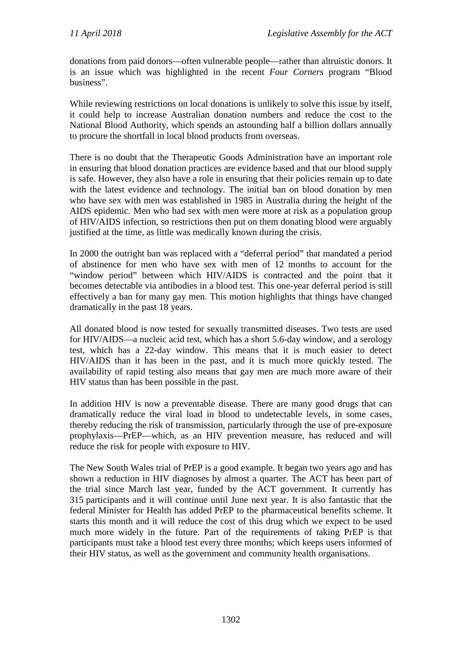donations from paid donors—often vulnerable people—rather than altruistic donors. It is an issue which was highlighted in the recent *Four Corners* program "Blood business".

While reviewing restrictions on local donations is unlikely to solve this issue by itself, it could help to increase Australian donation numbers and reduce the cost to the National Blood Authority, which spends an astounding half a billion dollars annually to procure the shortfall in local blood products from overseas.

There is no doubt that the Therapeutic Goods Administration have an important role in ensuring that blood donation practices are evidence based and that our blood supply is safe. However, they also have a role in ensuring that their policies remain up to date with the latest evidence and technology. The initial ban on blood donation by men who have sex with men was established in 1985 in Australia during the height of the AIDS epidemic. Men who had sex with men were more at risk as a population group of HIV/AIDS infection, so restrictions then put on them donating blood were arguably justified at the time, as little was medically known during the crisis.

In 2000 the outright ban was replaced with a "deferral period" that mandated a period of abstinence for men who have sex with men of 12 months to account for the "window period" between which HIV/AIDS is contracted and the point that it becomes detectable via antibodies in a blood test. This one-year deferral period is still effectively a ban for many gay men. This motion highlights that things have changed dramatically in the past 18 years.

All donated blood is now tested for sexually transmitted diseases. Two tests are used for HIV/AIDS—a nucleic acid test, which has a short 5.6-day window, and a serology test, which has a 22-day window. This means that it is much easier to detect HIV/AIDS than it has been in the past, and it is much more quickly tested. The availability of rapid testing also means that gay men are much more aware of their HIV status than has been possible in the past.

In addition HIV is now a preventable disease. There are many good drugs that can dramatically reduce the viral load in blood to undetectable levels, in some cases, thereby reducing the risk of transmission, particularly through the use of pre-exposure prophylaxis—PrEP—which, as an HIV prevention measure, has reduced and will reduce the risk for people with exposure to HIV.

The New South Wales trial of PrEP is a good example. It began two years ago and has shown a reduction in HIV diagnoses by almost a quarter. The ACT has been part of the trial since March last year, funded by the ACT government. It currently has 315 participants and it will continue until June next year. It is also fantastic that the federal Minister for Health has added PrEP to the pharmaceutical benefits scheme. It starts this month and it will reduce the cost of this drug which we expect to be used much more widely in the future. Part of the requirements of taking PrEP is that participants must take a blood test every three months; which keeps users informed of their HIV status, as well as the government and community health organisations.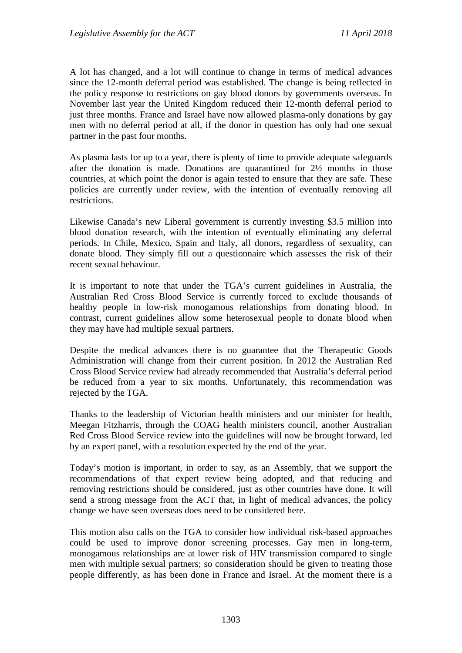A lot has changed, and a lot will continue to change in terms of medical advances since the 12-month deferral period was established. The change is being reflected in the policy response to restrictions on gay blood donors by governments overseas. In November last year the United Kingdom reduced their 12-month deferral period to just three months. France and Israel have now allowed plasma-only donations by gay men with no deferral period at all, if the donor in question has only had one sexual partner in the past four months.

As plasma lasts for up to a year, there is plenty of time to provide adequate safeguards after the donation is made. Donations are quarantined for 2½ months in those countries, at which point the donor is again tested to ensure that they are safe. These policies are currently under review, with the intention of eventually removing all restrictions.

Likewise Canada's new Liberal government is currently investing \$3.5 million into blood donation research, with the intention of eventually eliminating any deferral periods. In Chile, Mexico, Spain and Italy, all donors, regardless of sexuality, can donate blood. They simply fill out a questionnaire which assesses the risk of their recent sexual behaviour.

It is important to note that under the TGA's current guidelines in Australia, the Australian Red Cross Blood Service is currently forced to exclude thousands of healthy people in low-risk monogamous relationships from donating blood. In contrast, current guidelines allow some heterosexual people to donate blood when they may have had multiple sexual partners.

Despite the medical advances there is no guarantee that the Therapeutic Goods Administration will change from their current position. In 2012 the Australian Red Cross Blood Service review had already recommended that Australia's deferral period be reduced from a year to six months. Unfortunately, this recommendation was rejected by the TGA.

Thanks to the leadership of Victorian health ministers and our minister for health, Meegan Fitzharris, through the COAG health ministers council, another Australian Red Cross Blood Service review into the guidelines will now be brought forward, led by an expert panel, with a resolution expected by the end of the year.

Today's motion is important, in order to say, as an Assembly, that we support the recommendations of that expert review being adopted, and that reducing and removing restrictions should be considered, just as other countries have done. It will send a strong message from the ACT that, in light of medical advances, the policy change we have seen overseas does need to be considered here.

This motion also calls on the TGA to consider how individual risk-based approaches could be used to improve donor screening processes. Gay men in long-term, monogamous relationships are at lower risk of HIV transmission compared to single men with multiple sexual partners; so consideration should be given to treating those people differently, as has been done in France and Israel. At the moment there is a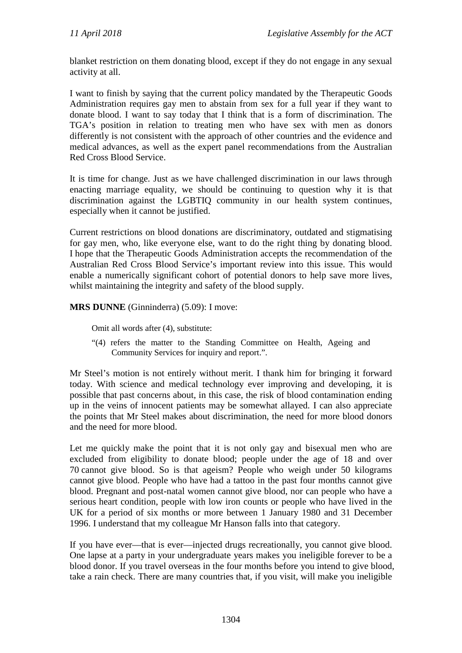blanket restriction on them donating blood, except if they do not engage in any sexual activity at all.

I want to finish by saying that the current policy mandated by the Therapeutic Goods Administration requires gay men to abstain from sex for a full year if they want to donate blood. I want to say today that I think that is a form of discrimination. The TGA's position in relation to treating men who have sex with men as donors differently is not consistent with the approach of other countries and the evidence and medical advances, as well as the expert panel recommendations from the Australian Red Cross Blood Service.

It is time for change. Just as we have challenged discrimination in our laws through enacting marriage equality, we should be continuing to question why it is that discrimination against the LGBTIQ community in our health system continues, especially when it cannot be justified.

Current restrictions on blood donations are discriminatory, outdated and stigmatising for gay men, who, like everyone else, want to do the right thing by donating blood. I hope that the Therapeutic Goods Administration accepts the recommendation of the Australian Red Cross Blood Service's important review into this issue. This would enable a numerically significant cohort of potential donors to help save more lives, whilst maintaining the integrity and safety of the blood supply.

**MRS DUNNE** (Ginninderra) (5.09): I move:

Omit all words after (4), substitute:

"(4) refers the matter to the Standing Committee on Health, Ageing and Community Services for inquiry and report.".

Mr Steel's motion is not entirely without merit. I thank him for bringing it forward today. With science and medical technology ever improving and developing, it is possible that past concerns about, in this case, the risk of blood contamination ending up in the veins of innocent patients may be somewhat allayed. I can also appreciate the points that Mr Steel makes about discrimination, the need for more blood donors and the need for more blood.

Let me quickly make the point that it is not only gay and bisexual men who are excluded from eligibility to donate blood; people under the age of 18 and over 70 cannot give blood. So is that ageism? People who weigh under 50 kilograms cannot give blood. People who have had a tattoo in the past four months cannot give blood. Pregnant and post-natal women cannot give blood, nor can people who have a serious heart condition, people with low iron counts or people who have lived in the UK for a period of six months or more between 1 January 1980 and 31 December 1996. I understand that my colleague Mr Hanson falls into that category.

If you have ever—that is ever—injected drugs recreationally, you cannot give blood. One lapse at a party in your undergraduate years makes you ineligible forever to be a blood donor. If you travel overseas in the four months before you intend to give blood, take a rain check. There are many countries that, if you visit, will make you ineligible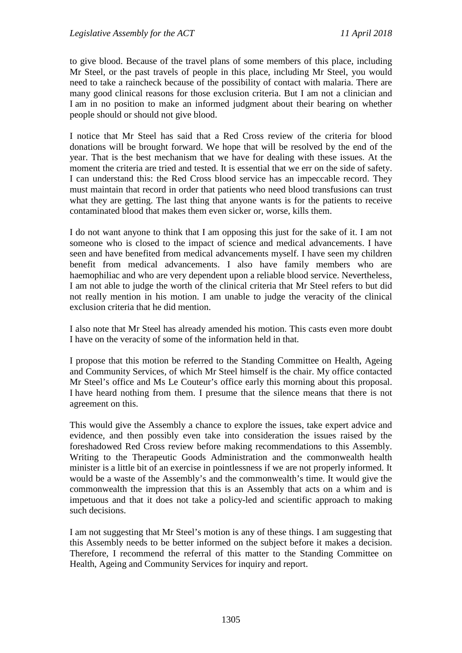to give blood. Because of the travel plans of some members of this place, including Mr Steel, or the past travels of people in this place, including Mr Steel, you would need to take a raincheck because of the possibility of contact with malaria. There are many good clinical reasons for those exclusion criteria. But I am not a clinician and I am in no position to make an informed judgment about their bearing on whether people should or should not give blood.

I notice that Mr Steel has said that a Red Cross review of the criteria for blood donations will be brought forward. We hope that will be resolved by the end of the year. That is the best mechanism that we have for dealing with these issues. At the moment the criteria are tried and tested. It is essential that we err on the side of safety. I can understand this: the Red Cross blood service has an impeccable record. They must maintain that record in order that patients who need blood transfusions can trust what they are getting. The last thing that anyone wants is for the patients to receive contaminated blood that makes them even sicker or, worse, kills them.

I do not want anyone to think that I am opposing this just for the sake of it. I am not someone who is closed to the impact of science and medical advancements. I have seen and have benefited from medical advancements myself. I have seen my children benefit from medical advancements. I also have family members who are haemophiliac and who are very dependent upon a reliable blood service. Nevertheless, I am not able to judge the worth of the clinical criteria that Mr Steel refers to but did not really mention in his motion. I am unable to judge the veracity of the clinical exclusion criteria that he did mention.

I also note that Mr Steel has already amended his motion. This casts even more doubt I have on the veracity of some of the information held in that.

I propose that this motion be referred to the Standing Committee on Health, Ageing and Community Services, of which Mr Steel himself is the chair. My office contacted Mr Steel's office and Ms Le Couteur's office early this morning about this proposal. I have heard nothing from them. I presume that the silence means that there is not agreement on this.

This would give the Assembly a chance to explore the issues, take expert advice and evidence, and then possibly even take into consideration the issues raised by the foreshadowed Red Cross review before making recommendations to this Assembly. Writing to the Therapeutic Goods Administration and the commonwealth health minister is a little bit of an exercise in pointlessness if we are not properly informed. It would be a waste of the Assembly's and the commonwealth's time. It would give the commonwealth the impression that this is an Assembly that acts on a whim and is impetuous and that it does not take a policy-led and scientific approach to making such decisions.

I am not suggesting that Mr Steel's motion is any of these things. I am suggesting that this Assembly needs to be better informed on the subject before it makes a decision. Therefore, I recommend the referral of this matter to the Standing Committee on Health, Ageing and Community Services for inquiry and report.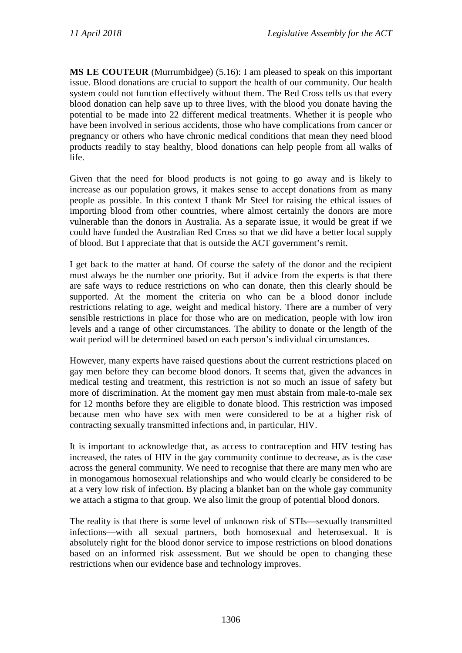**MS LE COUTEUR** (Murrumbidgee) (5.16): I am pleased to speak on this important issue. Blood donations are crucial to support the health of our community. Our health system could not function effectively without them. The Red Cross tells us that every blood donation can help save up to three lives, with the blood you donate having the potential to be made into 22 different medical treatments. Whether it is people who have been involved in serious accidents, those who have complications from cancer or pregnancy or others who have chronic medical conditions that mean they need blood products readily to stay healthy, blood donations can help people from all walks of life.

Given that the need for blood products is not going to go away and is likely to increase as our population grows, it makes sense to accept donations from as many people as possible. In this context I thank Mr Steel for raising the ethical issues of importing blood from other countries, where almost certainly the donors are more vulnerable than the donors in Australia. As a separate issue, it would be great if we could have funded the Australian Red Cross so that we did have a better local supply of blood. But I appreciate that that is outside the ACT government's remit.

I get back to the matter at hand. Of course the safety of the donor and the recipient must always be the number one priority. But if advice from the experts is that there are safe ways to reduce restrictions on who can donate, then this clearly should be supported. At the moment the criteria on who can be a blood donor include restrictions relating to age, weight and medical history. There are a number of very sensible restrictions in place for those who are on medication, people with low iron levels and a range of other circumstances. The ability to donate or the length of the wait period will be determined based on each person's individual circumstances.

However, many experts have raised questions about the current restrictions placed on gay men before they can become blood donors. It seems that, given the advances in medical testing and treatment, this restriction is not so much an issue of safety but more of discrimination. At the moment gay men must abstain from male-to-male sex for 12 months before they are eligible to donate blood. This restriction was imposed because men who have sex with men were considered to be at a higher risk of contracting sexually transmitted infections and, in particular, HIV.

It is important to acknowledge that, as access to contraception and HIV testing has increased, the rates of HIV in the gay community continue to decrease, as is the case across the general community. We need to recognise that there are many men who are in monogamous homosexual relationships and who would clearly be considered to be at a very low risk of infection. By placing a blanket ban on the whole gay community we attach a stigma to that group. We also limit the group of potential blood donors.

The reality is that there is some level of unknown risk of STIs—sexually transmitted infections—with all sexual partners, both homosexual and heterosexual. It is absolutely right for the blood donor service to impose restrictions on blood donations based on an informed risk assessment. But we should be open to changing these restrictions when our evidence base and technology improves.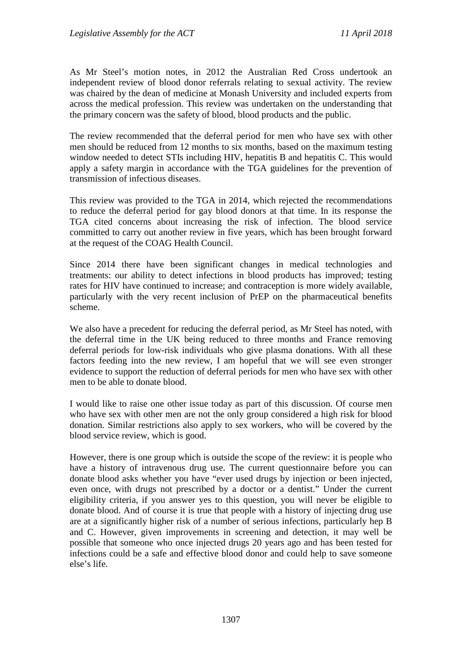As Mr Steel's motion notes, in 2012 the Australian Red Cross undertook an independent review of blood donor referrals relating to sexual activity. The review was chaired by the dean of medicine at Monash University and included experts from across the medical profession. This review was undertaken on the understanding that the primary concern was the safety of blood, blood products and the public.

The review recommended that the deferral period for men who have sex with other men should be reduced from 12 months to six months, based on the maximum testing window needed to detect STIs including HIV, hepatitis B and hepatitis C. This would apply a safety margin in accordance with the TGA guidelines for the prevention of transmission of infectious diseases.

This review was provided to the TGA in 2014, which rejected the recommendations to reduce the deferral period for gay blood donors at that time. In its response the TGA cited concerns about increasing the risk of infection. The blood service committed to carry out another review in five years, which has been brought forward at the request of the COAG Health Council.

Since 2014 there have been significant changes in medical technologies and treatments: our ability to detect infections in blood products has improved; testing rates for HIV have continued to increase; and contraception is more widely available, particularly with the very recent inclusion of PrEP on the pharmaceutical benefits scheme.

We also have a precedent for reducing the deferral period, as Mr Steel has noted, with the deferral time in the UK being reduced to three months and France removing deferral periods for low-risk individuals who give plasma donations. With all these factors feeding into the new review, I am hopeful that we will see even stronger evidence to support the reduction of deferral periods for men who have sex with other men to be able to donate blood.

I would like to raise one other issue today as part of this discussion. Of course men who have sex with other men are not the only group considered a high risk for blood donation. Similar restrictions also apply to sex workers, who will be covered by the blood service review, which is good.

However, there is one group which is outside the scope of the review: it is people who have a history of intravenous drug use. The current questionnaire before you can donate blood asks whether you have "ever used drugs by injection or been injected, even once, with drugs not prescribed by a doctor or a dentist." Under the current eligibility criteria, if you answer yes to this question, you will never be eligible to donate blood. And of course it is true that people with a history of injecting drug use are at a significantly higher risk of a number of serious infections, particularly hep B and C. However, given improvements in screening and detection, it may well be possible that someone who once injected drugs 20 years ago and has been tested for infections could be a safe and effective blood donor and could help to save someone else's life.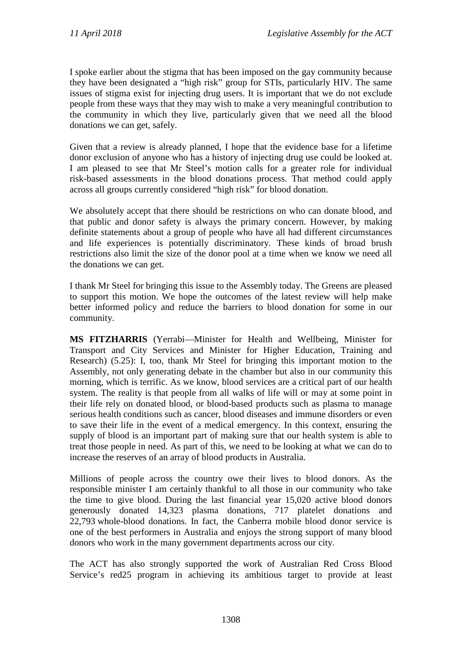I spoke earlier about the stigma that has been imposed on the gay community because they have been designated a "high risk" group for STIs, particularly HIV. The same issues of stigma exist for injecting drug users. It is important that we do not exclude people from these ways that they may wish to make a very meaningful contribution to the community in which they live, particularly given that we need all the blood donations we can get, safely.

Given that a review is already planned, I hope that the evidence base for a lifetime donor exclusion of anyone who has a history of injecting drug use could be looked at. I am pleased to see that Mr Steel's motion calls for a greater role for individual risk-based assessments in the blood donations process. That method could apply across all groups currently considered "high risk" for blood donation.

We absolutely accept that there should be restrictions on who can donate blood, and that public and donor safety is always the primary concern. However, by making definite statements about a group of people who have all had different circumstances and life experiences is potentially discriminatory. These kinds of broad brush restrictions also limit the size of the donor pool at a time when we know we need all the donations we can get.

I thank Mr Steel for bringing this issue to the Assembly today. The Greens are pleased to support this motion. We hope the outcomes of the latest review will help make better informed policy and reduce the barriers to blood donation for some in our community.

**MS FITZHARRIS** (Yerrabi—Minister for Health and Wellbeing, Minister for Transport and City Services and Minister for Higher Education, Training and Research) (5.25): I, too, thank Mr Steel for bringing this important motion to the Assembly, not only generating debate in the chamber but also in our community this morning, which is terrific. As we know, blood services are a critical part of our health system. The reality is that people from all walks of life will or may at some point in their life rely on donated blood, or blood-based products such as plasma to manage serious health conditions such as cancer, blood diseases and immune disorders or even to save their life in the event of a medical emergency. In this context, ensuring the supply of blood is an important part of making sure that our health system is able to treat those people in need. As part of this, we need to be looking at what we can do to increase the reserves of an array of blood products in Australia.

Millions of people across the country owe their lives to blood donors. As the responsible minister I am certainly thankful to all those in our community who take the time to give blood. During the last financial year 15,020 active blood donors generously donated 14,323 plasma donations, 717 platelet donations and 22,793 whole-blood donations. In fact, the Canberra mobile blood donor service is one of the best performers in Australia and enjoys the strong support of many blood donors who work in the many government departments across our city.

The ACT has also strongly supported the work of Australian Red Cross Blood Service's red25 program in achieving its ambitious target to provide at least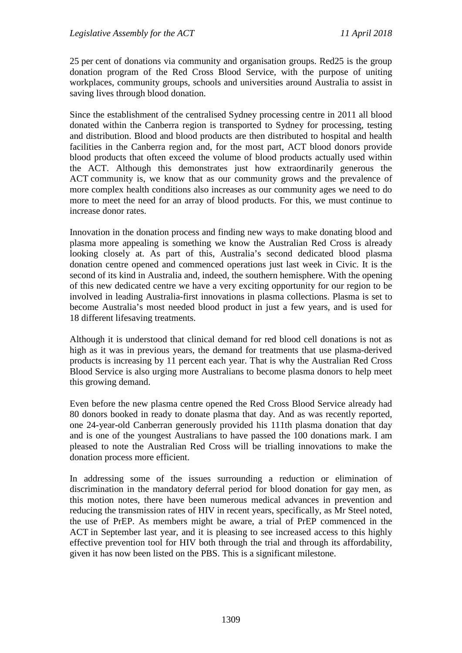25 per cent of donations via community and organisation groups. Red25 is the group donation program of the Red Cross Blood Service, with the purpose of uniting workplaces, community groups, schools and universities around Australia to assist in saving lives through blood donation.

Since the establishment of the centralised Sydney processing centre in 2011 all blood donated within the Canberra region is transported to Sydney for processing, testing and distribution. Blood and blood products are then distributed to hospital and health facilities in the Canberra region and, for the most part, ACT blood donors provide blood products that often exceed the volume of blood products actually used within the ACT. Although this demonstrates just how extraordinarily generous the ACT community is, we know that as our community grows and the prevalence of more complex health conditions also increases as our community ages we need to do more to meet the need for an array of blood products. For this, we must continue to increase donor rates.

Innovation in the donation process and finding new ways to make donating blood and plasma more appealing is something we know the Australian Red Cross is already looking closely at. As part of this, Australia's second dedicated blood plasma donation centre opened and commenced operations just last week in Civic. It is the second of its kind in Australia and, indeed, the southern hemisphere. With the opening of this new dedicated centre we have a very exciting opportunity for our region to be involved in leading Australia-first innovations in plasma collections. Plasma is set to become Australia's most needed blood product in just a few years, and is used for 18 different lifesaving treatments.

Although it is understood that clinical demand for red blood cell donations is not as high as it was in previous years, the demand for treatments that use plasma-derived products is increasing by 11 percent each year. That is why the Australian Red Cross Blood Service is also urging more Australians to become plasma donors to help meet this growing demand.

Even before the new plasma centre opened the Red Cross Blood Service already had 80 donors booked in ready to donate plasma that day. And as was recently reported, one 24-year-old Canberran generously provided his 111th plasma donation that day and is one of the youngest Australians to have passed the 100 donations mark. I am pleased to note the Australian Red Cross will be trialling innovations to make the donation process more efficient.

In addressing some of the issues surrounding a reduction or elimination of discrimination in the mandatory deferral period for blood donation for gay men, as this motion notes, there have been numerous medical advances in prevention and reducing the transmission rates of HIV in recent years, specifically, as Mr Steel noted, the use of PrEP. As members might be aware, a trial of PrEP commenced in the ACT in September last year, and it is pleasing to see increased access to this highly effective prevention tool for HIV both through the trial and through its affordability, given it has now been listed on the PBS. This is a significant milestone.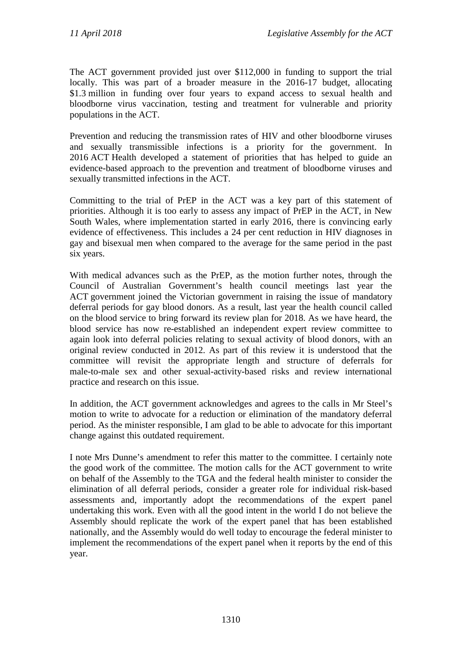The ACT government provided just over \$112,000 in funding to support the trial locally. This was part of a broader measure in the 2016-17 budget, allocating \$1.3 million in funding over four years to expand access to sexual health and bloodborne virus vaccination, testing and treatment for vulnerable and priority populations in the ACT.

Prevention and reducing the transmission rates of HIV and other bloodborne viruses and sexually transmissible infections is a priority for the government. In 2016 ACT Health developed a statement of priorities that has helped to guide an evidence-based approach to the prevention and treatment of bloodborne viruses and sexually transmitted infections in the ACT.

Committing to the trial of PrEP in the ACT was a key part of this statement of priorities. Although it is too early to assess any impact of PrEP in the ACT, in New South Wales, where implementation started in early 2016, there is convincing early evidence of effectiveness. This includes a 24 per cent reduction in HIV diagnoses in gay and bisexual men when compared to the average for the same period in the past six years.

With medical advances such as the PrEP, as the motion further notes, through the Council of Australian Government's health council meetings last year the ACT government joined the Victorian government in raising the issue of mandatory deferral periods for gay blood donors. As a result, last year the health council called on the blood service to bring forward its review plan for 2018. As we have heard, the blood service has now re-established an independent expert review committee to again look into deferral policies relating to sexual activity of blood donors, with an original review conducted in 2012. As part of this review it is understood that the committee will revisit the appropriate length and structure of deferrals for male-to-male sex and other sexual-activity-based risks and review international practice and research on this issue.

In addition, the ACT government acknowledges and agrees to the calls in Mr Steel's motion to write to advocate for a reduction or elimination of the mandatory deferral period. As the minister responsible, I am glad to be able to advocate for this important change against this outdated requirement.

I note Mrs Dunne's amendment to refer this matter to the committee. I certainly note the good work of the committee. The motion calls for the ACT government to write on behalf of the Assembly to the TGA and the federal health minister to consider the elimination of all deferral periods, consider a greater role for individual risk-based assessments and, importantly adopt the recommendations of the expert panel undertaking this work. Even with all the good intent in the world I do not believe the Assembly should replicate the work of the expert panel that has been established nationally, and the Assembly would do well today to encourage the federal minister to implement the recommendations of the expert panel when it reports by the end of this year.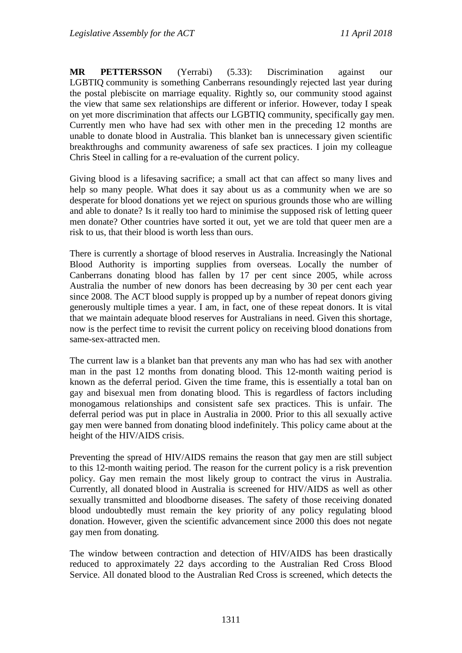**MR PETTERSSON** (Yerrabi) (5.33): Discrimination against our LGBTIQ community is something Canberrans resoundingly rejected last year during the postal plebiscite on marriage equality. Rightly so, our community stood against the view that same sex relationships are different or inferior. However, today I speak on yet more discrimination that affects our LGBTIQ community, specifically gay men. Currently men who have had sex with other men in the preceding 12 months are unable to donate blood in Australia. This blanket ban is unnecessary given scientific breakthroughs and community awareness of safe sex practices. I join my colleague Chris Steel in calling for a re-evaluation of the current policy.

Giving blood is a lifesaving sacrifice; a small act that can affect so many lives and help so many people. What does it say about us as a community when we are so desperate for blood donations yet we reject on spurious grounds those who are willing and able to donate? Is it really too hard to minimise the supposed risk of letting queer men donate? Other countries have sorted it out, yet we are told that queer men are a risk to us, that their blood is worth less than ours.

There is currently a shortage of blood reserves in Australia. Increasingly the National Blood Authority is importing supplies from overseas. Locally the number of Canberrans donating blood has fallen by 17 per cent since 2005, while across Australia the number of new donors has been decreasing by 30 per cent each year since 2008. The ACT blood supply is propped up by a number of repeat donors giving generously multiple times a year. I am, in fact, one of these repeat donors. It is vital that we maintain adequate blood reserves for Australians in need. Given this shortage, now is the perfect time to revisit the current policy on receiving blood donations from same-sex-attracted men.

The current law is a blanket ban that prevents any man who has had sex with another man in the past 12 months from donating blood. This 12-month waiting period is known as the deferral period. Given the time frame, this is essentially a total ban on gay and bisexual men from donating blood. This is regardless of factors including monogamous relationships and consistent safe sex practices. This is unfair. The deferral period was put in place in Australia in 2000. Prior to this all sexually active gay men were banned from donating blood indefinitely. This policy came about at the height of the HIV/AIDS crisis.

Preventing the spread of HIV/AIDS remains the reason that gay men are still subject to this 12-month waiting period. The reason for the current policy is a risk prevention policy. Gay men remain the most likely group to contract the virus in Australia. Currently, all donated blood in Australia is screened for HIV/AIDS as well as other sexually transmitted and bloodborne diseases. The safety of those receiving donated blood undoubtedly must remain the key priority of any policy regulating blood donation. However, given the scientific advancement since 2000 this does not negate gay men from donating.

The window between contraction and detection of HIV/AIDS has been drastically reduced to approximately 22 days according to the Australian Red Cross Blood Service. All donated blood to the Australian Red Cross is screened, which detects the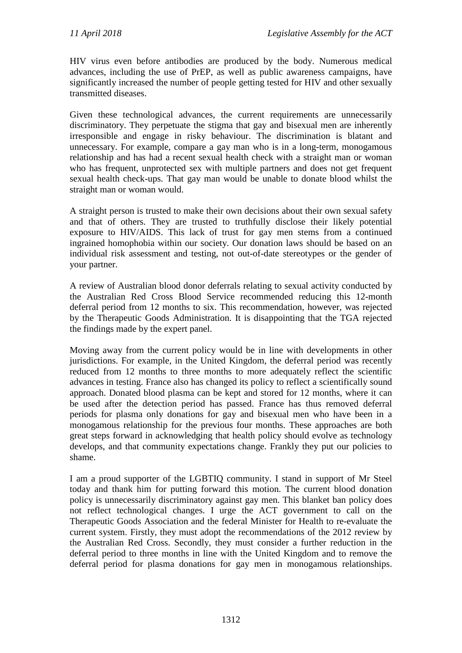HIV virus even before antibodies are produced by the body. Numerous medical advances, including the use of PrEP, as well as public awareness campaigns, have significantly increased the number of people getting tested for HIV and other sexually transmitted diseases.

Given these technological advances, the current requirements are unnecessarily discriminatory. They perpetuate the stigma that gay and bisexual men are inherently irresponsible and engage in risky behaviour. The discrimination is blatant and unnecessary. For example, compare a gay man who is in a long-term, monogamous relationship and has had a recent sexual health check with a straight man or woman who has frequent, unprotected sex with multiple partners and does not get frequent sexual health check-ups. That gay man would be unable to donate blood whilst the straight man or woman would.

A straight person is trusted to make their own decisions about their own sexual safety and that of others. They are trusted to truthfully disclose their likely potential exposure to HIV/AIDS. This lack of trust for gay men stems from a continued ingrained homophobia within our society. Our donation laws should be based on an individual risk assessment and testing, not out-of-date stereotypes or the gender of your partner.

A review of Australian blood donor deferrals relating to sexual activity conducted by the Australian Red Cross Blood Service recommended reducing this 12-month deferral period from 12 months to six. This recommendation, however, was rejected by the Therapeutic Goods Administration. It is disappointing that the TGA rejected the findings made by the expert panel.

Moving away from the current policy would be in line with developments in other jurisdictions. For example, in the United Kingdom, the deferral period was recently reduced from 12 months to three months to more adequately reflect the scientific advances in testing. France also has changed its policy to reflect a scientifically sound approach. Donated blood plasma can be kept and stored for 12 months, where it can be used after the detection period has passed. France has thus removed deferral periods for plasma only donations for gay and bisexual men who have been in a monogamous relationship for the previous four months. These approaches are both great steps forward in acknowledging that health policy should evolve as technology develops, and that community expectations change. Frankly they put our policies to shame.

I am a proud supporter of the LGBTIQ community. I stand in support of Mr Steel today and thank him for putting forward this motion. The current blood donation policy is unnecessarily discriminatory against gay men. This blanket ban policy does not reflect technological changes. I urge the ACT government to call on the Therapeutic Goods Association and the federal Minister for Health to re-evaluate the current system. Firstly, they must adopt the recommendations of the 2012 review by the Australian Red Cross. Secondly, they must consider a further reduction in the deferral period to three months in line with the United Kingdom and to remove the deferral period for plasma donations for gay men in monogamous relationships.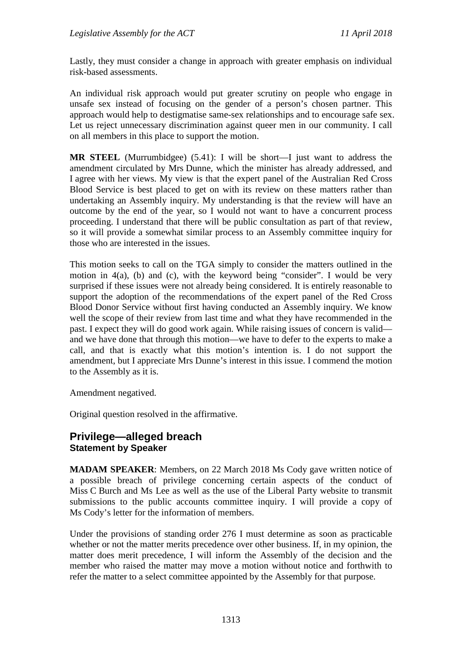Lastly, they must consider a change in approach with greater emphasis on individual risk-based assessments.

An individual risk approach would put greater scrutiny on people who engage in unsafe sex instead of focusing on the gender of a person's chosen partner. This approach would help to destigmatise same-sex relationships and to encourage safe sex. Let us reject unnecessary discrimination against queer men in our community. I call on all members in this place to support the motion.

**MR STEEL** (Murrumbidgee) (5.41): I will be short—I just want to address the amendment circulated by Mrs Dunne, which the minister has already addressed, and I agree with her views. My view is that the expert panel of the Australian Red Cross Blood Service is best placed to get on with its review on these matters rather than undertaking an Assembly inquiry. My understanding is that the review will have an outcome by the end of the year, so I would not want to have a concurrent process proceeding. I understand that there will be public consultation as part of that review, so it will provide a somewhat similar process to an Assembly committee inquiry for those who are interested in the issues.

This motion seeks to call on the TGA simply to consider the matters outlined in the motion in 4(a), (b) and (c), with the keyword being "consider". I would be very surprised if these issues were not already being considered. It is entirely reasonable to support the adoption of the recommendations of the expert panel of the Red Cross Blood Donor Service without first having conducted an Assembly inquiry. We know well the scope of their review from last time and what they have recommended in the past. I expect they will do good work again. While raising issues of concern is valid and we have done that through this motion—we have to defer to the experts to make a call, and that is exactly what this motion's intention is. I do not support the amendment, but I appreciate Mrs Dunne's interest in this issue. I commend the motion to the Assembly as it is.

Amendment negatived.

Original question resolved in the affirmative.

### **Privilege—alleged breach Statement by Speaker**

**MADAM SPEAKER**: Members, on 22 March 2018 Ms Cody gave written notice of a possible breach of privilege concerning certain aspects of the conduct of Miss C Burch and Ms Lee as well as the use of the Liberal Party website to transmit submissions to the public accounts committee inquiry. I will provide a copy of Ms Cody's letter for the information of members.

Under the provisions of standing order 276 I must determine as soon as practicable whether or not the matter merits precedence over other business. If, in my opinion, the matter does merit precedence, I will inform the Assembly of the decision and the member who raised the matter may move a motion without notice and forthwith to refer the matter to a select committee appointed by the Assembly for that purpose.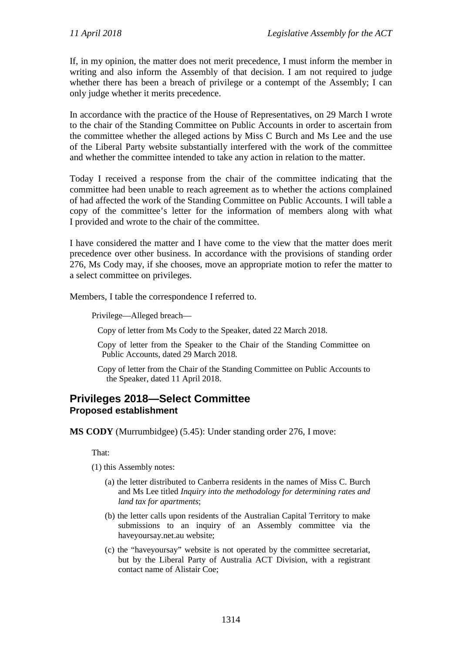If, in my opinion, the matter does not merit precedence, I must inform the member in writing and also inform the Assembly of that decision. I am not required to judge whether there has been a breach of privilege or a contempt of the Assembly; I can only judge whether it merits precedence.

In accordance with the practice of the House of Representatives, on 29 March I wrote to the chair of the Standing Committee on Public Accounts in order to ascertain from the committee whether the alleged actions by Miss C Burch and Ms Lee and the use of the Liberal Party website substantially interfered with the work of the committee and whether the committee intended to take any action in relation to the matter.

Today I received a response from the chair of the committee indicating that the committee had been unable to reach agreement as to whether the actions complained of had affected the work of the Standing Committee on Public Accounts. I will table a copy of the committee's letter for the information of members along with what I provided and wrote to the chair of the committee.

I have considered the matter and I have come to the view that the matter does merit precedence over other business. In accordance with the provisions of standing order 276, Ms Cody may, if she chooses, move an appropriate motion to refer the matter to a select committee on privileges.

Members, I table the correspondence I referred to.

Privilege—Alleged breach—

Copy of letter from Ms Cody to the Speaker, dated 22 March 2018.

- Copy of letter from the Speaker to the Chair of the Standing Committee on Public Accounts, dated 29 March 2018.
- Copy of letter from the Chair of the Standing Committee on Public Accounts to the Speaker, dated 11 April 2018.

## **Privileges 2018—Select Committee Proposed establishment**

**MS CODY** (Murrumbidgee) (5.45): Under standing order 276, I move:

That:

(1) this Assembly notes:

- (a) the letter distributed to Canberra residents in the names of Miss C. Burch and Ms Lee titled *Inquiry into the methodology for determining rates and land tax for apartments*;
- (b) the letter calls upon residents of the Australian Capital Territory to make submissions to an inquiry of an Assembly committee via the haveyoursay.net.au website;
- (c) the "haveyoursay" website is not operated by the committee secretariat, but by the Liberal Party of Australia ACT Division, with a registrant contact name of Alistair Coe;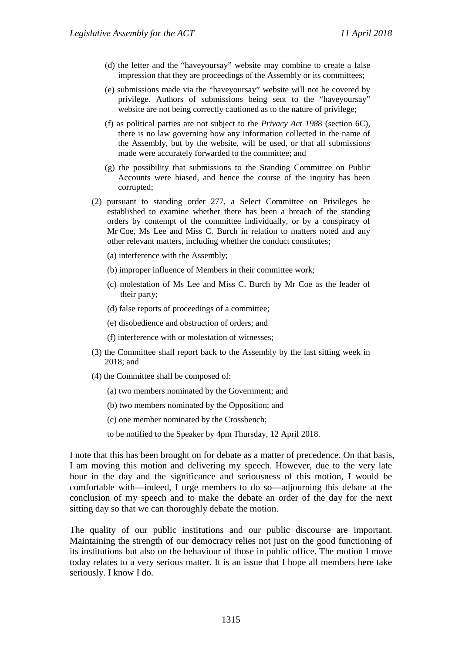- (d) the letter and the "haveyoursay" website may combine to create a false impression that they are proceedings of the Assembly or its committees;
- (e) submissions made via the "haveyoursay" website will not be covered by privilege. Authors of submissions being sent to the "haveyoursay" website are not being correctly cautioned as to the nature of privilege;
- (f) as political parties are not subject to the *Privacy Act 198*8 (section 6C), there is no law governing how any information collected in the name of the Assembly, but by the website, will be used, or that all submissions made were accurately forwarded to the committee; and
- (g) the possibility that submissions to the Standing Committee on Public Accounts were biased, and hence the course of the inquiry has been corrupted;
- (2) pursuant to standing order 277, a Select Committee on Privileges be established to examine whether there has been a breach of the standing orders by contempt of the committee individually, or by a conspiracy of Mr Coe, Ms Lee and Miss C. Burch in relation to matters noted and any other relevant matters, including whether the conduct constitutes;
	- (a) interference with the Assembly;
	- (b) improper influence of Members in their committee work;
	- (c) molestation of Ms Lee and Miss C. Burch by Mr Coe as the leader of their party;
	- (d) false reports of proceedings of a committee;
	- (e) disobedience and obstruction of orders; and
	- (f) interference with or molestation of witnesses;
- (3) the Committee shall report back to the Assembly by the last sitting week in 2018; and
- (4) the Committee shall be composed of:
	- (a) two members nominated by the Government; and
	- (b) two members nominated by the Opposition; and
	- (c) one member nominated by the Crossbench;
	- to be notified to the Speaker by 4pm Thursday, 12 April 2018.

I note that this has been brought on for debate as a matter of precedence. On that basis, I am moving this motion and delivering my speech. However, due to the very late hour in the day and the significance and seriousness of this motion, I would be comfortable with—indeed, I urge members to do so—adjourning this debate at the conclusion of my speech and to make the debate an order of the day for the next sitting day so that we can thoroughly debate the motion.

The quality of our public institutions and our public discourse are important. Maintaining the strength of our democracy relies not just on the good functioning of its institutions but also on the behaviour of those in public office. The motion I move today relates to a very serious matter. It is an issue that I hope all members here take seriously. I know I do.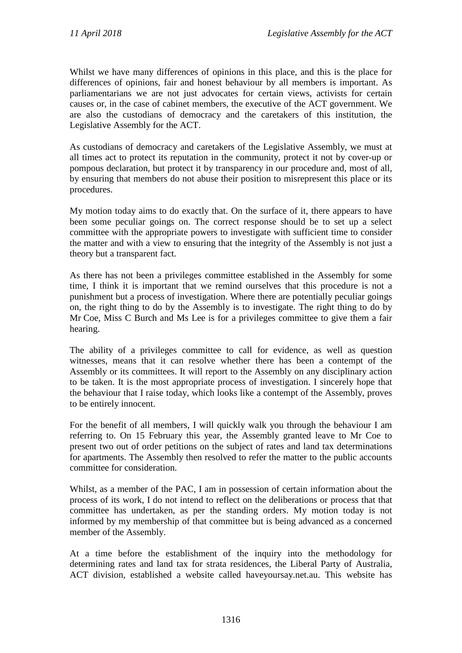Whilst we have many differences of opinions in this place, and this is the place for differences of opinions, fair and honest behaviour by all members is important. As parliamentarians we are not just advocates for certain views, activists for certain causes or, in the case of cabinet members, the executive of the ACT government. We are also the custodians of democracy and the caretakers of this institution, the Legislative Assembly for the ACT.

As custodians of democracy and caretakers of the Legislative Assembly, we must at all times act to protect its reputation in the community, protect it not by cover-up or pompous declaration, but protect it by transparency in our procedure and, most of all, by ensuring that members do not abuse their position to misrepresent this place or its procedures.

My motion today aims to do exactly that. On the surface of it, there appears to have been some peculiar goings on. The correct response should be to set up a select committee with the appropriate powers to investigate with sufficient time to consider the matter and with a view to ensuring that the integrity of the Assembly is not just a theory but a transparent fact.

As there has not been a privileges committee established in the Assembly for some time, I think it is important that we remind ourselves that this procedure is not a punishment but a process of investigation. Where there are potentially peculiar goings on, the right thing to do by the Assembly is to investigate. The right thing to do by Mr Coe, Miss C Burch and Ms Lee is for a privileges committee to give them a fair hearing.

The ability of a privileges committee to call for evidence, as well as question witnesses, means that it can resolve whether there has been a contempt of the Assembly or its committees. It will report to the Assembly on any disciplinary action to be taken. It is the most appropriate process of investigation. I sincerely hope that the behaviour that I raise today, which looks like a contempt of the Assembly, proves to be entirely innocent.

For the benefit of all members, I will quickly walk you through the behaviour I am referring to. On 15 February this year, the Assembly granted leave to Mr Coe to present two out of order petitions on the subject of rates and land tax determinations for apartments. The Assembly then resolved to refer the matter to the public accounts committee for consideration.

Whilst, as a member of the PAC, I am in possession of certain information about the process of its work, I do not intend to reflect on the deliberations or process that that committee has undertaken, as per the standing orders. My motion today is not informed by my membership of that committee but is being advanced as a concerned member of the Assembly.

At a time before the establishment of the inquiry into the methodology for determining rates and land tax for strata residences, the Liberal Party of Australia, ACT division, established a website called haveyoursay.net.au. This website has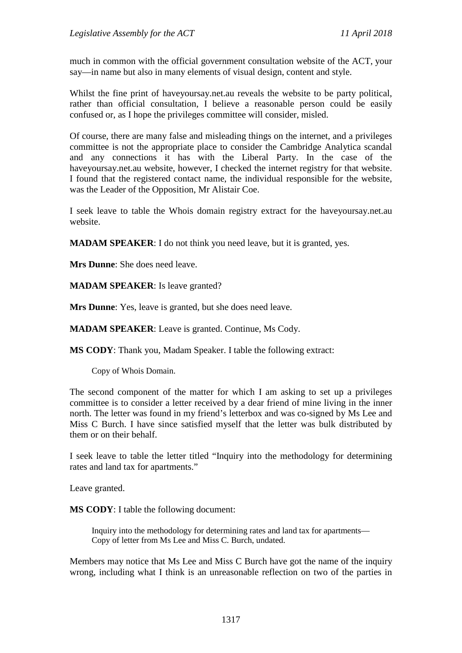much in common with the official government consultation website of the ACT, your say—in name but also in many elements of visual design, content and style.

Whilst the fine print of haveyoursay.net.au reveals the website to be party political, rather than official consultation, I believe a reasonable person could be easily confused or, as I hope the privileges committee will consider, misled.

Of course, there are many false and misleading things on the internet, and a privileges committee is not the appropriate place to consider the Cambridge Analytica scandal and any connections it has with the Liberal Party. In the case of the haveyoursay.net.au website, however, I checked the internet registry for that website. I found that the registered contact name, the individual responsible for the website, was the Leader of the Opposition, Mr Alistair Coe.

I seek leave to table the Whois domain registry extract for the haveyoursay.net.au website.

**MADAM SPEAKER**: I do not think you need leave, but it is granted, yes.

**Mrs Dunne**: She does need leave.

**MADAM SPEAKER**: Is leave granted?

**Mrs Dunne**: Yes, leave is granted, but she does need leave.

**MADAM SPEAKER**: Leave is granted. Continue, Ms Cody.

**MS CODY**: Thank you, Madam Speaker. I table the following extract:

Copy of Whois Domain.

The second component of the matter for which I am asking to set up a privileges committee is to consider a letter received by a dear friend of mine living in the inner north. The letter was found in my friend's letterbox and was co-signed by Ms Lee and Miss C Burch. I have since satisfied myself that the letter was bulk distributed by them or on their behalf.

I seek leave to table the letter titled "Inquiry into the methodology for determining rates and land tax for apartments."

Leave granted.

**MS CODY**: I table the following document:

Inquiry into the methodology for determining rates and land tax for apartments— Copy of letter from Ms Lee and Miss C. Burch, undated.

Members may notice that Ms Lee and Miss C Burch have got the name of the inquiry wrong, including what I think is an unreasonable reflection on two of the parties in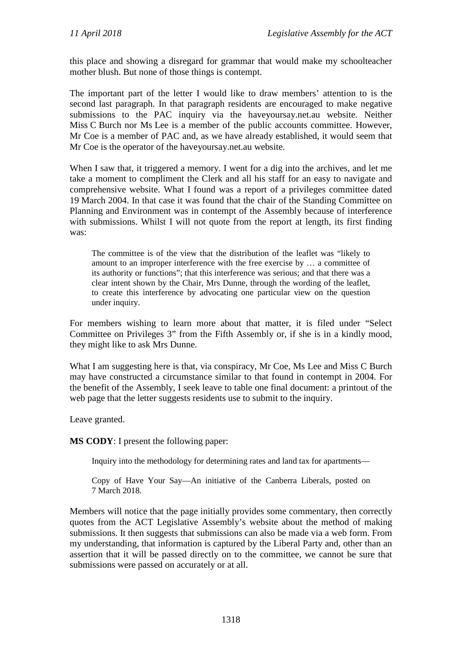this place and showing a disregard for grammar that would make my schoolteacher mother blush. But none of those things is contempt.

The important part of the letter I would like to draw members' attention to is the second last paragraph. In that paragraph residents are encouraged to make negative submissions to the PAC inquiry via the haveyoursay.net.au website. Neither Miss C Burch nor Ms Lee is a member of the public accounts committee. However, Mr Coe is a member of PAC and, as we have already established, it would seem that Mr Coe is the operator of the haveyoursay.net.au website.

When I saw that, it triggered a memory. I went for a dig into the archives, and let me take a moment to compliment the Clerk and all his staff for an easy to navigate and comprehensive website. What I found was a report of a privileges committee dated 19 March 2004. In that case it was found that the chair of the Standing Committee on Planning and Environment was in contempt of the Assembly because of interference with submissions. Whilst I will not quote from the report at length, its first finding was:

The committee is of the view that the distribution of the leaflet was "likely to amount to an improper interference with the free exercise by … a committee of its authority or functions"; that this interference was serious; and that there was a clear intent shown by the Chair, Mrs Dunne, through the wording of the leaflet, to create this interference by advocating one particular view on the question under inquiry.

For members wishing to learn more about that matter, it is filed under "Select Committee on Privileges 3" from the Fifth Assembly or, if she is in a kindly mood, they might like to ask Mrs Dunne.

What I am suggesting here is that, via conspiracy, Mr Coe, Ms Lee and Miss C Burch may have constructed a circumstance similar to that found in contempt in 2004. For the benefit of the Assembly, I seek leave to table one final document: a printout of the web page that the letter suggests residents use to submit to the inquiry.

Leave granted.

**MS CODY**: I present the following paper:

Inquiry into the methodology for determining rates and land tax for apartments—

Copy of Have Your Say—An initiative of the Canberra Liberals, posted on 7 March 2018.

Members will notice that the page initially provides some commentary, then correctly quotes from the ACT Legislative Assembly's website about the method of making submissions. It then suggests that submissions can also be made via a web form. From my understanding, that information is captured by the Liberal Party and, other than an assertion that it will be passed directly on to the committee, we cannot be sure that submissions were passed on accurately or at all.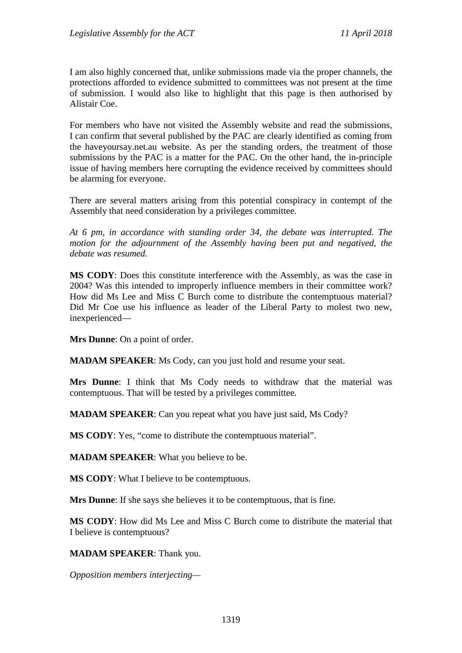I am also highly concerned that, unlike submissions made via the proper channels, the protections afforded to evidence submitted to committees was not present at the time of submission. I would also like to highlight that this page is then authorised by Alistair Coe.

For members who have not visited the Assembly website and read the submissions, I can confirm that several published by the PAC are clearly identified as coming from the haveyoursay.net.au website. As per the standing orders, the treatment of those submissions by the PAC is a matter for the PAC. On the other hand, the in-principle issue of having members here corrupting the evidence received by committees should be alarming for everyone.

There are several matters arising from this potential conspiracy in contempt of the Assembly that need consideration by a privileges committee.

*At 6 pm, in accordance with standing order 34, the debate was interrupted. The motion for the adjournment of the Assembly having been put and negatived, the debate was resumed.*

**MS CODY**: Does this constitute interference with the Assembly, as was the case in 2004? Was this intended to improperly influence members in their committee work? How did Ms Lee and Miss C Burch come to distribute the contemptuous material? Did Mr Coe use his influence as leader of the Liberal Party to molest two new, inexperienced—

**Mrs Dunne**: On a point of order.

**MADAM SPEAKER**: Ms Cody, can you just hold and resume your seat.

**Mrs Dunne**: I think that Ms Cody needs to withdraw that the material was contemptuous. That will be tested by a privileges committee.

**MADAM SPEAKER**: Can you repeat what you have just said, Ms Cody?

**MS CODY**: Yes, "come to distribute the contemptuous material".

**MADAM SPEAKER**: What you believe to be.

**MS CODY**: What I believe to be contemptuous.

**Mrs Dunne**: If she says she believes it to be contemptuous, that is fine.

**MS CODY**: How did Ms Lee and Miss C Burch come to distribute the material that I believe is contemptuous?

**MADAM SPEAKER**: Thank you.

*Opposition members interjecting—*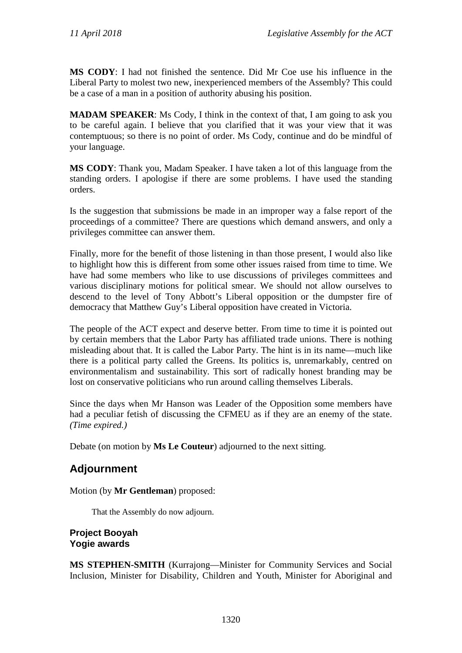**MS CODY**: I had not finished the sentence. Did Mr Coe use his influence in the Liberal Party to molest two new, inexperienced members of the Assembly? This could be a case of a man in a position of authority abusing his position.

**MADAM SPEAKER:** Ms Cody, I think in the context of that, I am going to ask you to be careful again. I believe that you clarified that it was your view that it was contemptuous; so there is no point of order. Ms Cody, continue and do be mindful of your language.

**MS CODY**: Thank you, Madam Speaker. I have taken a lot of this language from the standing orders. I apologise if there are some problems. I have used the standing orders.

Is the suggestion that submissions be made in an improper way a false report of the proceedings of a committee? There are questions which demand answers, and only a privileges committee can answer them.

Finally, more for the benefit of those listening in than those present, I would also like to highlight how this is different from some other issues raised from time to time. We have had some members who like to use discussions of privileges committees and various disciplinary motions for political smear. We should not allow ourselves to descend to the level of Tony Abbott's Liberal opposition or the dumpster fire of democracy that Matthew Guy's Liberal opposition have created in Victoria.

The people of the ACT expect and deserve better. From time to time it is pointed out by certain members that the Labor Party has affiliated trade unions. There is nothing misleading about that. It is called the Labor Party. The hint is in its name—much like there is a political party called the Greens. Its politics is, unremarkably, centred on environmentalism and sustainability. This sort of radically honest branding may be lost on conservative politicians who run around calling themselves Liberals.

Since the days when Mr Hanson was Leader of the Opposition some members have had a peculiar fetish of discussing the CFMEU as if they are an enemy of the state. *(Time expired.)*

Debate (on motion by **Ms Le Couteur**) adjourned to the next sitting.

# **Adjournment**

Motion (by **Mr Gentleman**) proposed:

That the Assembly do now adjourn.

#### **Project Booyah Yogie awards**

**MS STEPHEN-SMITH** (Kurrajong—Minister for Community Services and Social Inclusion, Minister for Disability, Children and Youth, Minister for Aboriginal and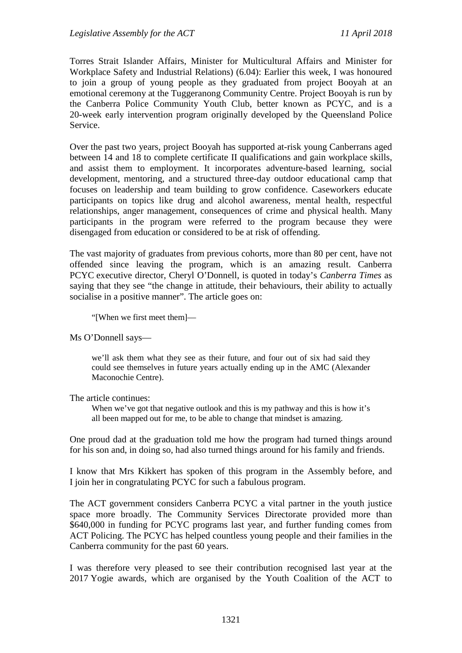Torres Strait Islander Affairs, Minister for Multicultural Affairs and Minister for Workplace Safety and Industrial Relations) (6.04): Earlier this week, I was honoured to join a group of young people as they graduated from project Booyah at an emotional ceremony at the Tuggeranong Community Centre. Project Booyah is run by the Canberra Police Community Youth Club, better known as PCYC, and is a 20-week early intervention program originally developed by the Queensland Police Service.

Over the past two years, project Booyah has supported at-risk young Canberrans aged between 14 and 18 to complete certificate II qualifications and gain workplace skills, and assist them to employment. It incorporates adventure-based learning, social development, mentoring, and a structured three-day outdoor educational camp that focuses on leadership and team building to grow confidence. Caseworkers educate participants on topics like drug and alcohol awareness, mental health, respectful relationships, anger management, consequences of crime and physical health. Many participants in the program were referred to the program because they were disengaged from education or considered to be at risk of offending.

The vast majority of graduates from previous cohorts, more than 80 per cent, have not offended since leaving the program, which is an amazing result. Canberra PCYC executive director, Cheryl O'Donnell, is quoted in today's *Canberra Times* as saying that they see "the change in attitude, their behaviours, their ability to actually socialise in a positive manner". The article goes on:

"[When we first meet them]—

#### Ms O'Donnell says—

we'll ask them what they see as their future, and four out of six had said they could see themselves in future years actually ending up in the AMC (Alexander Maconochie Centre).

#### The article continues:

When we've got that negative outlook and this is my pathway and this is how it's all been mapped out for me, to be able to change that mindset is amazing.

One proud dad at the graduation told me how the program had turned things around for his son and, in doing so, had also turned things around for his family and friends.

I know that Mrs Kikkert has spoken of this program in the Assembly before, and I join her in congratulating PCYC for such a fabulous program.

The ACT government considers Canberra PCYC a vital partner in the youth justice space more broadly. The Community Services Directorate provided more than \$640,000 in funding for PCYC programs last year, and further funding comes from ACT Policing. The PCYC has helped countless young people and their families in the Canberra community for the past 60 years.

I was therefore very pleased to see their contribution recognised last year at the 2017 Yogie awards, which are organised by the Youth Coalition of the ACT to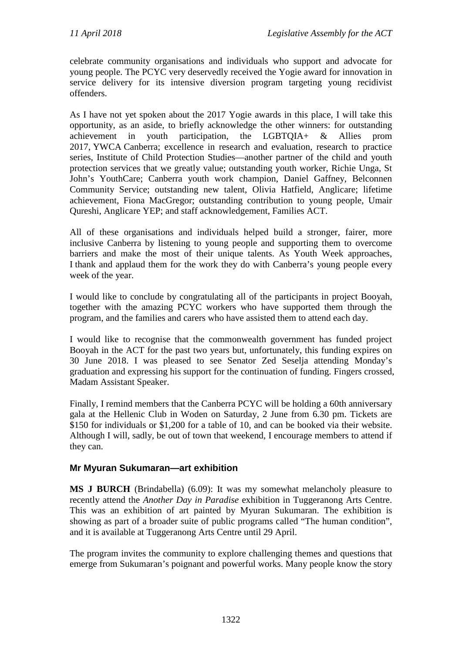celebrate community organisations and individuals who support and advocate for young people. The PCYC very deservedly received the Yogie award for innovation in service delivery for its intensive diversion program targeting young recidivist offenders.

As I have not yet spoken about the 2017 Yogie awards in this place, I will take this opportunity, as an aside, to briefly acknowledge the other winners: for outstanding achievement in youth participation, the LGBTQIA+ & Allies prom 2017, YWCA Canberra; excellence in research and evaluation, research to practice series, Institute of Child Protection Studies—another partner of the child and youth protection services that we greatly value; outstanding youth worker, Richie Unga, St John's YouthCare; Canberra youth work champion, Daniel Gaffney, Belconnen Community Service; outstanding new talent, Olivia Hatfield, Anglicare; lifetime achievement, Fiona MacGregor; outstanding contribution to young people, Umair Qureshi, Anglicare YEP; and staff acknowledgement, Families ACT.

All of these organisations and individuals helped build a stronger, fairer, more inclusive Canberra by listening to young people and supporting them to overcome barriers and make the most of their unique talents. As Youth Week approaches, I thank and applaud them for the work they do with Canberra's young people every week of the year.

I would like to conclude by congratulating all of the participants in project Booyah, together with the amazing PCYC workers who have supported them through the program, and the families and carers who have assisted them to attend each day.

I would like to recognise that the commonwealth government has funded project Booyah in the ACT for the past two years but, unfortunately, this funding expires on 30 June 2018. I was pleased to see Senator Zed Seselja attending Monday's graduation and expressing his support for the continuation of funding. Fingers crossed, Madam Assistant Speaker.

Finally, I remind members that the Canberra PCYC will be holding a 60th anniversary gala at the Hellenic Club in Woden on Saturday, 2 June from 6.30 pm. Tickets are \$150 for individuals or \$1,200 for a table of 10, and can be booked via their website. Although I will, sadly, be out of town that weekend, I encourage members to attend if they can.

## **Mr Myuran Sukumaran—art exhibition**

**MS J BURCH** (Brindabella) (6.09): It was my somewhat melancholy pleasure to recently attend the *Another Day in Paradise* exhibition in Tuggeranong Arts Centre. This was an exhibition of art painted by Myuran Sukumaran. The exhibition is showing as part of a broader suite of public programs called "The human condition", and it is available at Tuggeranong Arts Centre until 29 April.

The program invites the community to explore challenging themes and questions that emerge from Sukumaran's poignant and powerful works. Many people know the story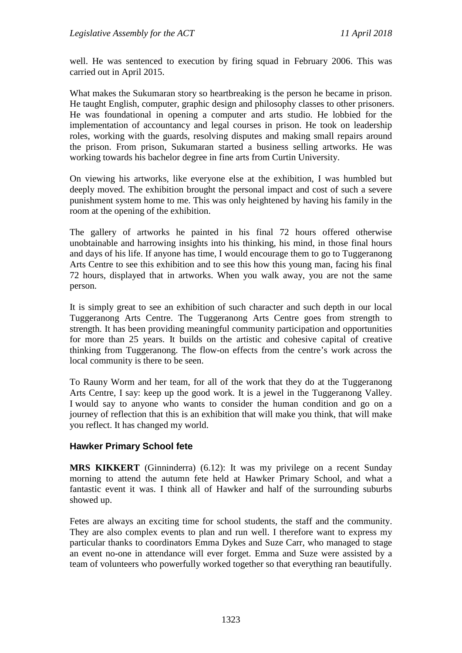well. He was sentenced to execution by firing squad in February 2006. This was carried out in April 2015.

What makes the Sukumaran story so heartbreaking is the person he became in prison. He taught English, computer, graphic design and philosophy classes to other prisoners. He was foundational in opening a computer and arts studio. He lobbied for the implementation of accountancy and legal courses in prison. He took on leadership roles, working with the guards, resolving disputes and making small repairs around the prison. From prison, Sukumaran started a business selling artworks. He was working towards his bachelor degree in fine arts from Curtin University.

On viewing his artworks, like everyone else at the exhibition, I was humbled but deeply moved. The exhibition brought the personal impact and cost of such a severe punishment system home to me. This was only heightened by having his family in the room at the opening of the exhibition.

The gallery of artworks he painted in his final 72 hours offered otherwise unobtainable and harrowing insights into his thinking, his mind, in those final hours and days of his life. If anyone has time, I would encourage them to go to Tuggeranong Arts Centre to see this exhibition and to see this how this young man, facing his final 72 hours, displayed that in artworks. When you walk away, you are not the same person.

It is simply great to see an exhibition of such character and such depth in our local Tuggeranong Arts Centre. The Tuggeranong Arts Centre goes from strength to strength. It has been providing meaningful community participation and opportunities for more than 25 years. It builds on the artistic and cohesive capital of creative thinking from Tuggeranong. The flow-on effects from the centre's work across the local community is there to be seen.

To Rauny Worm and her team, for all of the work that they do at the Tuggeranong Arts Centre, I say: keep up the good work. It is a jewel in the Tuggeranong Valley. I would say to anyone who wants to consider the human condition and go on a journey of reflection that this is an exhibition that will make you think, that will make you reflect. It has changed my world.

## **Hawker Primary School fete**

**MRS KIKKERT** (Ginninderra) (6.12): It was my privilege on a recent Sunday morning to attend the autumn fete held at Hawker Primary School, and what a fantastic event it was. I think all of Hawker and half of the surrounding suburbs showed up.

Fetes are always an exciting time for school students, the staff and the community. They are also complex events to plan and run well. I therefore want to express my particular thanks to coordinators Emma Dykes and Suze Carr, who managed to stage an event no-one in attendance will ever forget. Emma and Suze were assisted by a team of volunteers who powerfully worked together so that everything ran beautifully.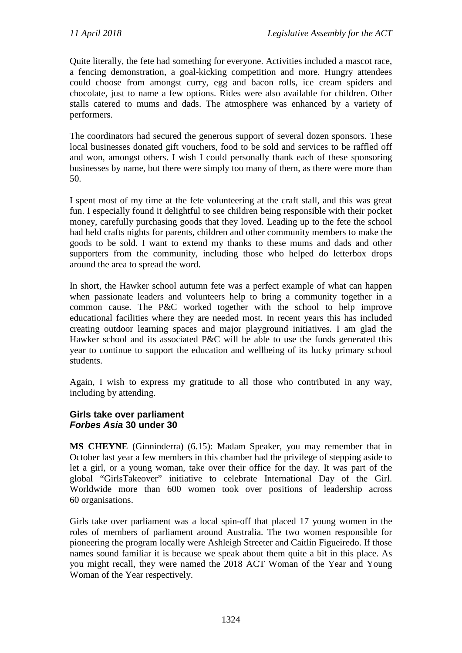Quite literally, the fete had something for everyone. Activities included a mascot race, a fencing demonstration, a goal-kicking competition and more. Hungry attendees could choose from amongst curry, egg and bacon rolls, ice cream spiders and chocolate, just to name a few options. Rides were also available for children. Other stalls catered to mums and dads. The atmosphere was enhanced by a variety of performers.

The coordinators had secured the generous support of several dozen sponsors. These local businesses donated gift vouchers, food to be sold and services to be raffled off and won, amongst others. I wish I could personally thank each of these sponsoring businesses by name, but there were simply too many of them, as there were more than 50.

I spent most of my time at the fete volunteering at the craft stall, and this was great fun. I especially found it delightful to see children being responsible with their pocket money, carefully purchasing goods that they loved. Leading up to the fete the school had held crafts nights for parents, children and other community members to make the goods to be sold. I want to extend my thanks to these mums and dads and other supporters from the community, including those who helped do letterbox drops around the area to spread the word.

In short, the Hawker school autumn fete was a perfect example of what can happen when passionate leaders and volunteers help to bring a community together in a common cause. The P&C worked together with the school to help improve educational facilities where they are needed most. In recent years this has included creating outdoor learning spaces and major playground initiatives. I am glad the Hawker school and its associated P&C will be able to use the funds generated this year to continue to support the education and wellbeing of its lucky primary school students.

Again, I wish to express my gratitude to all those who contributed in any way, including by attending.

## **Girls take over parliament** *Forbes Asia* **30 under 30**

**MS CHEYNE** (Ginninderra) (6.15): Madam Speaker, you may remember that in October last year a few members in this chamber had the privilege of stepping aside to let a girl, or a young woman, take over their office for the day. It was part of the global "GirlsTakeover" initiative to celebrate International Day of the Girl. Worldwide more than 600 women took over positions of leadership across 60 organisations.

Girls take over parliament was a local spin-off that placed 17 young women in the roles of members of parliament around Australia. The two women responsible for pioneering the program locally were Ashleigh Streeter and Caitlin Figueiredo. If those names sound familiar it is because we speak about them quite a bit in this place. As you might recall, they were named the 2018 ACT Woman of the Year and Young Woman of the Year respectively.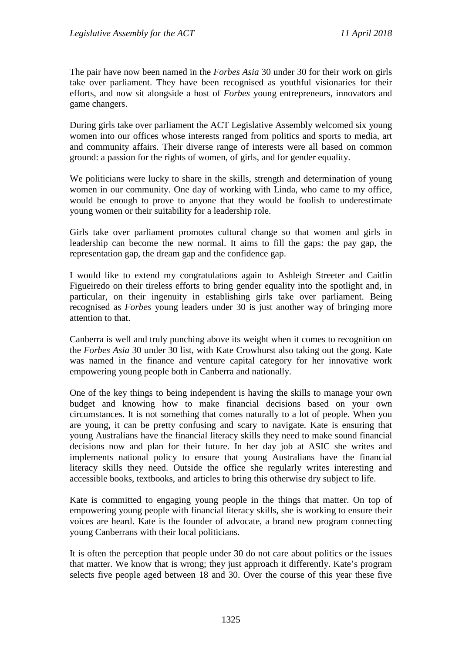The pair have now been named in the *Forbes Asia* 30 under 30 for their work on girls take over parliament. They have been recognised as youthful visionaries for their efforts, and now sit alongside a host of *Forbes* young entrepreneurs, innovators and game changers.

During girls take over parliament the ACT Legislative Assembly welcomed six young women into our offices whose interests ranged from politics and sports to media, art and community affairs. Their diverse range of interests were all based on common ground: a passion for the rights of women, of girls, and for gender equality.

We politicians were lucky to share in the skills, strength and determination of young women in our community. One day of working with Linda, who came to my office, would be enough to prove to anyone that they would be foolish to underestimate young women or their suitability for a leadership role.

Girls take over parliament promotes cultural change so that women and girls in leadership can become the new normal. It aims to fill the gaps: the pay gap, the representation gap, the dream gap and the confidence gap.

I would like to extend my congratulations again to Ashleigh Streeter and Caitlin Figueiredo on their tireless efforts to bring gender equality into the spotlight and, in particular, on their ingenuity in establishing girls take over parliament. Being recognised as *Forbes* young leaders under 30 is just another way of bringing more attention to that.

Canberra is well and truly punching above its weight when it comes to recognition on the *Forbes Asia* 30 under 30 list, with Kate Crowhurst also taking out the gong. Kate was named in the finance and venture capital category for her innovative work empowering young people both in Canberra and nationally.

One of the key things to being independent is having the skills to manage your own budget and knowing how to make financial decisions based on your own circumstances. It is not something that comes naturally to a lot of people. When you are young, it can be pretty confusing and scary to navigate. Kate is ensuring that young Australians have the financial literacy skills they need to make sound financial decisions now and plan for their future. In her day job at ASIC she writes and implements national policy to ensure that young Australians have the financial literacy skills they need. Outside the office she regularly writes interesting and accessible books, textbooks, and articles to bring this otherwise dry subject to life.

Kate is committed to engaging young people in the things that matter. On top of empowering young people with financial literacy skills, she is working to ensure their voices are heard. Kate is the founder of advocate, a brand new program connecting young Canberrans with their local politicians.

It is often the perception that people under 30 do not care about politics or the issues that matter. We know that is wrong; they just approach it differently. Kate's program selects five people aged between 18 and 30. Over the course of this year these five